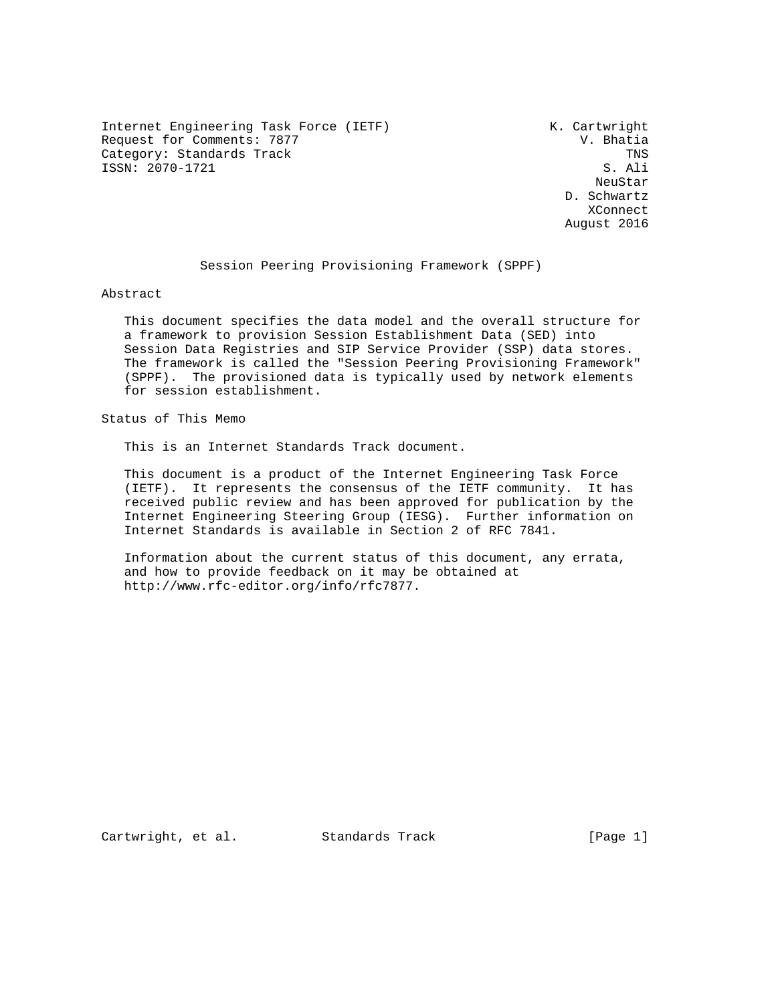Internet Engineering Task Force (IETF)  $\qquad \qquad$ K. Cartwright<br>Request for Comments: 7877  $\qquad \qquad$  V. Bhatia Request for Comments: 7877 Category: Standards Track The Category: Standards Track TNS<br>
TNS S. Ali ISSN: 2070-1721

neuStar and the control of the control of the control of the control of the control of the control of the control of the control of the control of the control of the control of the control of the control of the control of D. Schwartz **XConnect XConnect** August 2016

# Session Peering Provisioning Framework (SPPF)

Abstract

 This document specifies the data model and the overall structure for a framework to provision Session Establishment Data (SED) into Session Data Registries and SIP Service Provider (SSP) data stores. The framework is called the "Session Peering Provisioning Framework" (SPPF). The provisioned data is typically used by network elements for session establishment.

Status of This Memo

This is an Internet Standards Track document.

 This document is a product of the Internet Engineering Task Force (IETF). It represents the consensus of the IETF community. It has received public review and has been approved for publication by the Internet Engineering Steering Group (IESG). Further information on Internet Standards is available in Section 2 of RFC 7841.

 Information about the current status of this document, any errata, and how to provide feedback on it may be obtained at http://www.rfc-editor.org/info/rfc7877.

Cartwright, et al. Standards Track [Page 1]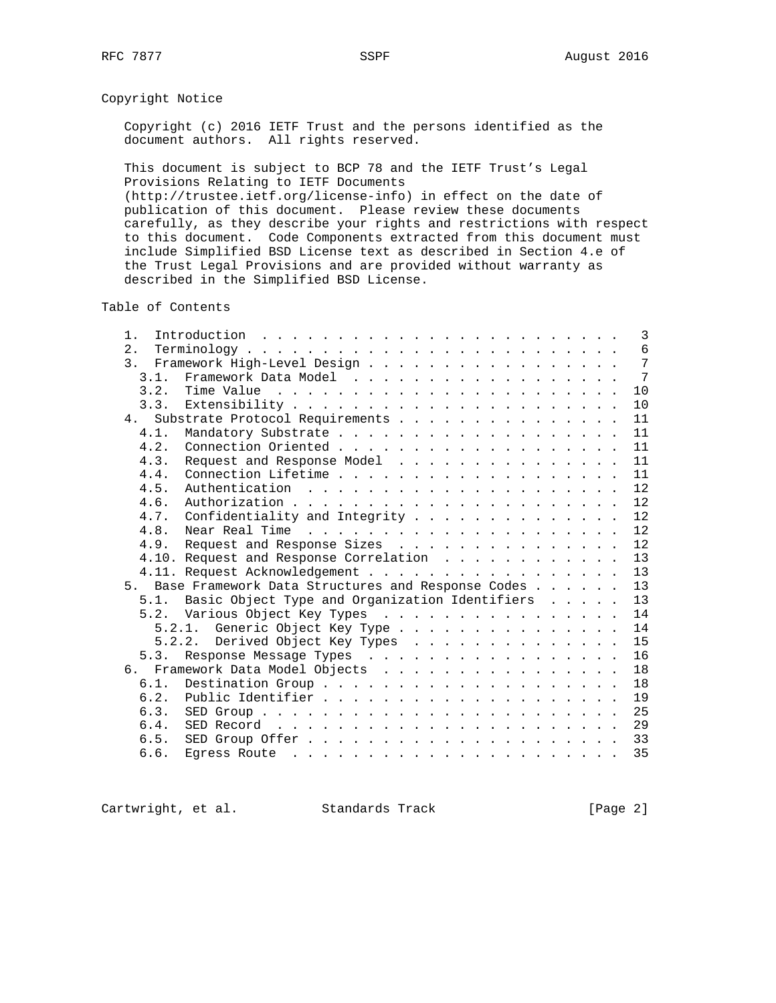# Copyright Notice

 Copyright (c) 2016 IETF Trust and the persons identified as the document authors. All rights reserved.

 This document is subject to BCP 78 and the IETF Trust's Legal Provisions Relating to IETF Documents (http://trustee.ietf.org/license-info) in effect on the date of

 publication of this document. Please review these documents carefully, as they describe your rights and restrictions with respect to this document. Code Components extracted from this document must include Simplified BSD License text as described in Section 4.e of the Trust Legal Provisions and are provided without warranty as described in the Simplified BSD License.

Table of Contents

| $1$ .<br>Introduction $\ldots \ldots \ldots \ldots \ldots \ldots \ldots \ldots$ |  |  | $\mathbf{3}$ |
|---------------------------------------------------------------------------------|--|--|--------------|
| 2.                                                                              |  |  | 6            |
| 3. Framework High-Level Design                                                  |  |  | 7            |
| 3.1.                                                                            |  |  | 7            |
| 3.2.                                                                            |  |  | 10           |
|                                                                                 |  |  | 10           |
| 4. Substrate Protocol Requirements                                              |  |  | 11           |
| 4.1.                                                                            |  |  | 11           |
| 4.2.                                                                            |  |  | 11           |
| Request and Response Model<br>4.3.                                              |  |  | 11           |
| 4.4.                                                                            |  |  | 11           |
| 4.5.                                                                            |  |  | 12           |
| 4.6.                                                                            |  |  | 12           |
| Confidentiality and Integrity<br>4.7.                                           |  |  | 12           |
| 4.8.                                                                            |  |  | 12           |
| Request and Response Sizes<br>4.9.                                              |  |  | 12           |
| 4.10. Request and Response Correlation                                          |  |  | 13           |
| 4.11. Request Acknowledgement                                                   |  |  | 13           |
| Base Framework Data Structures and Response Codes<br>5 <sub>1</sub>             |  |  | 13           |
| 5.1. Basic Object Type and Organization Identifiers                             |  |  | 13           |
| 5.2. Various Object Key Types                                                   |  |  | 14           |
| 5.2.1. Generic Object Key Type                                                  |  |  | 14           |
| 5.2.2. Derived Object Key Types                                                 |  |  | 15           |
| Response Message Types<br>5.3.                                                  |  |  | 16           |
| 6. Framework Data Model Objects                                                 |  |  | 18           |
| 6.1.                                                                            |  |  | 18           |
| 6.2.                                                                            |  |  | 19           |
| 6.3.                                                                            |  |  | 25           |
| 6.4.                                                                            |  |  | 29           |
| 6.5.                                                                            |  |  | 33           |
| 6.6.                                                                            |  |  | 35           |

Cartwright, et al. Standards Track [Page 2]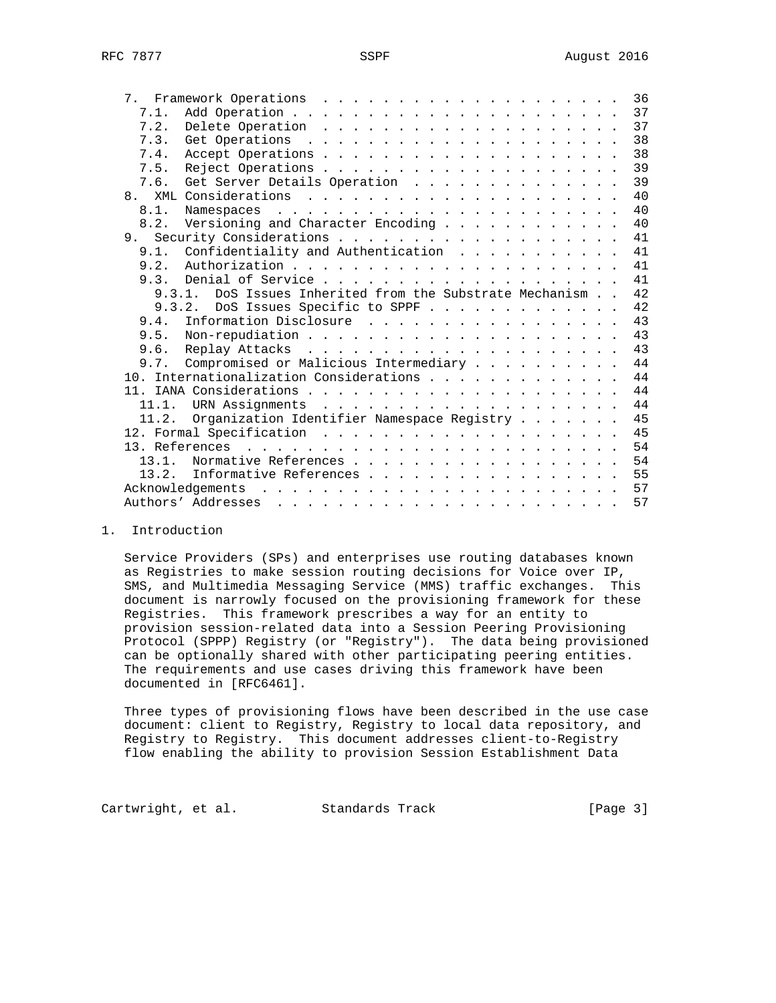|       |                                                                                                                                                                                                                                                   |  |  | 36 |
|-------|---------------------------------------------------------------------------------------------------------------------------------------------------------------------------------------------------------------------------------------------------|--|--|----|
| 7.1.  |                                                                                                                                                                                                                                                   |  |  | 37 |
| 7.2.  |                                                                                                                                                                                                                                                   |  |  | 37 |
| 7.3.  |                                                                                                                                                                                                                                                   |  |  | 38 |
| 7.4.  |                                                                                                                                                                                                                                                   |  |  | 38 |
| 7.5.  |                                                                                                                                                                                                                                                   |  |  | 39 |
| 7.6.  | Get Server Details Operation                                                                                                                                                                                                                      |  |  | 39 |
| 8.    |                                                                                                                                                                                                                                                   |  |  | 40 |
| 8.1.  |                                                                                                                                                                                                                                                   |  |  | 40 |
| 8.2.  | Versioning and Character Encoding                                                                                                                                                                                                                 |  |  | 40 |
|       |                                                                                                                                                                                                                                                   |  |  | 41 |
| 9.1.  | Confidentiality and Authentication                                                                                                                                                                                                                |  |  | 41 |
| 9.2.  |                                                                                                                                                                                                                                                   |  |  | 41 |
| 9.3.  |                                                                                                                                                                                                                                                   |  |  | 41 |
|       | 9.3.1. DoS Issues Inherited from the Substrate Mechanism                                                                                                                                                                                          |  |  | 42 |
|       | 9.3.2.<br>DoS Issues Specific to SPPF                                                                                                                                                                                                             |  |  | 42 |
| 9.4.  | Information Disclosure                                                                                                                                                                                                                            |  |  | 43 |
|       |                                                                                                                                                                                                                                                   |  |  | 43 |
| 9.6.  |                                                                                                                                                                                                                                                   |  |  | 43 |
| 9.7.  | Compromised or Malicious Intermediary                                                                                                                                                                                                             |  |  | 44 |
|       | 10. Internationalization Considerations                                                                                                                                                                                                           |  |  | 44 |
|       |                                                                                                                                                                                                                                                   |  |  | 44 |
| 11.1. |                                                                                                                                                                                                                                                   |  |  | 44 |
| 11.2. | Organization Identifier Namespace Registry                                                                                                                                                                                                        |  |  | 45 |
|       |                                                                                                                                                                                                                                                   |  |  | 45 |
|       |                                                                                                                                                                                                                                                   |  |  | 54 |
| 13.1. | Normative References                                                                                                                                                                                                                              |  |  | 54 |
| 13.2. | Informative References                                                                                                                                                                                                                            |  |  | 55 |
|       | Acknowledgements<br>. The contract of the contract of the contract of the contract of the contract of the contract of the contract of the contract of the contract of the contract of the contract of the contract of the contract of the contrac |  |  | 57 |
|       |                                                                                                                                                                                                                                                   |  |  | 57 |
|       |                                                                                                                                                                                                                                                   |  |  |    |

1. Introduction

 Service Providers (SPs) and enterprises use routing databases known as Registries to make session routing decisions for Voice over IP, SMS, and Multimedia Messaging Service (MMS) traffic exchanges. This document is narrowly focused on the provisioning framework for these Registries. This framework prescribes a way for an entity to provision session-related data into a Session Peering Provisioning Protocol (SPPP) Registry (or "Registry"). The data being provisioned can be optionally shared with other participating peering entities. The requirements and use cases driving this framework have been documented in [RFC6461].

 Three types of provisioning flows have been described in the use case document: client to Registry, Registry to local data repository, and Registry to Registry. This document addresses client-to-Registry flow enabling the ability to provision Session Establishment Data

Cartwright, et al. Standards Track [Page 3]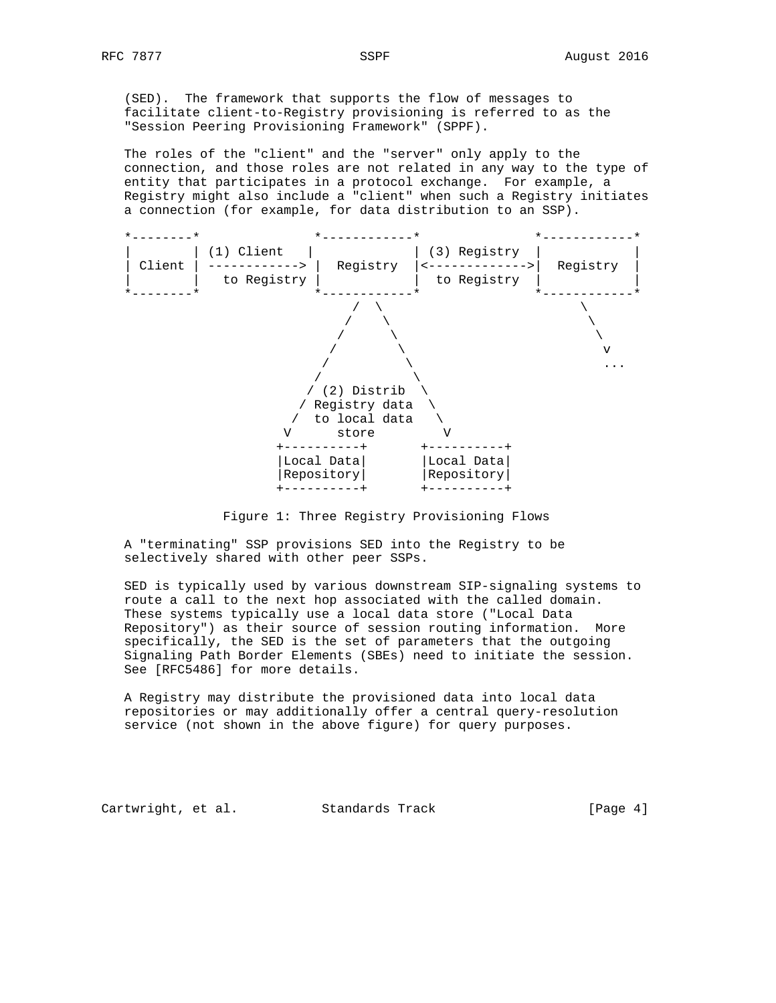(SED). The framework that supports the flow of messages to facilitate client-to-Registry provisioning is referred to as the "Session Peering Provisioning Framework" (SPPF).

 The roles of the "client" and the "server" only apply to the connection, and those roles are not related in any way to the type of entity that participates in a protocol exchange. For example, a Registry might also include a "client" when such a Registry initiates a connection (for example, for data distribution to an SSP).



Figure 1: Three Registry Provisioning Flows

 A "terminating" SSP provisions SED into the Registry to be selectively shared with other peer SSPs.

 SED is typically used by various downstream SIP-signaling systems to route a call to the next hop associated with the called domain. These systems typically use a local data store ("Local Data Repository") as their source of session routing information. More specifically, the SED is the set of parameters that the outgoing Signaling Path Border Elements (SBEs) need to initiate the session. See [RFC5486] for more details.

 A Registry may distribute the provisioned data into local data repositories or may additionally offer a central query-resolution service (not shown in the above figure) for query purposes.

Cartwright, et al. Standards Track [Page 4]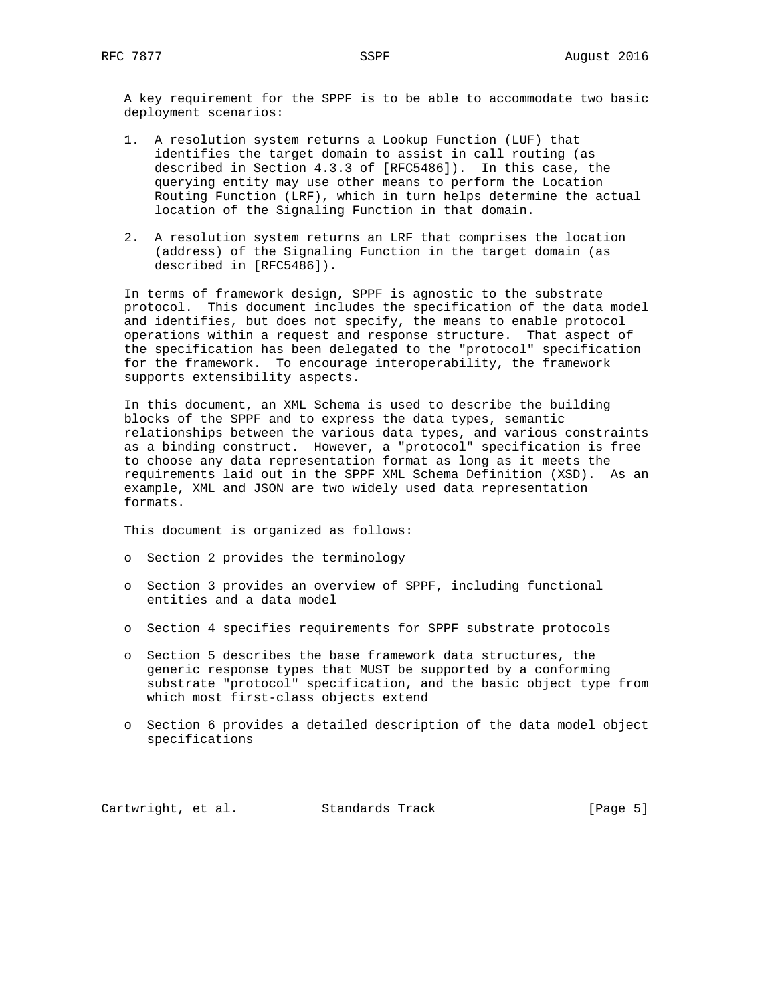A key requirement for the SPPF is to be able to accommodate two basic deployment scenarios:

- 1. A resolution system returns a Lookup Function (LUF) that identifies the target domain to assist in call routing (as described in Section 4.3.3 of [RFC5486]). In this case, the querying entity may use other means to perform the Location Routing Function (LRF), which in turn helps determine the actual location of the Signaling Function in that domain.
- 2. A resolution system returns an LRF that comprises the location (address) of the Signaling Function in the target domain (as described in [RFC5486]).

 In terms of framework design, SPPF is agnostic to the substrate protocol. This document includes the specification of the data model and identifies, but does not specify, the means to enable protocol operations within a request and response structure. That aspect of the specification has been delegated to the "protocol" specification for the framework. To encourage interoperability, the framework supports extensibility aspects.

 In this document, an XML Schema is used to describe the building blocks of the SPPF and to express the data types, semantic relationships between the various data types, and various constraints as a binding construct. However, a "protocol" specification is free to choose any data representation format as long as it meets the requirements laid out in the SPPF XML Schema Definition (XSD). As an example, XML and JSON are two widely used data representation formats.

This document is organized as follows:

- o Section 2 provides the terminology
- o Section 3 provides an overview of SPPF, including functional entities and a data model
- o Section 4 specifies requirements for SPPF substrate protocols
- o Section 5 describes the base framework data structures, the generic response types that MUST be supported by a conforming substrate "protocol" specification, and the basic object type from which most first-class objects extend
- o Section 6 provides a detailed description of the data model object specifications

Cartwright, et al. Standards Track [Page 5]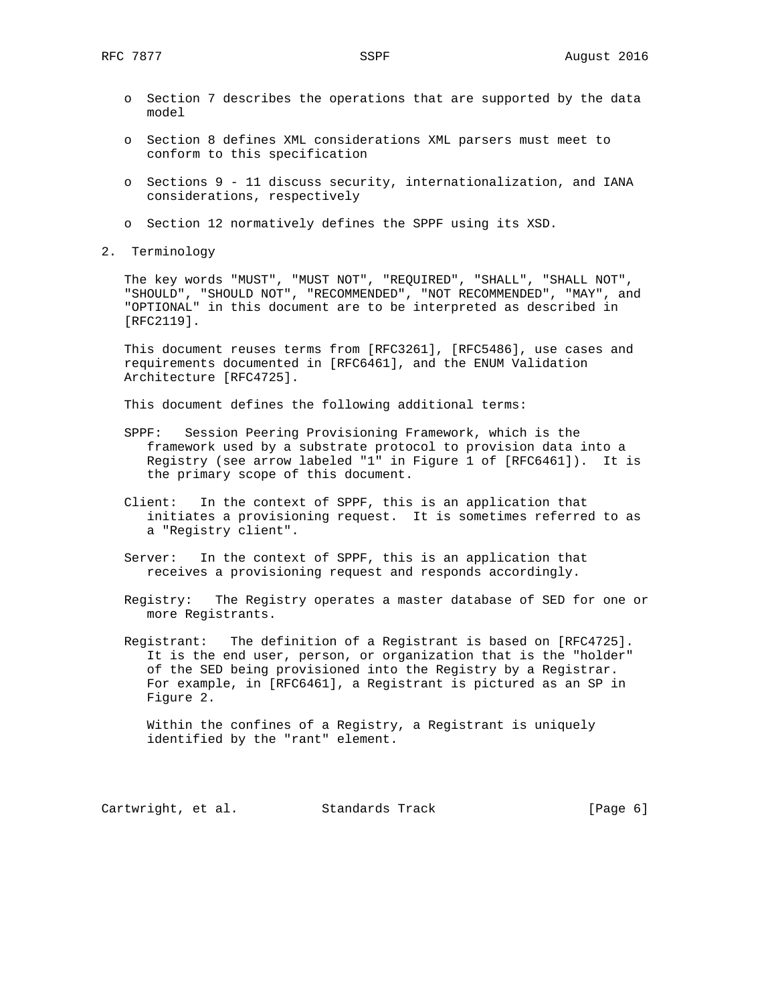- o Section 7 describes the operations that are supported by the data model
- o Section 8 defines XML considerations XML parsers must meet to conform to this specification
- o Sections 9 11 discuss security, internationalization, and IANA considerations, respectively
- o Section 12 normatively defines the SPPF using its XSD.
- 2. Terminology

 The key words "MUST", "MUST NOT", "REQUIRED", "SHALL", "SHALL NOT", "SHOULD", "SHOULD NOT", "RECOMMENDED", "NOT RECOMMENDED", "MAY", and "OPTIONAL" in this document are to be interpreted as described in [RFC2119].

 This document reuses terms from [RFC3261], [RFC5486], use cases and requirements documented in [RFC6461], and the ENUM Validation Architecture [RFC4725].

This document defines the following additional terms:

- SPPF: Session Peering Provisioning Framework, which is the framework used by a substrate protocol to provision data into a Registry (see arrow labeled "1" in Figure 1 of [RFC6461]). It is the primary scope of this document.
- Client: In the context of SPPF, this is an application that initiates a provisioning request. It is sometimes referred to as a "Registry client".
- Server: In the context of SPPF, this is an application that receives a provisioning request and responds accordingly.
- Registry: The Registry operates a master database of SED for one or more Registrants.
- Registrant: The definition of a Registrant is based on [RFC4725]. It is the end user, person, or organization that is the "holder" of the SED being provisioned into the Registry by a Registrar. For example, in [RFC6461], a Registrant is pictured as an SP in Figure 2.

 Within the confines of a Registry, a Registrant is uniquely identified by the "rant" element.

Cartwright, et al. Standards Track [Page 6]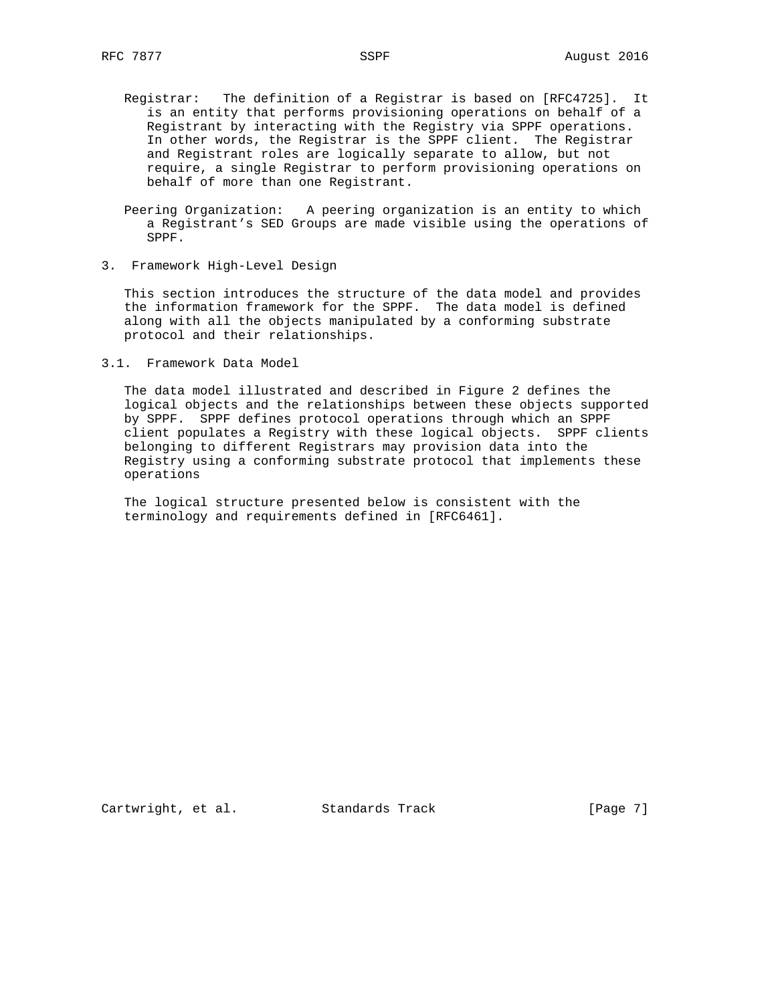- Registrar: The definition of a Registrar is based on [RFC4725]. It is an entity that performs provisioning operations on behalf of a Registrant by interacting with the Registry via SPPF operations. In other words, the Registrar is the SPPF client. The Registrar and Registrant roles are logically separate to allow, but not require, a single Registrar to perform provisioning operations on behalf of more than one Registrant.
- Peering Organization: A peering organization is an entity to which a Registrant's SED Groups are made visible using the operations of SPPF.
- 3. Framework High-Level Design

 This section introduces the structure of the data model and provides the information framework for the SPPF. The data model is defined along with all the objects manipulated by a conforming substrate protocol and their relationships.

3.1. Framework Data Model

 The data model illustrated and described in Figure 2 defines the logical objects and the relationships between these objects supported by SPPF. SPPF defines protocol operations through which an SPPF client populates a Registry with these logical objects. SPPF clients belonging to different Registrars may provision data into the Registry using a conforming substrate protocol that implements these operations

 The logical structure presented below is consistent with the terminology and requirements defined in [RFC6461].

Cartwright, et al. Standards Track [Page 7]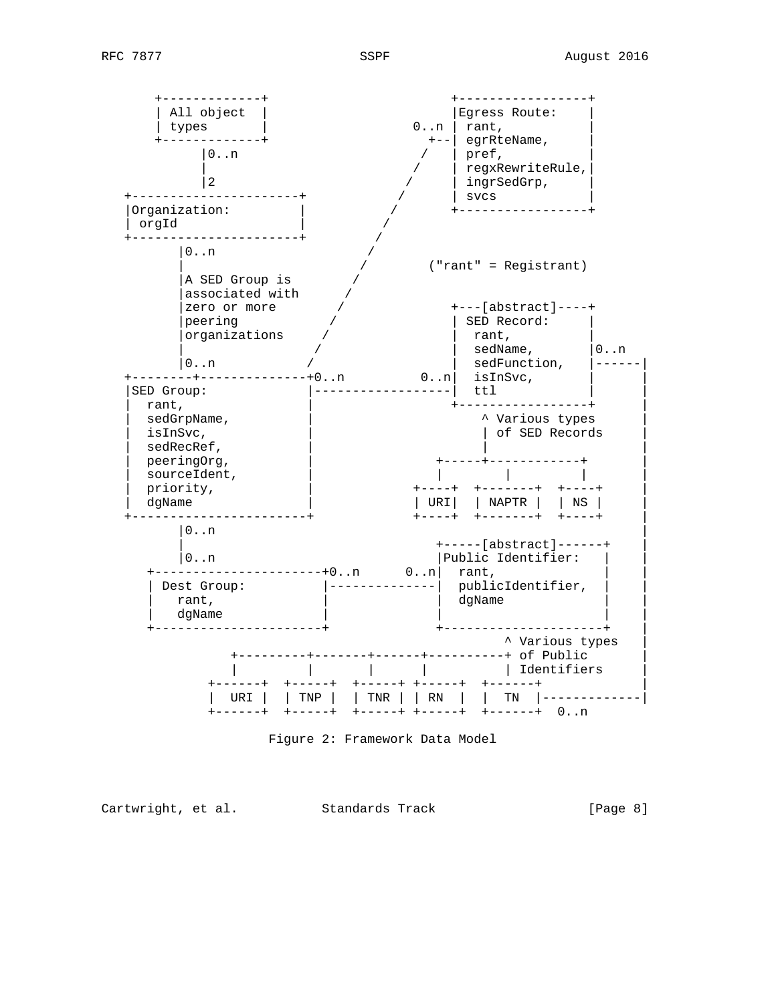

Figure 2: Framework Data Model

Cartwright, et al. Standards Track [Page 8]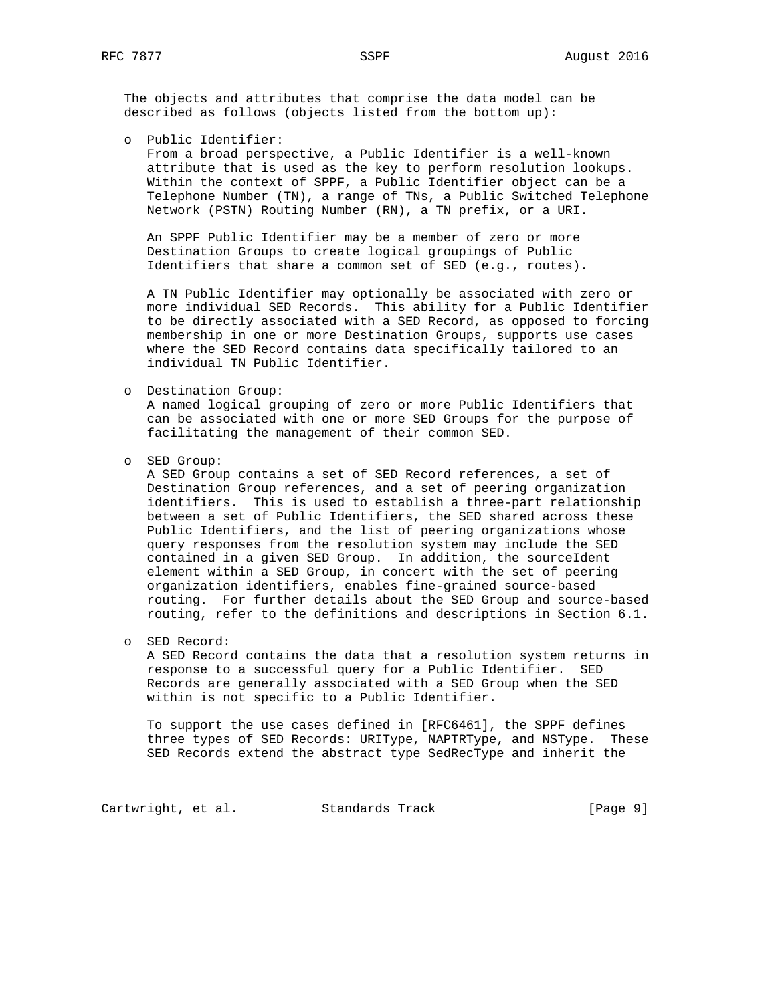The objects and attributes that comprise the data model can be described as follows (objects listed from the bottom up):

o Public Identifier:

 From a broad perspective, a Public Identifier is a well-known attribute that is used as the key to perform resolution lookups. Within the context of SPPF, a Public Identifier object can be a Telephone Number (TN), a range of TNs, a Public Switched Telephone Network (PSTN) Routing Number (RN), a TN prefix, or a URI.

 An SPPF Public Identifier may be a member of zero or more Destination Groups to create logical groupings of Public Identifiers that share a common set of SED (e.g., routes).

 A TN Public Identifier may optionally be associated with zero or more individual SED Records. This ability for a Public Identifier to be directly associated with a SED Record, as opposed to forcing membership in one or more Destination Groups, supports use cases where the SED Record contains data specifically tailored to an individual TN Public Identifier.

o Destination Group:

 A named logical grouping of zero or more Public Identifiers that can be associated with one or more SED Groups for the purpose of facilitating the management of their common SED.

o SED Group:

 A SED Group contains a set of SED Record references, a set of Destination Group references, and a set of peering organization identifiers. This is used to establish a three-part relationship between a set of Public Identifiers, the SED shared across these Public Identifiers, and the list of peering organizations whose query responses from the resolution system may include the SED contained in a given SED Group. In addition, the sourceIdent element within a SED Group, in concert with the set of peering organization identifiers, enables fine-grained source-based routing. For further details about the SED Group and source-based routing, refer to the definitions and descriptions in Section 6.1.

o SED Record:

 A SED Record contains the data that a resolution system returns in response to a successful query for a Public Identifier. SED Records are generally associated with a SED Group when the SED within is not specific to a Public Identifier.

 To support the use cases defined in [RFC6461], the SPPF defines three types of SED Records: URIType, NAPTRType, and NSType. These SED Records extend the abstract type SedRecType and inherit the

Cartwright, et al. Standards Track [Page 9]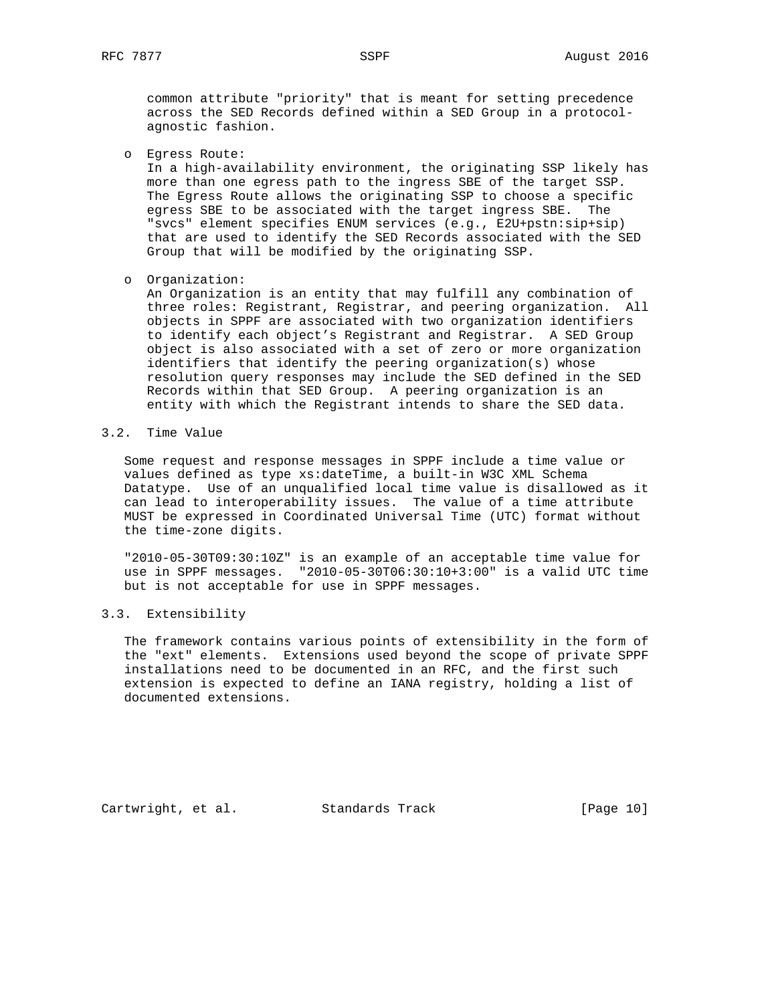common attribute "priority" that is meant for setting precedence across the SED Records defined within a SED Group in a protocol agnostic fashion.

o Egress Route:

 In a high-availability environment, the originating SSP likely has more than one egress path to the ingress SBE of the target SSP. The Egress Route allows the originating SSP to choose a specific egress SBE to be associated with the target ingress SBE. The "svcs" element specifies ENUM services (e.g., E2U+pstn:sip+sip) that are used to identify the SED Records associated with the SED Group that will be modified by the originating SSP.

o Organization:

 An Organization is an entity that may fulfill any combination of three roles: Registrant, Registrar, and peering organization. All objects in SPPF are associated with two organization identifiers to identify each object's Registrant and Registrar. A SED Group object is also associated with a set of zero or more organization identifiers that identify the peering organization(s) whose resolution query responses may include the SED defined in the SED Records within that SED Group. A peering organization is an entity with which the Registrant intends to share the SED data.

3.2. Time Value

 Some request and response messages in SPPF include a time value or values defined as type xs:dateTime, a built-in W3C XML Schema Datatype. Use of an unqualified local time value is disallowed as it can lead to interoperability issues. The value of a time attribute MUST be expressed in Coordinated Universal Time (UTC) format without the time-zone digits.

 "2010-05-30T09:30:10Z" is an example of an acceptable time value for use in SPPF messages. "2010-05-30T06:30:10+3:00" is a valid UTC time but is not acceptable for use in SPPF messages.

## 3.3. Extensibility

 The framework contains various points of extensibility in the form of the "ext" elements. Extensions used beyond the scope of private SPPF installations need to be documented in an RFC, and the first such extension is expected to define an IANA registry, holding a list of documented extensions.

Cartwright, et al. Standards Track [Page 10]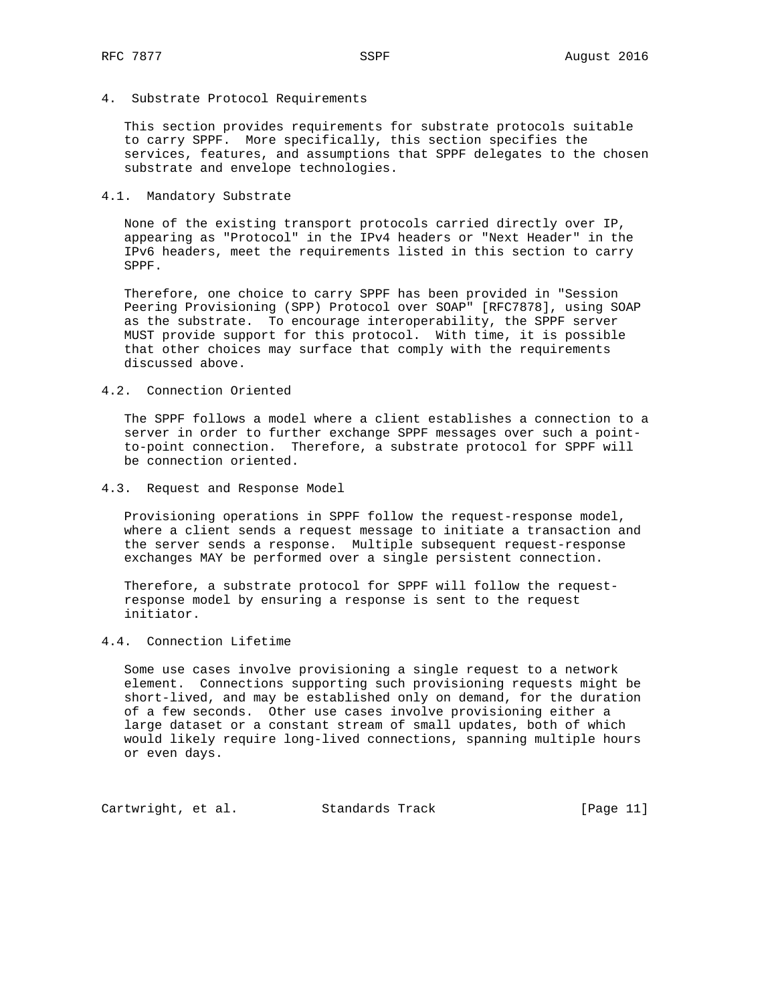4. Substrate Protocol Requirements

 This section provides requirements for substrate protocols suitable to carry SPPF. More specifically, this section specifies the services, features, and assumptions that SPPF delegates to the chosen substrate and envelope technologies.

#### 4.1. Mandatory Substrate

 None of the existing transport protocols carried directly over IP, appearing as "Protocol" in the IPv4 headers or "Next Header" in the IPv6 headers, meet the requirements listed in this section to carry SPPF.

 Therefore, one choice to carry SPPF has been provided in "Session Peering Provisioning (SPP) Protocol over SOAP" [RFC7878], using SOAP as the substrate. To encourage interoperability, the SPPF server MUST provide support for this protocol. With time, it is possible that other choices may surface that comply with the requirements discussed above.

## 4.2. Connection Oriented

 The SPPF follows a model where a client establishes a connection to a server in order to further exchange SPPF messages over such a point to-point connection. Therefore, a substrate protocol for SPPF will be connection oriented.

4.3. Request and Response Model

 Provisioning operations in SPPF follow the request-response model, where a client sends a request message to initiate a transaction and the server sends a response. Multiple subsequent request-response exchanges MAY be performed over a single persistent connection.

 Therefore, a substrate protocol for SPPF will follow the request response model by ensuring a response is sent to the request initiator.

## 4.4. Connection Lifetime

 Some use cases involve provisioning a single request to a network element. Connections supporting such provisioning requests might be short-lived, and may be established only on demand, for the duration of a few seconds. Other use cases involve provisioning either a large dataset or a constant stream of small updates, both of which would likely require long-lived connections, spanning multiple hours or even days.

Cartwright, et al. Standards Track [Page 11]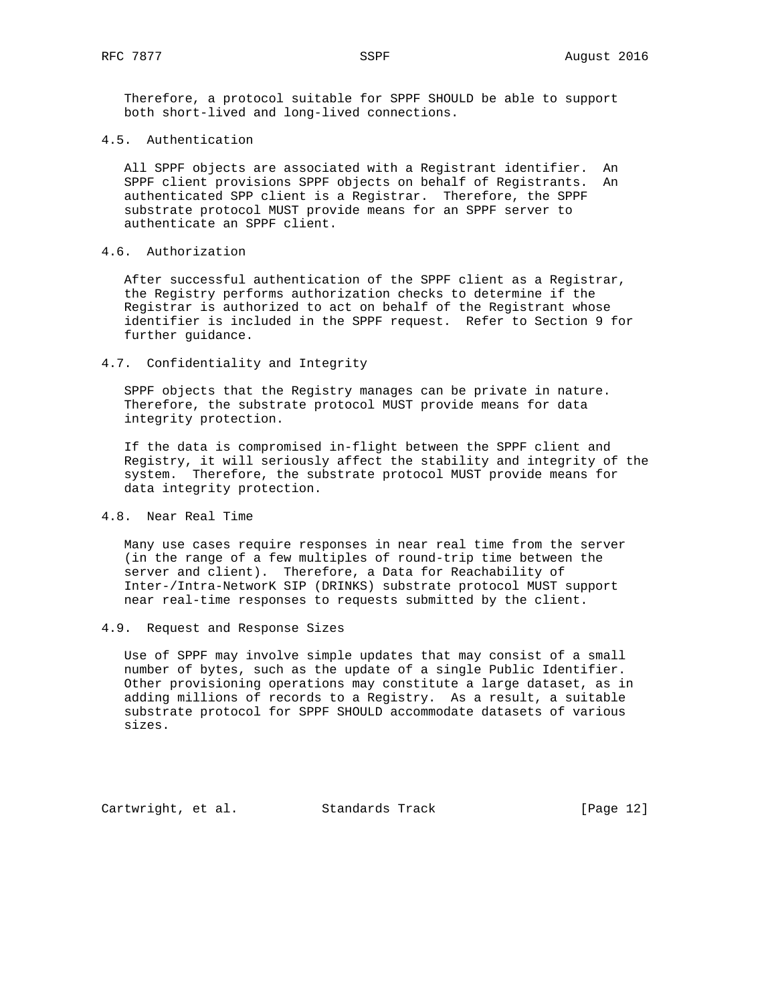Therefore, a protocol suitable for SPPF SHOULD be able to support both short-lived and long-lived connections.

## 4.5. Authentication

 All SPPF objects are associated with a Registrant identifier. An SPPF client provisions SPPF objects on behalf of Registrants. An authenticated SPP client is a Registrar. Therefore, the SPPF substrate protocol MUST provide means for an SPPF server to authenticate an SPPF client.

# 4.6. Authorization

 After successful authentication of the SPPF client as a Registrar, the Registry performs authorization checks to determine if the Registrar is authorized to act on behalf of the Registrant whose identifier is included in the SPPF request. Refer to Section 9 for further guidance.

#### 4.7. Confidentiality and Integrity

 SPPF objects that the Registry manages can be private in nature. Therefore, the substrate protocol MUST provide means for data integrity protection.

 If the data is compromised in-flight between the SPPF client and Registry, it will seriously affect the stability and integrity of the system. Therefore, the substrate protocol MUST provide means for data integrity protection.

# 4.8. Near Real Time

 Many use cases require responses in near real time from the server (in the range of a few multiples of round-trip time between the server and client). Therefore, a Data for Reachability of Inter-/Intra-NetworK SIP (DRINKS) substrate protocol MUST support near real-time responses to requests submitted by the client.

4.9. Request and Response Sizes

 Use of SPPF may involve simple updates that may consist of a small number of bytes, such as the update of a single Public Identifier. Other provisioning operations may constitute a large dataset, as in adding millions of records to a Registry. As a result, a suitable substrate protocol for SPPF SHOULD accommodate datasets of various sizes.

Cartwright, et al. Standards Track [Page 12]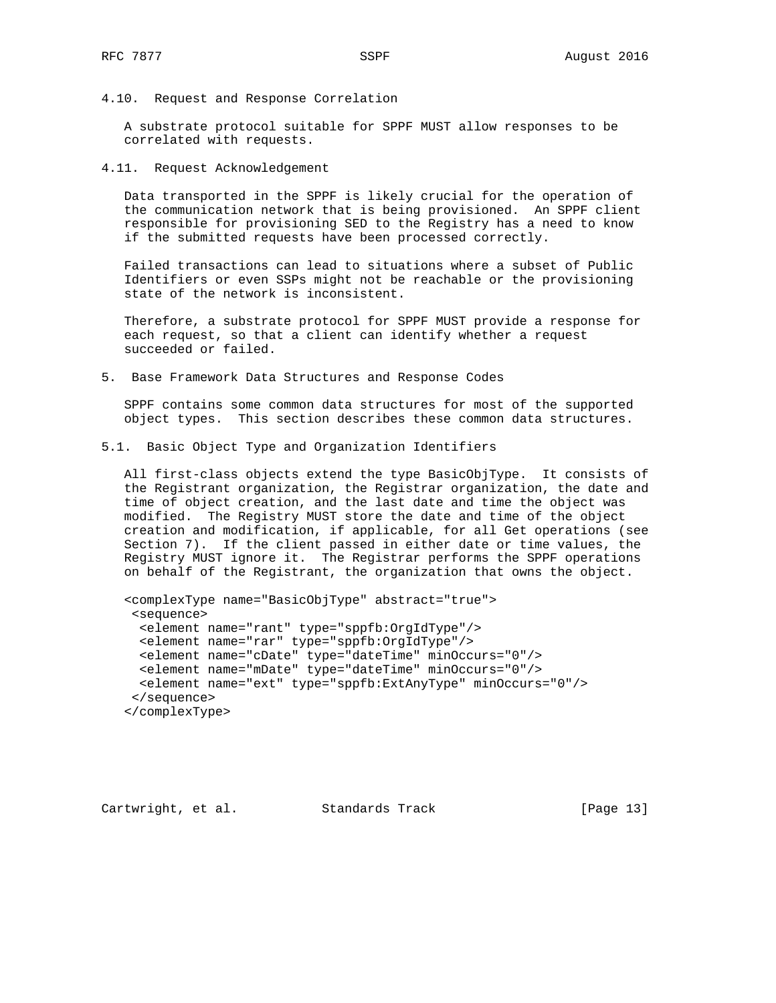4.10. Request and Response Correlation

 A substrate protocol suitable for SPPF MUST allow responses to be correlated with requests.

4.11. Request Acknowledgement

 Data transported in the SPPF is likely crucial for the operation of the communication network that is being provisioned. An SPPF client responsible for provisioning SED to the Registry has a need to know if the submitted requests have been processed correctly.

 Failed transactions can lead to situations where a subset of Public Identifiers or even SSPs might not be reachable or the provisioning state of the network is inconsistent.

 Therefore, a substrate protocol for SPPF MUST provide a response for each request, so that a client can identify whether a request succeeded or failed.

5. Base Framework Data Structures and Response Codes

 SPPF contains some common data structures for most of the supported object types. This section describes these common data structures.

5.1. Basic Object Type and Organization Identifiers

 All first-class objects extend the type BasicObjType. It consists of the Registrant organization, the Registrar organization, the date and time of object creation, and the last date and time the object was modified. The Registry MUST store the date and time of the object creation and modification, if applicable, for all Get operations (see Section 7). If the client passed in either date or time values, the Registry MUST ignore it. The Registrar performs the SPPF operations on behalf of the Registrant, the organization that owns the object.

```
 <complexType name="BasicObjType" abstract="true">
 <sequence>
   <element name="rant" type="sppfb:OrgIdType"/>
  <element name="rar" type="sppfb:OrgIdType"/>
  <element name="cDate" type="dateTime" minOccurs="0"/>
  <element name="mDate" type="dateTime" minOccurs="0"/>
  <element name="ext" type="sppfb:ExtAnyType" minOccurs="0"/>
 </sequence>
 </complexType>
```
Cartwright, et al. Standards Track [Page 13]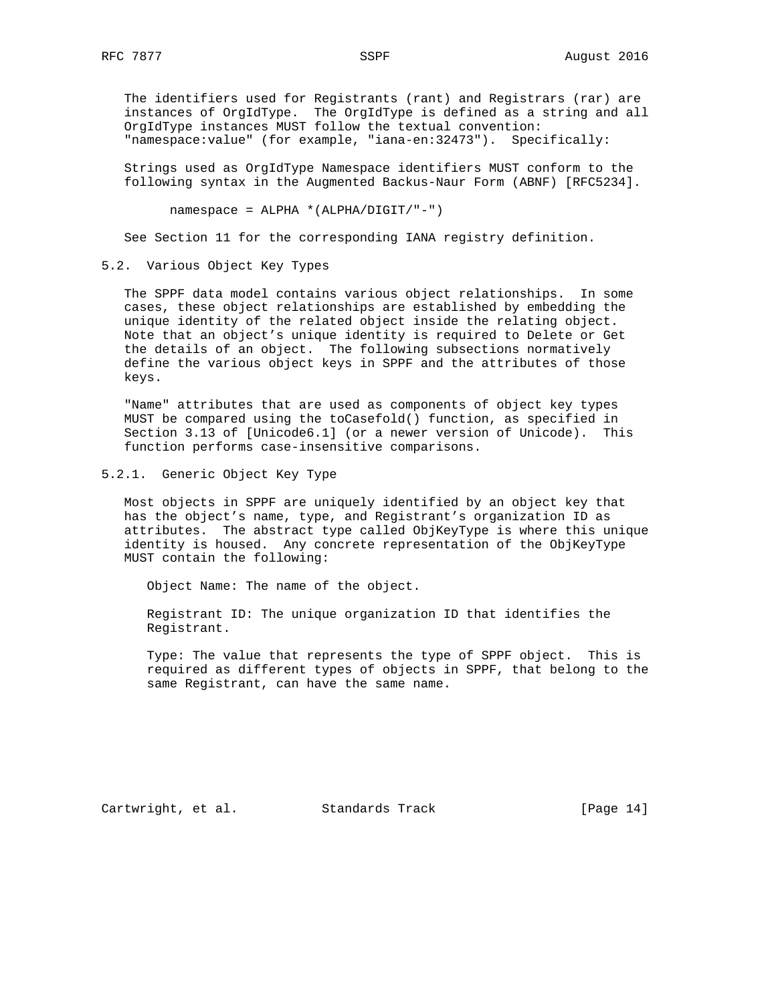The identifiers used for Registrants (rant) and Registrars (rar) are instances of OrgIdType. The OrgIdType is defined as a string and all OrgIdType instances MUST follow the textual convention: "namespace:value" (for example, "iana-en:32473"). Specifically:

 Strings used as OrgIdType Namespace identifiers MUST conform to the following syntax in the Augmented Backus-Naur Form (ABNF) [RFC5234].

namespace = ALPHA \*(ALPHA/DIGIT/"-")

See Section 11 for the corresponding IANA registry definition.

5.2. Various Object Key Types

 The SPPF data model contains various object relationships. In some cases, these object relationships are established by embedding the unique identity of the related object inside the relating object. Note that an object's unique identity is required to Delete or Get the details of an object. The following subsections normatively define the various object keys in SPPF and the attributes of those keys.

 "Name" attributes that are used as components of object key types MUST be compared using the toCasefold() function, as specified in Section 3.13 of [Unicode6.1] (or a newer version of Unicode). This function performs case-insensitive comparisons.

5.2.1. Generic Object Key Type

 Most objects in SPPF are uniquely identified by an object key that has the object's name, type, and Registrant's organization ID as attributes. The abstract type called ObjKeyType is where this unique identity is housed. Any concrete representation of the ObjKeyType MUST contain the following:

Object Name: The name of the object.

 Registrant ID: The unique organization ID that identifies the Registrant.

 Type: The value that represents the type of SPPF object. This is required as different types of objects in SPPF, that belong to the same Registrant, can have the same name.

Cartwright, et al. Standards Track [Page 14]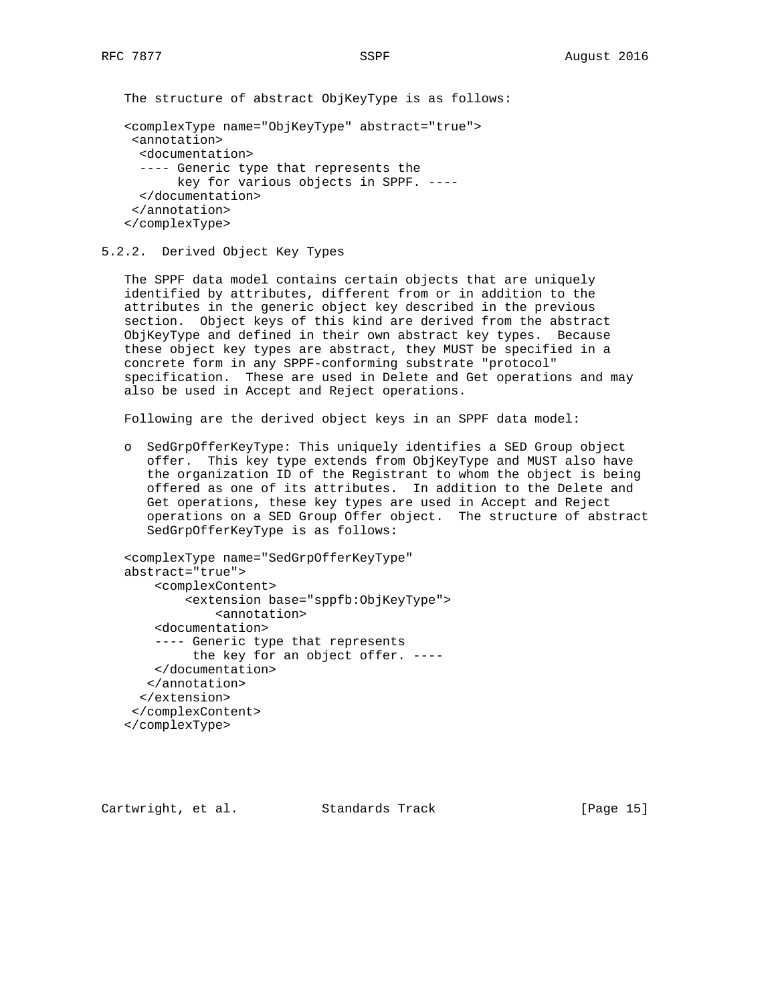The structure of abstract ObjKeyType is as follows:

```
 <complexType name="ObjKeyType" abstract="true">
  <annotation>
   <documentation>
   ---- Generic type that represents the
        key for various objects in SPPF. ----
   </documentation>
  </annotation>
 </complexType>
```
## 5.2.2. Derived Object Key Types

 The SPPF data model contains certain objects that are uniquely identified by attributes, different from or in addition to the attributes in the generic object key described in the previous section. Object keys of this kind are derived from the abstract ObjKeyType and defined in their own abstract key types. Because these object key types are abstract, they MUST be specified in a concrete form in any SPPF-conforming substrate "protocol" specification. These are used in Delete and Get operations and may also be used in Accept and Reject operations.

Following are the derived object keys in an SPPF data model:

 o SedGrpOfferKeyType: This uniquely identifies a SED Group object offer. This key type extends from ObjKeyType and MUST also have the organization ID of the Registrant to whom the object is being offered as one of its attributes. In addition to the Delete and Get operations, these key types are used in Accept and Reject operations on a SED Group Offer object. The structure of abstract SedGrpOfferKeyType is as follows:

```
 <complexType name="SedGrpOfferKeyType"
 abstract="true">
     <complexContent>
         <extension base="sppfb:ObjKeyType">
             <annotation>
     <documentation>
     ---- Generic type that represents
          the key for an object offer. ----
     </documentation>
    </annotation>
   </extension>
  </complexContent>
 </complexType>
```
Cartwright, et al. Standards Track [Page 15]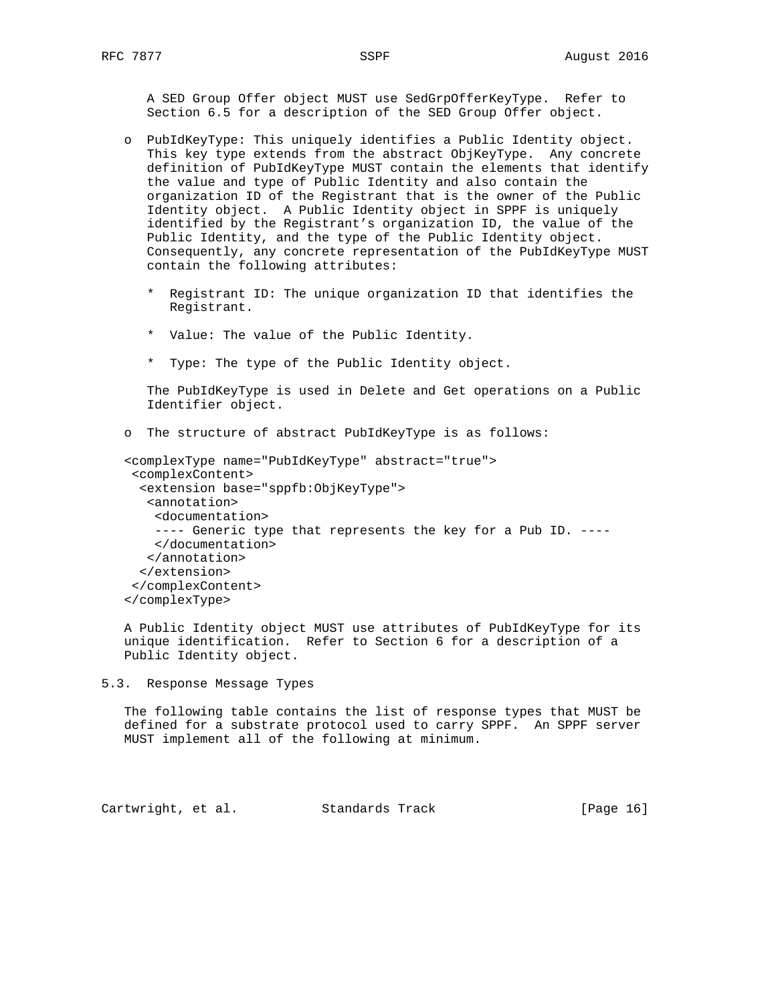A SED Group Offer object MUST use SedGrpOfferKeyType. Refer to Section 6.5 for a description of the SED Group Offer object.

- o PubIdKeyType: This uniquely identifies a Public Identity object. This key type extends from the abstract ObjKeyType. Any concrete definition of PubIdKeyType MUST contain the elements that identify the value and type of Public Identity and also contain the organization ID of the Registrant that is the owner of the Public Identity object. A Public Identity object in SPPF is uniquely identified by the Registrant's organization ID, the value of the Public Identity, and the type of the Public Identity object. Consequently, any concrete representation of the PubIdKeyType MUST contain the following attributes:
	- \* Registrant ID: The unique organization ID that identifies the Registrant.
	- \* Value: The value of the Public Identity.
	- \* Type: The type of the Public Identity object.

 The PubIdKeyType is used in Delete and Get operations on a Public Identifier object.

o The structure of abstract PubIdKeyType is as follows:

```
 <complexType name="PubIdKeyType" abstract="true">
  <complexContent>
   <extension base="sppfb:ObjKeyType">
    <annotation>
    <documentation>
    ---- Generic type that represents the key for a Pub ID. ----
    </documentation>
    </annotation>
   </extension>
  </complexContent>
 </complexType>
```
 A Public Identity object MUST use attributes of PubIdKeyType for its unique identification. Refer to Section 6 for a description of a Public Identity object.

5.3. Response Message Types

 The following table contains the list of response types that MUST be defined for a substrate protocol used to carry SPPF. An SPPF server MUST implement all of the following at minimum.

Cartwright, et al. Standards Track [Page 16]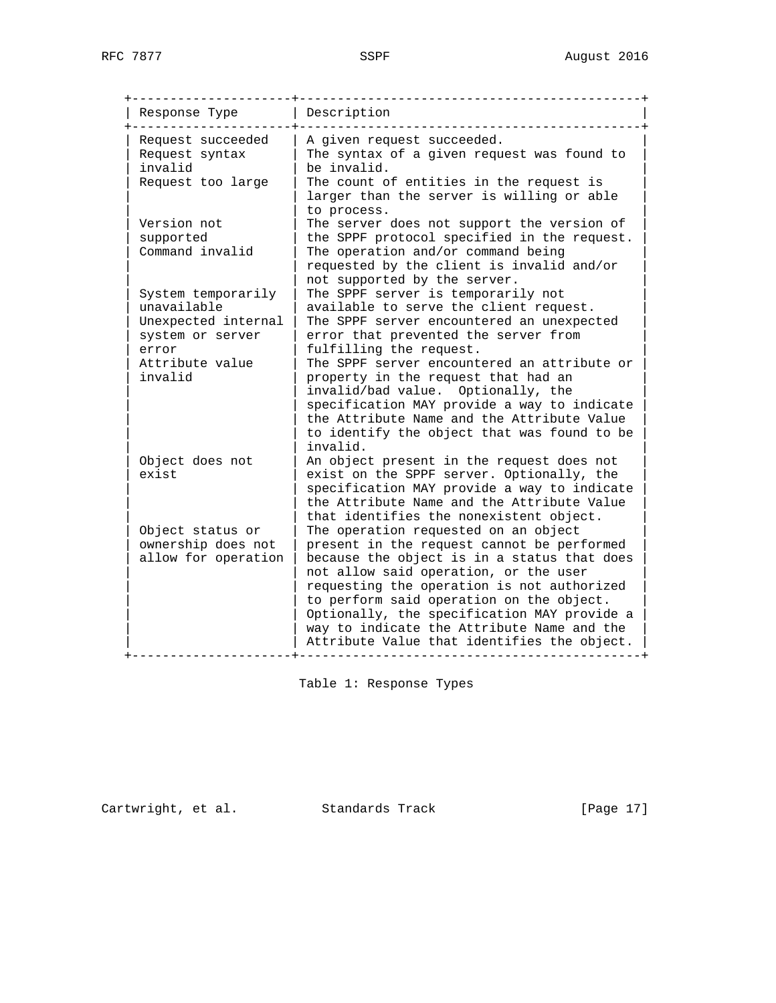| Response Type                                                                                                       | Description                                                                                                                                                                                                                                                                                                                                                                                                                                                                      |
|---------------------------------------------------------------------------------------------------------------------|----------------------------------------------------------------------------------------------------------------------------------------------------------------------------------------------------------------------------------------------------------------------------------------------------------------------------------------------------------------------------------------------------------------------------------------------------------------------------------|
| Request succeeded<br>Request syntax<br>invalid<br>Request too large                                                 | A given request succeeded.<br>The syntax of a given request was found to<br>be invalid.<br>The count of entities in the request is<br>larger than the server is willing or able                                                                                                                                                                                                                                                                                                  |
| Version not<br>supported<br>Command invalid                                                                         | to process.<br>The server does not support the version of<br>the SPPF protocol specified in the request.<br>The operation and/or command being<br>requested by the client is invalid and/or<br>not supported by the server.                                                                                                                                                                                                                                                      |
| System temporarily<br>unavailable<br>Unexpected internal<br>system or server<br>error<br>Attribute value<br>invalid | The SPPF server is temporarily not<br>available to serve the client request.<br>The SPPF server encountered an unexpected<br>error that prevented the server from<br>fulfilling the request.<br>The SPPF server encountered an attribute or<br>property in the request that had an<br>invalid/bad value. Optionally, the<br>specification MAY provide a way to indicate<br>the Attribute Name and the Attribute Value<br>to identify the object that was found to be<br>invalid. |
| Object does not<br>exist                                                                                            | An object present in the request does not<br>exist on the SPPF server. Optionally, the<br>specification MAY provide a way to indicate<br>the Attribute Name and the Attribute Value<br>that identifies the nonexistent object.                                                                                                                                                                                                                                                   |
| Object status or<br>ownership does not<br>allow for operation                                                       | The operation requested on an object<br>present in the request cannot be performed<br>because the object is in a status that does<br>not allow said operation, or the user<br>requesting the operation is not authorized<br>to perform said operation on the object.<br>Optionally, the specification MAY provide a<br>way to indicate the Attribute Name and the<br>Attribute Value that identifies the object.                                                                 |

Table 1: Response Types

Cartwright, et al. Standards Track [Page 17]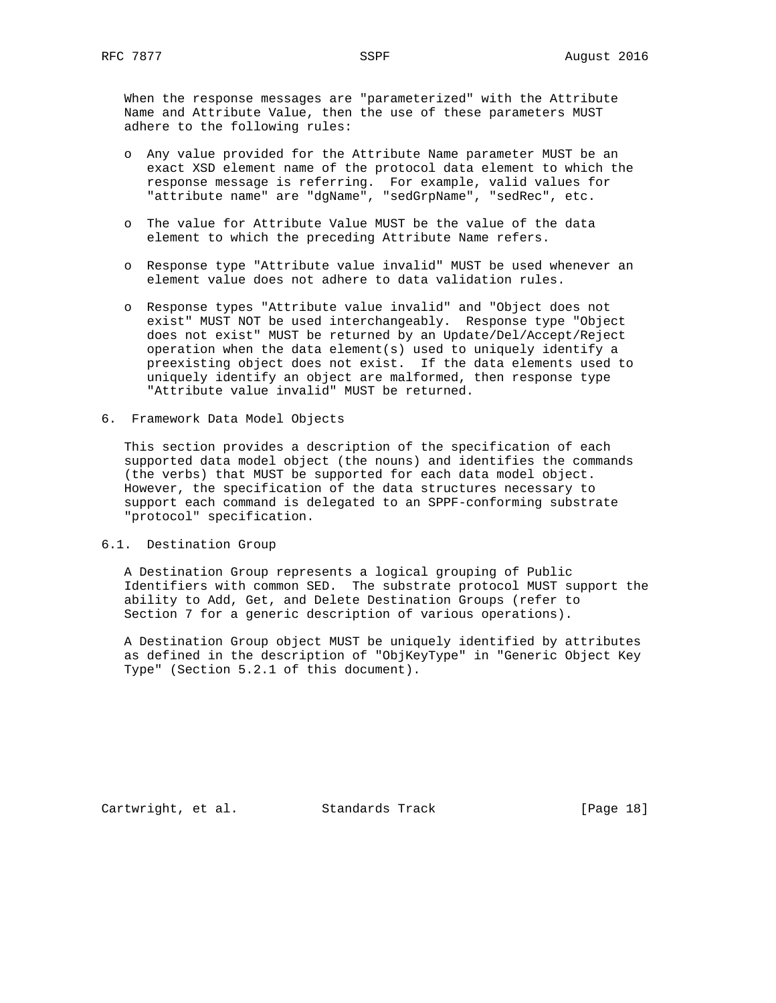When the response messages are "parameterized" with the Attribute Name and Attribute Value, then the use of these parameters MUST adhere to the following rules:

- o Any value provided for the Attribute Name parameter MUST be an exact XSD element name of the protocol data element to which the response message is referring. For example, valid values for "attribute name" are "dgName", "sedGrpName", "sedRec", etc.
- o The value for Attribute Value MUST be the value of the data element to which the preceding Attribute Name refers.
- o Response type "Attribute value invalid" MUST be used whenever an element value does not adhere to data validation rules.
- o Response types "Attribute value invalid" and "Object does not exist" MUST NOT be used interchangeably. Response type "Object does not exist" MUST be returned by an Update/Del/Accept/Reject operation when the data element(s) used to uniquely identify a preexisting object does not exist. If the data elements used to uniquely identify an object are malformed, then response type "Attribute value invalid" MUST be returned.
- 6. Framework Data Model Objects

 This section provides a description of the specification of each supported data model object (the nouns) and identifies the commands (the verbs) that MUST be supported for each data model object. However, the specification of the data structures necessary to support each command is delegated to an SPPF-conforming substrate "protocol" specification.

### 6.1. Destination Group

 A Destination Group represents a logical grouping of Public Identifiers with common SED. The substrate protocol MUST support the ability to Add, Get, and Delete Destination Groups (refer to Section 7 for a generic description of various operations).

 A Destination Group object MUST be uniquely identified by attributes as defined in the description of "ObjKeyType" in "Generic Object Key Type" (Section 5.2.1 of this document).

Cartwright, et al. Standards Track [Page 18]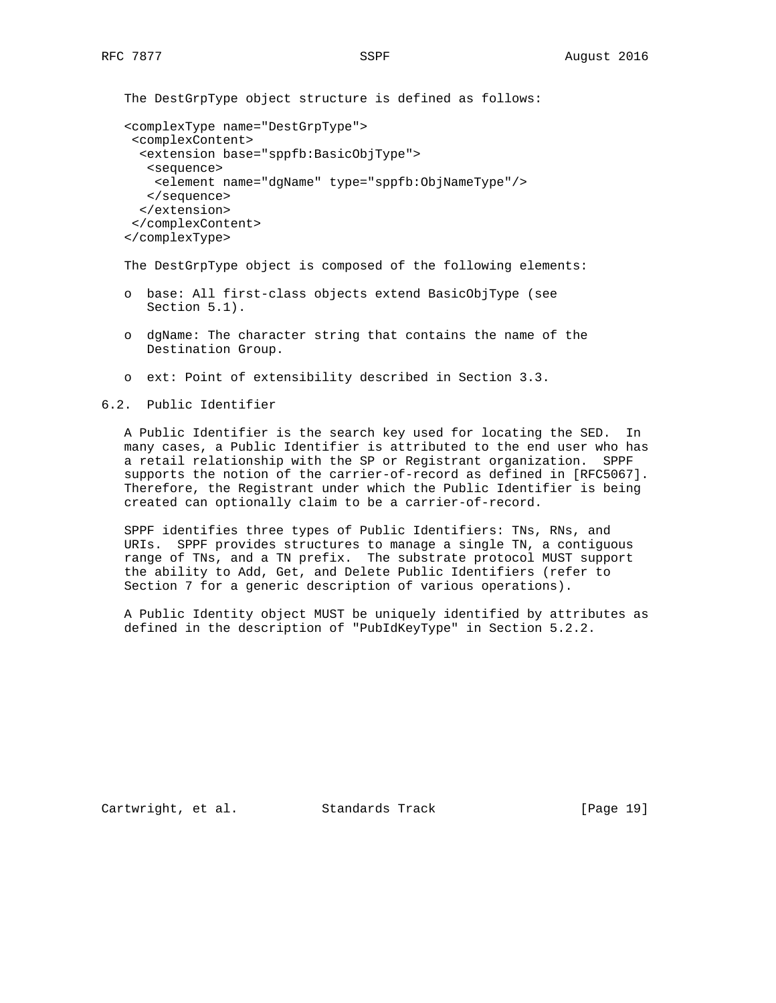The DestGrpType object structure is defined as follows:

```
 <complexType name="DestGrpType">
 <complexContent>
   <extension base="sppfb:BasicObjType">
   <sequence>
    <element name="dgName" type="sppfb:ObjNameType"/>
   </sequence>
   </extension>
  </complexContent>
 </complexType>
```
The DestGrpType object is composed of the following elements:

- o base: All first-class objects extend BasicObjType (see Section 5.1).
- o dgName: The character string that contains the name of the Destination Group.
- o ext: Point of extensibility described in Section 3.3.

6.2. Public Identifier

 A Public Identifier is the search key used for locating the SED. In many cases, a Public Identifier is attributed to the end user who has a retail relationship with the SP or Registrant organization. SPPF supports the notion of the carrier-of-record as defined in [RFC5067]. Therefore, the Registrant under which the Public Identifier is being created can optionally claim to be a carrier-of-record.

 SPPF identifies three types of Public Identifiers: TNs, RNs, and URIs. SPPF provides structures to manage a single TN, a contiguous range of TNs, and a TN prefix. The substrate protocol MUST support the ability to Add, Get, and Delete Public Identifiers (refer to Section 7 for a generic description of various operations).

 A Public Identity object MUST be uniquely identified by attributes as defined in the description of "PubIdKeyType" in Section 5.2.2.

Cartwright, et al. Standards Track [Page 19]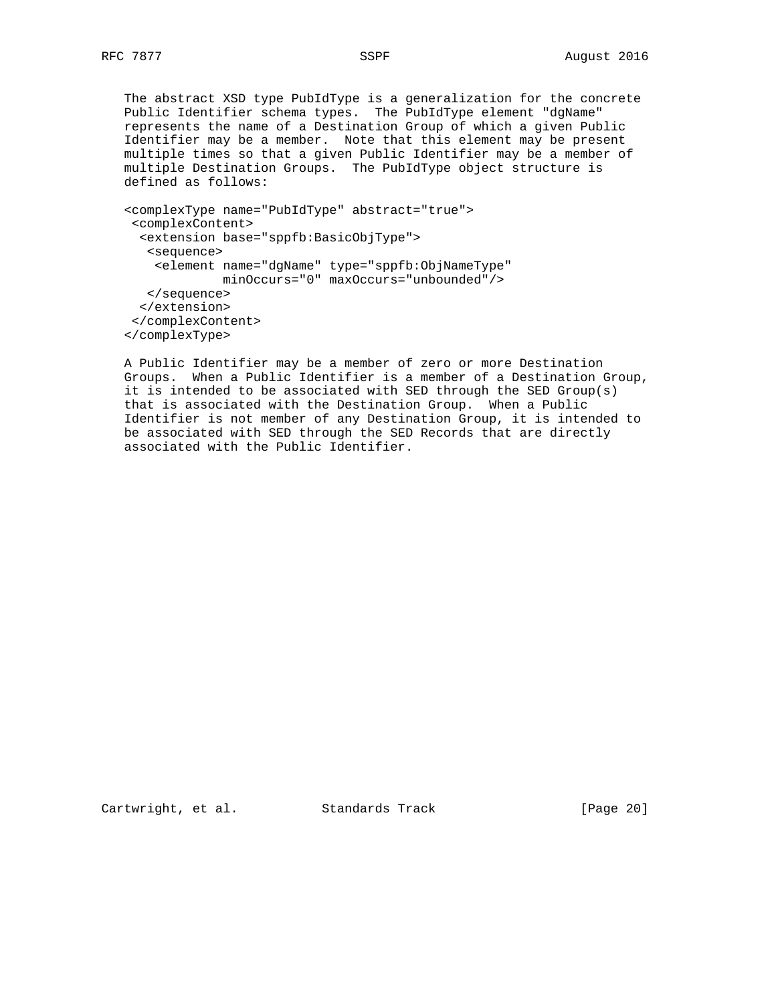The abstract XSD type PubIdType is a generalization for the concrete Public Identifier schema types. The PubIdType element "dgName" represents the name of a Destination Group of which a given Public Identifier may be a member. Note that this element may be present multiple times so that a given Public Identifier may be a member of multiple Destination Groups. The PubIdType object structure is defined as follows:

```
 <complexType name="PubIdType" abstract="true">
 <complexContent>
  <extension base="sppfb:BasicObjType">
   <sequence>
    <element name="dgName" type="sppfb:ObjNameType"
           minOccurs="0" maxOccurs="unbounded"/>
   </sequence>
  </extension>
 </complexContent>
 </complexType>
```
 A Public Identifier may be a member of zero or more Destination Groups. When a Public Identifier is a member of a Destination Group, it is intended to be associated with SED through the SED Group(s) that is associated with the Destination Group. When a Public Identifier is not member of any Destination Group, it is intended to be associated with SED through the SED Records that are directly associated with the Public Identifier.

Cartwright, et al. Standards Track [Page 20]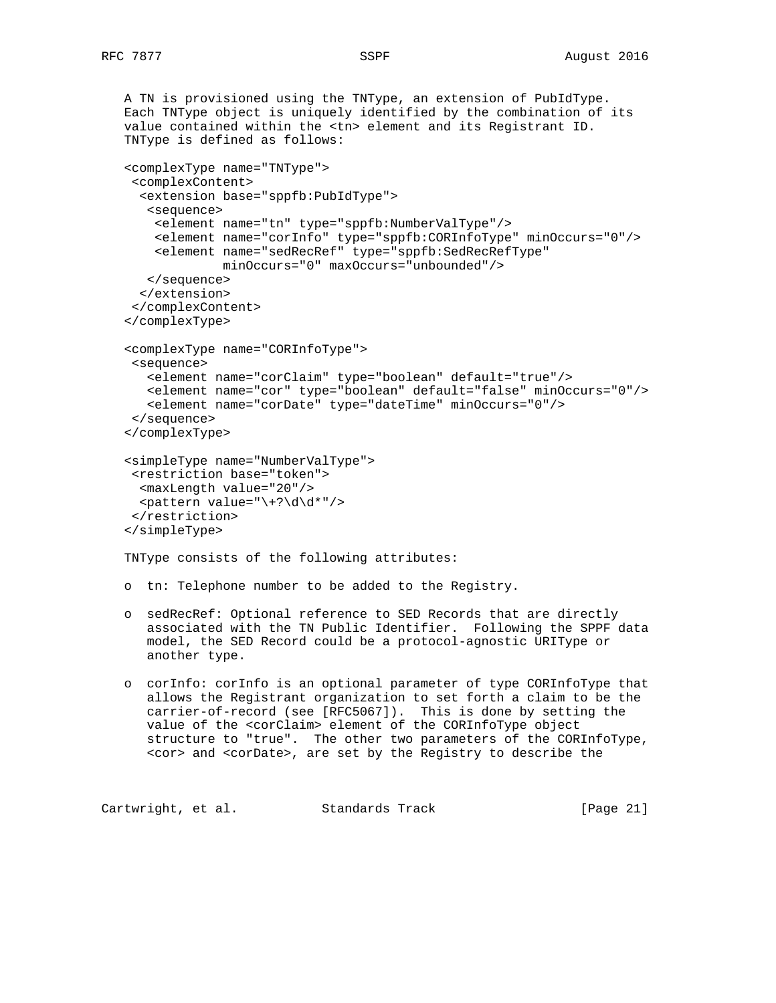```
 A TN is provisioned using the TNType, an extension of PubIdType.
 Each TNType object is uniquely identified by the combination of its
 value contained within the <tn> element and its Registrant ID.
 TNType is defined as follows:
 <complexType name="TNType">
  <complexContent>
   <extension base="sppfb:PubIdType">
    <sequence>
     <element name="tn" type="sppfb:NumberValType"/>
     <element name="corInfo" type="sppfb:CORInfoType" minOccurs="0"/>
     <element name="sedRecRef" type="sppfb:SedRecRefType"
              minOccurs="0" maxOccurs="unbounded"/>
    </sequence>
   </extension>
  </complexContent>
 </complexType>
 <complexType name="CORInfoType">
  <sequence>
    <element name="corClaim" type="boolean" default="true"/>
    <element name="cor" type="boolean" default="false" minOccurs="0"/>
    <element name="corDate" type="dateTime" minOccurs="0"/>
  </sequence>
 </complexType>
 <simpleType name="NumberValType">
  <restriction base="token">
   <maxLength value="20"/>
  \theta <pattern value="\+?\d\d*"/>
  </restriction>
 </simpleType>
 TNType consists of the following attributes:
 o tn: Telephone number to be added to the Registry.
 o sedRecRef: Optional reference to SED Records that are directly
    associated with the TN Public Identifier. Following the SPPF data
    model, the SED Record could be a protocol-agnostic URIType or
    another type.
 o corInfo: corInfo is an optional parameter of type CORInfoType that
```
 allows the Registrant organization to set forth a claim to be the carrier-of-record (see [RFC5067]). This is done by setting the value of the <corClaim> element of the CORInfoType object structure to "true". The other two parameters of the CORInfoType, <cor> and <corDate>, are set by the Registry to describe the

```
Cartwright, et al. Standards Track [Page 21]
```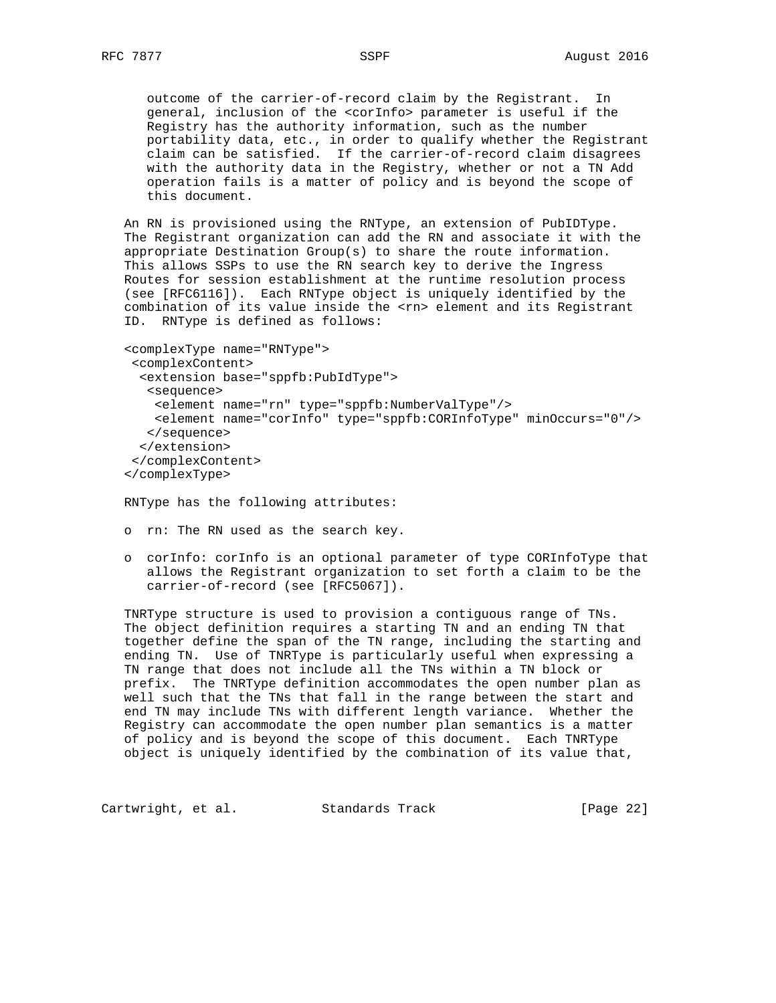outcome of the carrier-of-record claim by the Registrant. In general, inclusion of the <corInfo> parameter is useful if the Registry has the authority information, such as the number portability data, etc., in order to qualify whether the Registrant claim can be satisfied. If the carrier-of-record claim disagrees with the authority data in the Registry, whether or not a TN Add operation fails is a matter of policy and is beyond the scope of this document.

 An RN is provisioned using the RNType, an extension of PubIDType. The Registrant organization can add the RN and associate it with the appropriate Destination Group(s) to share the route information. This allows SSPs to use the RN search key to derive the Ingress Routes for session establishment at the runtime resolution process (see [RFC6116]). Each RNType object is uniquely identified by the combination of its value inside the <rn> element and its Registrant ID. RNType is defined as follows:

```
 <complexType name="RNType">
 <complexContent>
  <extension base="sppfb:PubIdType">
   <sequence>
    <element name="rn" type="sppfb:NumberValType"/>
    <element name="corInfo" type="sppfb:CORInfoType" minOccurs="0"/>
   </sequence>
   </extension>
  </complexContent>
 </complexType>
```
RNType has the following attributes:

- o rn: The RN used as the search key.
- o corInfo: corInfo is an optional parameter of type CORInfoType that allows the Registrant organization to set forth a claim to be the carrier-of-record (see [RFC5067]).

 TNRType structure is used to provision a contiguous range of TNs. The object definition requires a starting TN and an ending TN that together define the span of the TN range, including the starting and ending TN. Use of TNRType is particularly useful when expressing a TN range that does not include all the TNs within a TN block or prefix. The TNRType definition accommodates the open number plan as well such that the TNs that fall in the range between the start and end TN may include TNs with different length variance. Whether the Registry can accommodate the open number plan semantics is a matter of policy and is beyond the scope of this document. Each TNRType object is uniquely identified by the combination of its value that,

Cartwright, et al. Standards Track [Page 22]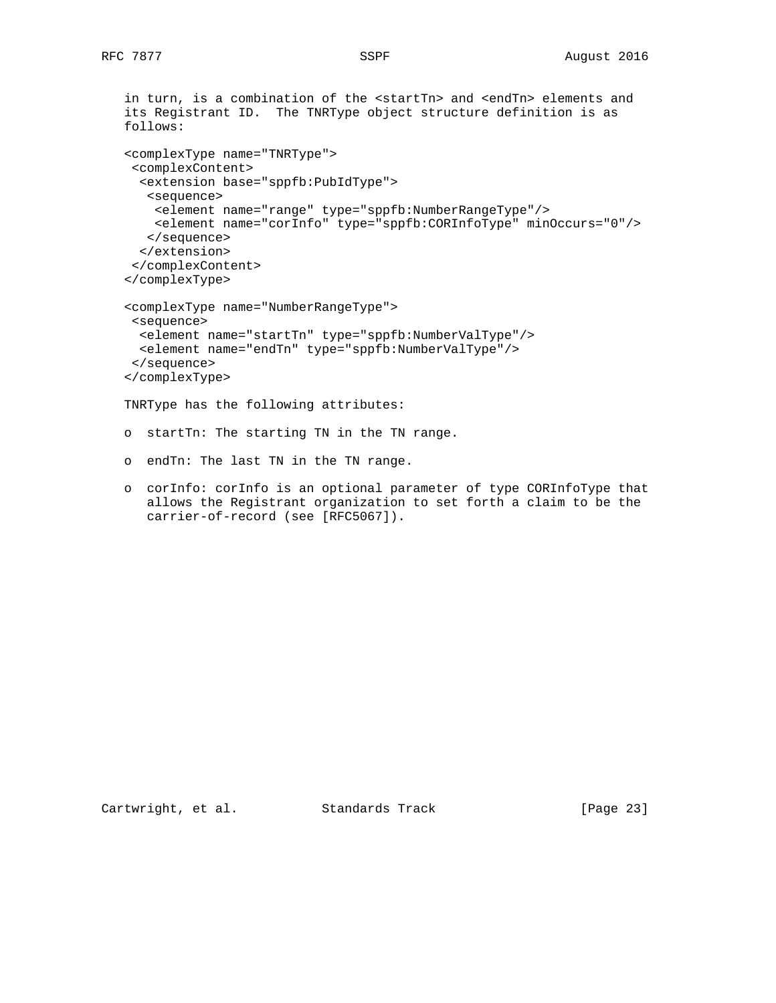```
 in turn, is a combination of the <startTn> and <endTn> elements and
 its Registrant ID. The TNRType object structure definition is as
 follows:
 <complexType name="TNRType">
  <complexContent>
   <extension base="sppfb:PubIdType">
   <sequence>
    <element name="range" type="sppfb:NumberRangeType"/>
     <element name="corInfo" type="sppfb:CORInfoType" minOccurs="0"/>
    </sequence>
   </extension>
  </complexContent>
 </complexType>
 <complexType name="NumberRangeType">
  <sequence>
   <element name="startTn" type="sppfb:NumberValType"/>
  <element name="endTn" type="sppfb:NumberValType"/>
  </sequence>
 </complexType>
 TNRType has the following attributes:
 o startTn: The starting TN in the TN range.
 o endTn: The last TN in the TN range.
 o corInfo: corInfo is an optional parameter of type CORInfoType that
```
allows the Registrant organization to set forth a claim to be the

carrier-of-record (see [RFC5067]).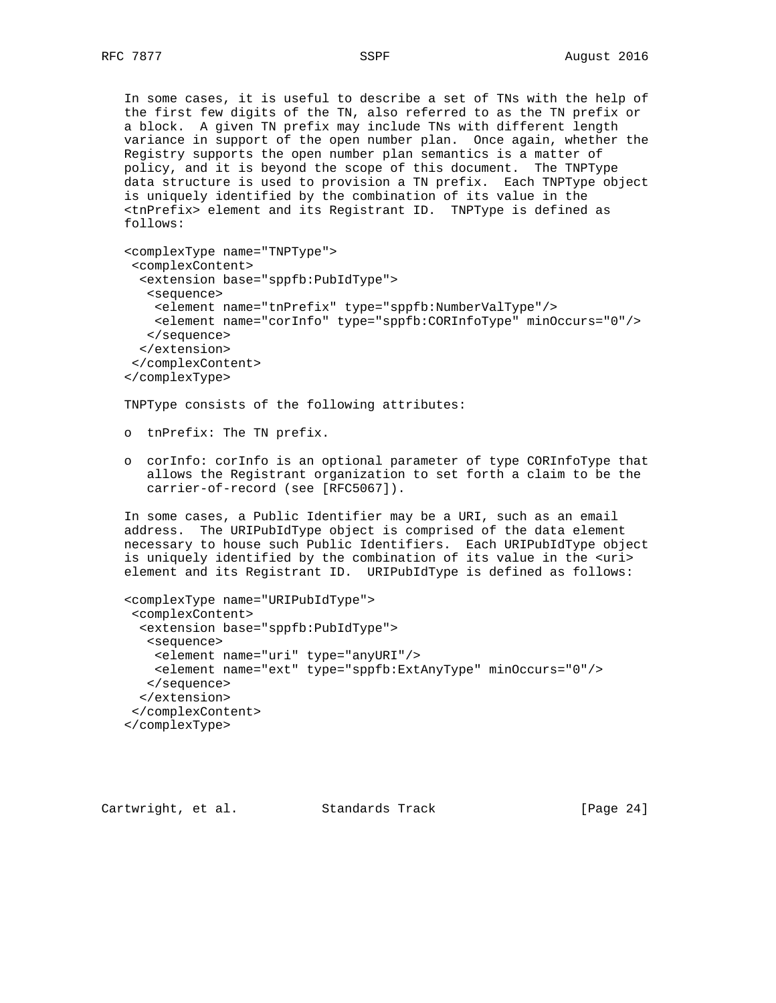In some cases, it is useful to describe a set of TNs with the help of the first few digits of the TN, also referred to as the TN prefix or a block. A given TN prefix may include TNs with different length variance in support of the open number plan. Once again, whether the Registry supports the open number plan semantics is a matter of policy, and it is beyond the scope of this document. The TNPType data structure is used to provision a TN prefix. Each TNPType object is uniquely identified by the combination of its value in the <tnPrefix> element and its Registrant ID. TNPType is defined as follows:

```
 <complexType name="TNPType">
  <complexContent>
   <extension base="sppfb:PubIdType">
    <sequence>
    <element name="tnPrefix" type="sppfb:NumberValType"/>
    <element name="corInfo" type="sppfb:CORInfoType" minOccurs="0"/>
    </sequence>
  </extension>
  </complexContent>
 </complexType>
```
TNPType consists of the following attributes:

o tnPrefix: The TN prefix.

 o corInfo: corInfo is an optional parameter of type CORInfoType that allows the Registrant organization to set forth a claim to be the carrier-of-record (see [RFC5067]).

 In some cases, a Public Identifier may be a URI, such as an email address. The URIPubIdType object is comprised of the data element necessary to house such Public Identifiers. Each URIPubIdType object is uniquely identified by the combination of its value in the <uri> element and its Registrant ID. URIPubIdType is defined as follows:

```
 <complexType name="URIPubIdType">
  <complexContent>
   <extension base="sppfb:PubIdType">
    <sequence>
     <element name="uri" type="anyURI"/>
     <element name="ext" type="sppfb:ExtAnyType" minOccurs="0"/>
    </sequence>
   </extension>
  </complexContent>
 </complexType>
```
Cartwright, et al. Standards Track [Page 24]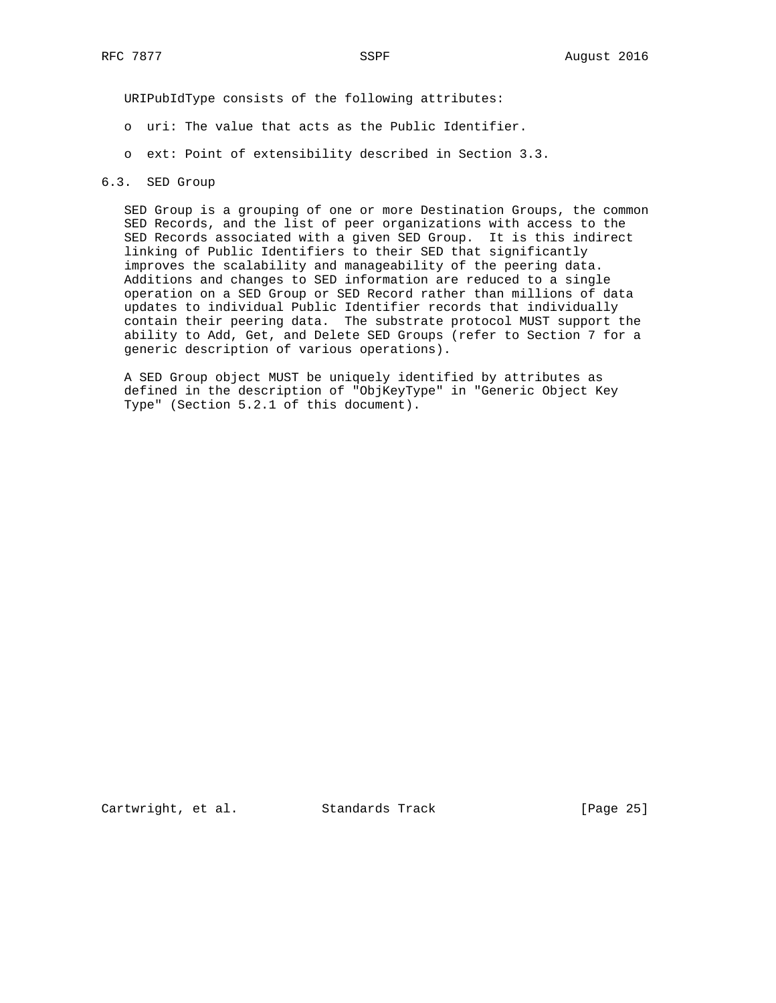URIPubIdType consists of the following attributes:

- o uri: The value that acts as the Public Identifier.
- o ext: Point of extensibility described in Section 3.3.

## 6.3. SED Group

 SED Group is a grouping of one or more Destination Groups, the common SED Records, and the list of peer organizations with access to the SED Records associated with a given SED Group. It is this indirect linking of Public Identifiers to their SED that significantly improves the scalability and manageability of the peering data. Additions and changes to SED information are reduced to a single operation on a SED Group or SED Record rather than millions of data updates to individual Public Identifier records that individually contain their peering data. The substrate protocol MUST support the ability to Add, Get, and Delete SED Groups (refer to Section 7 for a generic description of various operations).

 A SED Group object MUST be uniquely identified by attributes as defined in the description of "ObjKeyType" in "Generic Object Key Type" (Section 5.2.1 of this document).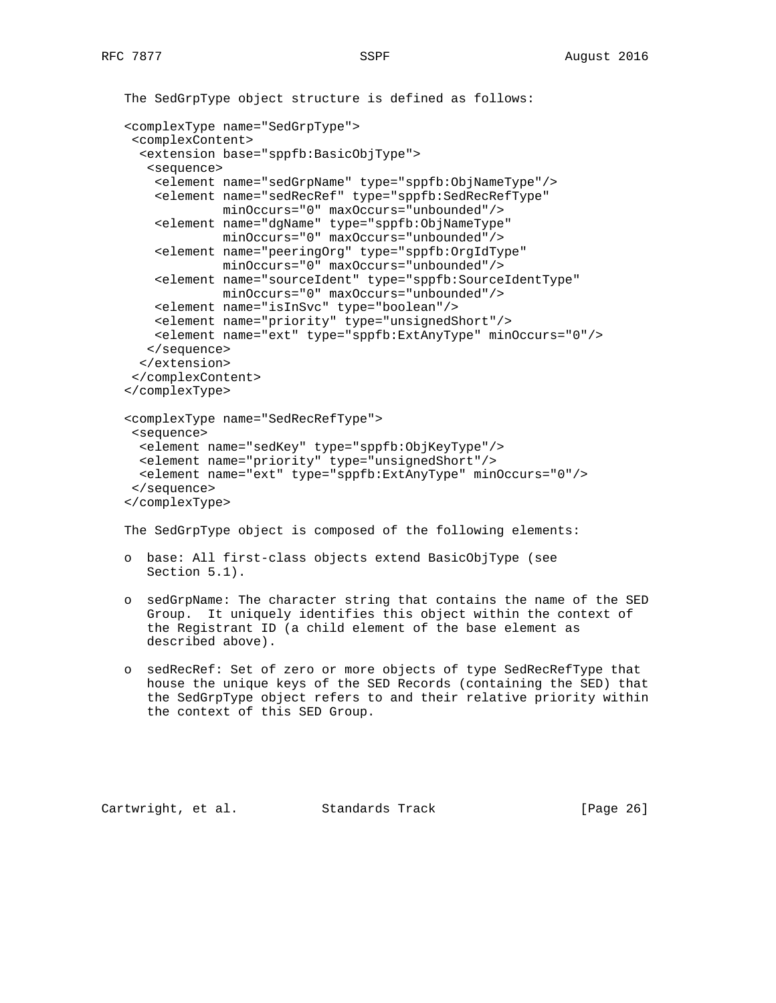```
 The SedGrpType object structure is defined as follows:
 <complexType name="SedGrpType">
  <complexContent>
   <extension base="sppfb:BasicObjType">
    <sequence>
     <element name="sedGrpName" type="sppfb:ObjNameType"/>
     <element name="sedRecRef" type="sppfb:SedRecRefType"
              minOccurs="0" maxOccurs="unbounded"/>
     <element name="dgName" type="sppfb:ObjNameType"
              minOccurs="0" maxOccurs="unbounded"/>
     <element name="peeringOrg" type="sppfb:OrgIdType"
             minOccurs="0" maxOccurs="unbounded"/>
     <element name="sourceIdent" type="sppfb:SourceIdentType"
              minOccurs="0" maxOccurs="unbounded"/>
     <element name="isInSvc" type="boolean"/>
     <element name="priority" type="unsignedShort"/>
     <element name="ext" type="sppfb:ExtAnyType" minOccurs="0"/>
    </sequence>
   </extension>
  </complexContent>
 </complexType>
 <complexType name="SedRecRefType">
  <sequence>
   <element name="sedKey" type="sppfb:ObjKeyType"/>
   <element name="priority" type="unsignedShort"/>
  <element name="ext" type="sppfb:ExtAnyType" minOccurs="0"/>
  </sequence>
 </complexType>
 The SedGrpType object is composed of the following elements:
 o base: All first-class objects extend BasicObjType (see
   Section 5.1).
```
- o sedGrpName: The character string that contains the name of the SED Group. It uniquely identifies this object within the context of the Registrant ID (a child element of the base element as described above).
- o sedRecRef: Set of zero or more objects of type SedRecRefType that house the unique keys of the SED Records (containing the SED) that the SedGrpType object refers to and their relative priority within the context of this SED Group.

Cartwright, et al. Standards Track [Page 26]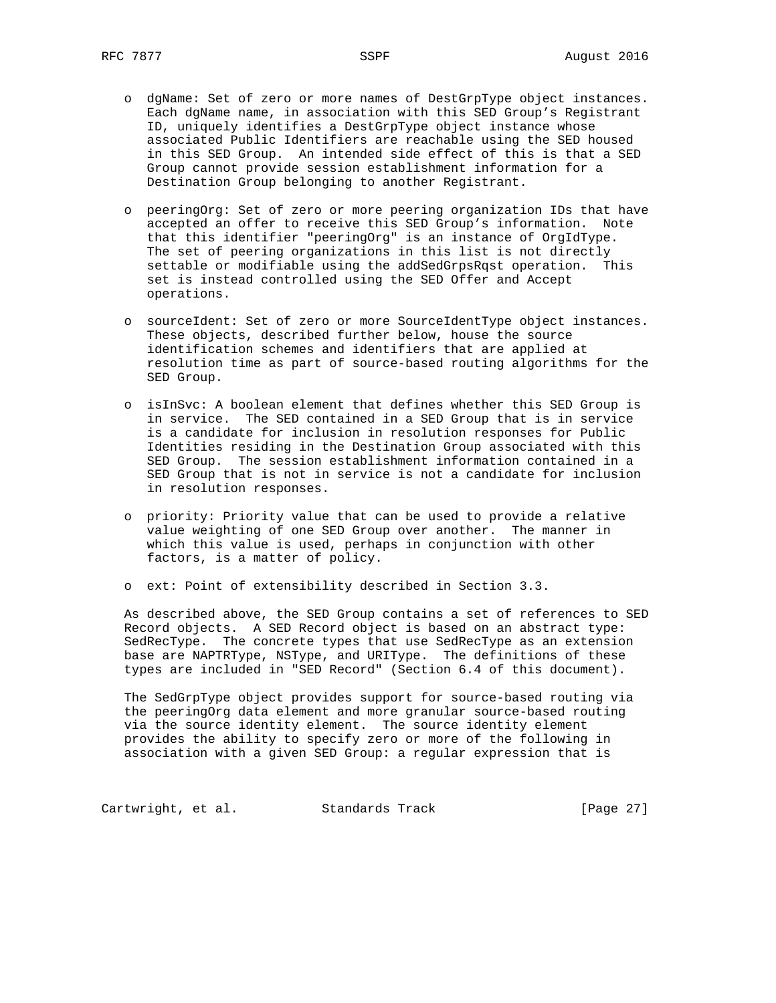- o dgName: Set of zero or more names of DestGrpType object instances. Each dgName name, in association with this SED Group's Registrant ID, uniquely identifies a DestGrpType object instance whose associated Public Identifiers are reachable using the SED housed in this SED Group. An intended side effect of this is that a SED Group cannot provide session establishment information for a Destination Group belonging to another Registrant.
- o peeringOrg: Set of zero or more peering organization IDs that have accepted an offer to receive this SED Group's information. Note that this identifier "peeringOrg" is an instance of OrgIdType. The set of peering organizations in this list is not directly settable or modifiable using the addSedGrpsRqst operation. This set is instead controlled using the SED Offer and Accept operations.
- o sourceIdent: Set of zero or more SourceIdentType object instances. These objects, described further below, house the source identification schemes and identifiers that are applied at resolution time as part of source-based routing algorithms for the SED Group.
- o isInSvc: A boolean element that defines whether this SED Group is in service. The SED contained in a SED Group that is in service is a candidate for inclusion in resolution responses for Public Identities residing in the Destination Group associated with this SED Group. The session establishment information contained in a SED Group that is not in service is not a candidate for inclusion in resolution responses.
- o priority: Priority value that can be used to provide a relative value weighting of one SED Group over another. The manner in which this value is used, perhaps in conjunction with other factors, is a matter of policy.
- o ext: Point of extensibility described in Section 3.3.

 As described above, the SED Group contains a set of references to SED Record objects. A SED Record object is based on an abstract type: SedRecType. The concrete types that use SedRecType as an extension base are NAPTRType, NSType, and URIType. The definitions of these types are included in "SED Record" (Section 6.4 of this document).

 The SedGrpType object provides support for source-based routing via the peeringOrg data element and more granular source-based routing via the source identity element. The source identity element provides the ability to specify zero or more of the following in association with a given SED Group: a regular expression that is

Cartwright, et al. Standards Track [Page 27]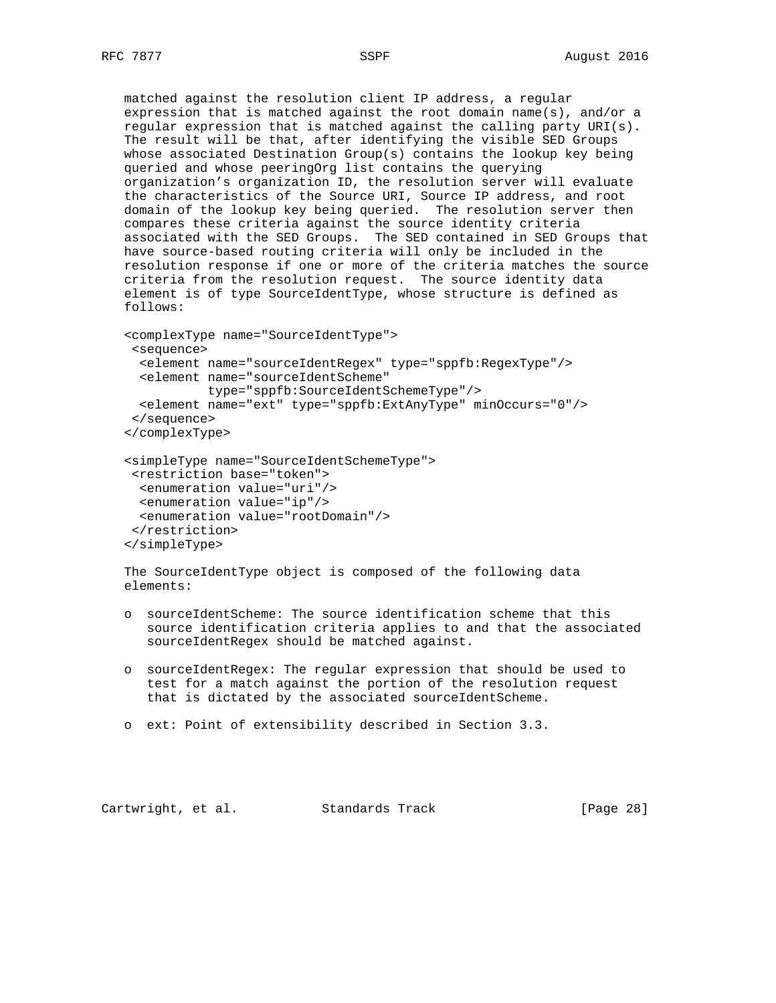matched against the resolution client IP address, a regular expression that is matched against the root domain name(s), and/or a regular expression that is matched against the calling party URI(s). The result will be that, after identifying the visible SED Groups whose associated Destination Group(s) contains the lookup key being queried and whose peeringOrg list contains the querying organization's organization ID, the resolution server will evaluate the characteristics of the Source URI, Source IP address, and root domain of the lookup key being queried. The resolution server then compares these criteria against the source identity criteria associated with the SED Groups. The SED contained in SED Groups that have source-based routing criteria will only be included in the resolution response if one or more of the criteria matches the source criteria from the resolution request. The source identity data element is of type SourceIdentType, whose structure is defined as follows:

```
 <complexType name="SourceIdentType">
 <sequence>
  <element name="sourceIdentRegex" type="sppfb:RegexType"/>
  <element name="sourceIdentScheme"
            type="sppfb:SourceIdentSchemeType"/>
  <element name="ext" type="sppfb:ExtAnyType" minOccurs="0"/>
  </sequence>
 </complexType>
 <simpleType name="SourceIdentSchemeType">
 <restriction base="token">
  <enumeration value="uri"/>
  <enumeration value="ip"/>
```
 <enumeration value="rootDomain"/> </restriction> </simpleType>

 The SourceIdentType object is composed of the following data elements:

- o sourceIdentScheme: The source identification scheme that this source identification criteria applies to and that the associated sourceIdentRegex should be matched against.
- o sourceIdentRegex: The regular expression that should be used to test for a match against the portion of the resolution request that is dictated by the associated sourceIdentScheme.
- o ext: Point of extensibility described in Section 3.3.

Cartwright, et al. Standards Track [Page 28]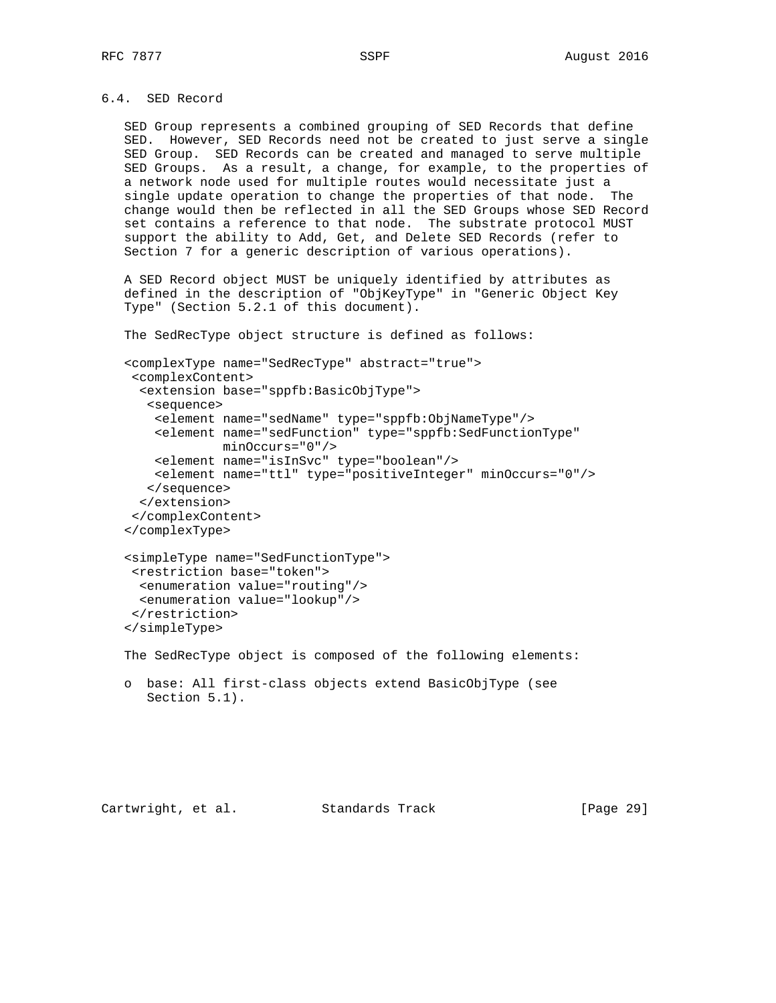# 6.4. SED Record

 SED Group represents a combined grouping of SED Records that define SED. However, SED Records need not be created to just serve a single SED Group. SED Records can be created and managed to serve multiple SED Groups. As a result, a change, for example, to the properties of a network node used for multiple routes would necessitate just a single update operation to change the properties of that node. The change would then be reflected in all the SED Groups whose SED Record set contains a reference to that node. The substrate protocol MUST support the ability to Add, Get, and Delete SED Records (refer to Section 7 for a generic description of various operations).

 A SED Record object MUST be uniquely identified by attributes as defined in the description of "ObjKeyType" in "Generic Object Key Type" (Section 5.2.1 of this document).

The SedRecType object structure is defined as follows:

 <complexType name="SedRecType" abstract="true"> <complexContent> <extension base="sppfb:BasicObjType"> <sequence> <element name="sedName" type="sppfb:ObjNameType"/> <element name="sedFunction" type="sppfb:SedFunctionType" minOccurs="0"/> <element name="isInSvc" type="boolean"/> <element name="ttl" type="positiveInteger" minOccurs="0"/> </sequence> </extension> </complexContent> </complexType> <simpleType name="SedFunctionType"> <restriction base="token">

```
 <enumeration value="routing"/>
   <enumeration value="lookup"/>
  </restriction>
 </simpleType>
```
The SedRecType object is composed of the following elements:

 o base: All first-class objects extend BasicObjType (see Section 5.1).

Cartwright, et al. Standards Track [Page 29]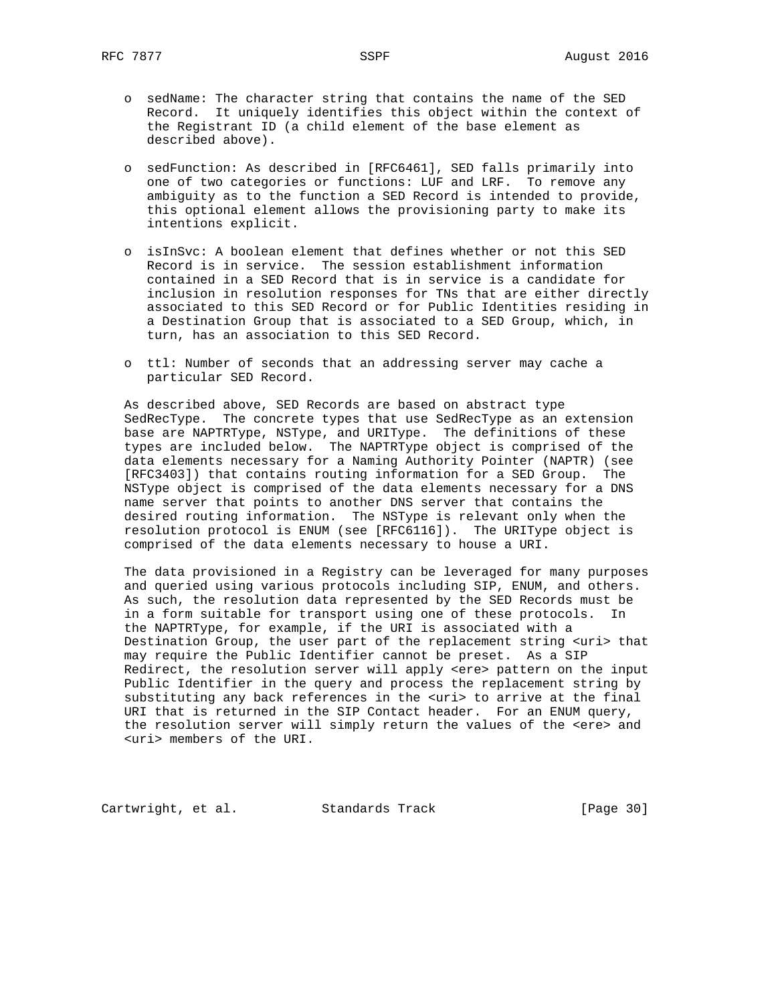- o sedName: The character string that contains the name of the SED Record. It uniquely identifies this object within the context of the Registrant ID (a child element of the base element as described above).
- o sedFunction: As described in [RFC6461], SED falls primarily into one of two categories or functions: LUF and LRF. To remove any ambiguity as to the function a SED Record is intended to provide, this optional element allows the provisioning party to make its intentions explicit.
- o isInSvc: A boolean element that defines whether or not this SED Record is in service. The session establishment information contained in a SED Record that is in service is a candidate for inclusion in resolution responses for TNs that are either directly associated to this SED Record or for Public Identities residing in a Destination Group that is associated to a SED Group, which, in turn, has an association to this SED Record.
- o ttl: Number of seconds that an addressing server may cache a particular SED Record.

 As described above, SED Records are based on abstract type SedRecType. The concrete types that use SedRecType as an extension base are NAPTRType, NSType, and URIType. The definitions of these types are included below. The NAPTRType object is comprised of the data elements necessary for a Naming Authority Pointer (NAPTR) (see [RFC3403]) that contains routing information for a SED Group. The NSType object is comprised of the data elements necessary for a DNS name server that points to another DNS server that contains the desired routing information. The NSType is relevant only when the resolution protocol is ENUM (see [RFC6116]). The URIType object is comprised of the data elements necessary to house a URI.

 The data provisioned in a Registry can be leveraged for many purposes and queried using various protocols including SIP, ENUM, and others. As such, the resolution data represented by the SED Records must be in a form suitable for transport using one of these protocols. In the NAPTRType, for example, if the URI is associated with a Destination Group, the user part of the replacement string <uri> that may require the Public Identifier cannot be preset. As a SIP Redirect, the resolution server will apply <ere> pattern on the input Public Identifier in the query and process the replacement string by substituting any back references in the <uri> to arrive at the final URI that is returned in the SIP Contact header. For an ENUM query, the resolution server will simply return the values of the <ere> and <uri> members of the URI.

Cartwright, et al. Standards Track [Page 30]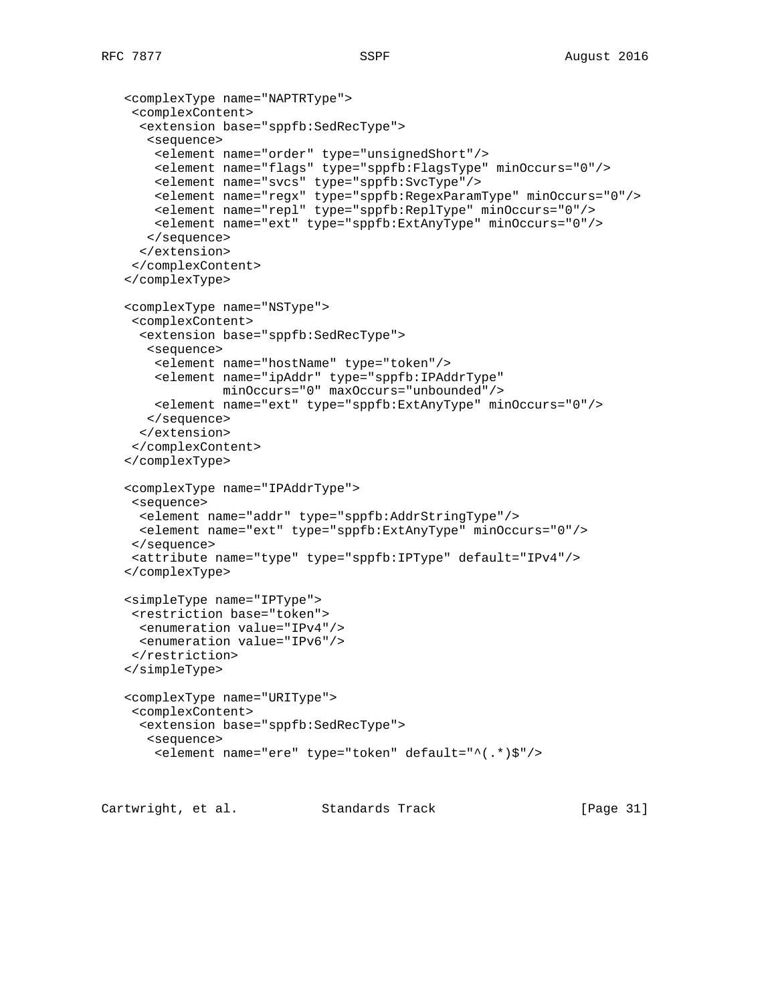<complexType name="NAPTRType">

<complexContent>

```
 <extension base="sppfb:SedRecType">
    <sequence>
     <element name="order" type="unsignedShort"/>
     <element name="flags" type="sppfb:FlagsType" minOccurs="0"/>
    <element name="svcs" type="sppfb:SvcType"/>
     <element name="regx" type="sppfb:RegexParamType" minOccurs="0"/>
     <element name="repl" type="sppfb:ReplType" minOccurs="0"/>
     <element name="ext" type="sppfb:ExtAnyType" minOccurs="0"/>
    </sequence>
   </extension>
  </complexContent>
 </complexType>
 <complexType name="NSType">
  <complexContent>
   <extension base="sppfb:SedRecType">
    <sequence>
     <element name="hostName" type="token"/>
     <element name="ipAddr" type="sppfb:IPAddrType"
              minOccurs="0" maxOccurs="unbounded"/>
     <element name="ext" type="sppfb:ExtAnyType" minOccurs="0"/>
    </sequence>
   </extension>
  </complexContent>
 </complexType>
 <complexType name="IPAddrType">
 <sequence>
  <element name="addr" type="sppfb:AddrStringType"/>
  <element name="ext" type="sppfb:ExtAnyType" minOccurs="0"/>
  </sequence>
  <attribute name="type" type="sppfb:IPType" default="IPv4"/>
 </complexType>
 <simpleType name="IPType">
  <restriction base="token">
   <enumeration value="IPv4"/>
  <enumeration value="IPv6"/>
 </restriction>
 </simpleType>
 <complexType name="URIType">
  <complexContent>
  <extension base="sppfb:SedRecType">
    <sequence>
     <element name="ere" type="token" default="^(.*)$"/>
```
Cartwright, et al. Standards Track [Page 31]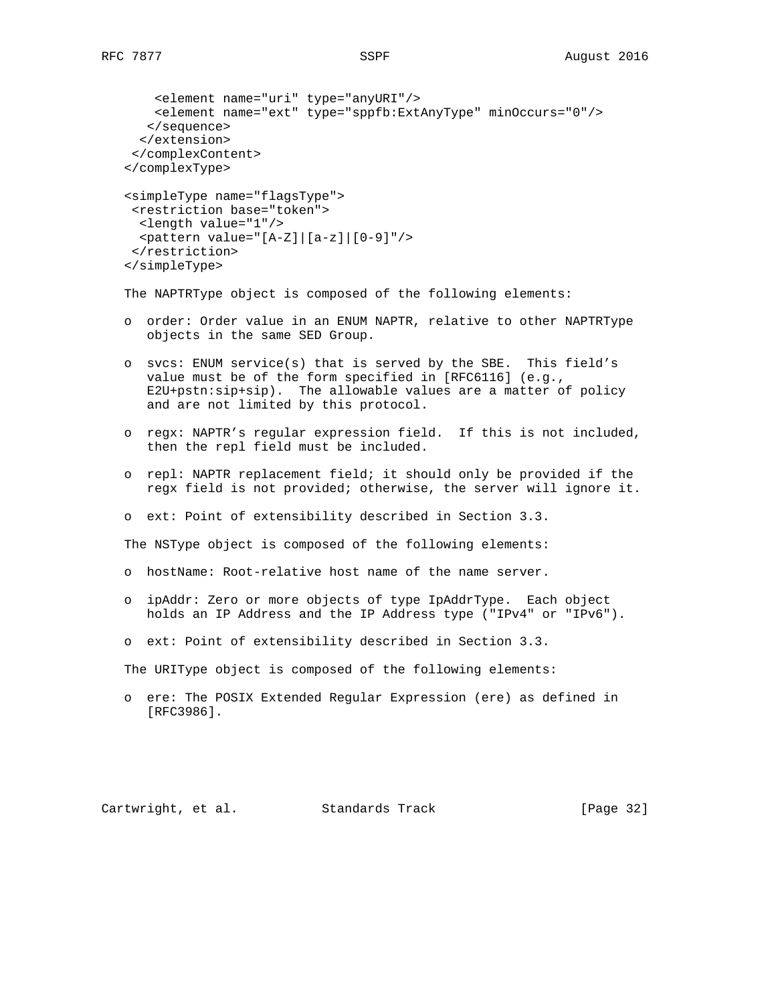```
 <element name="uri" type="anyURI"/>
    <element name="ext" type="sppfb:ExtAnyType" minOccurs="0"/>
    </sequence>
   </extension>
  </complexContent>
 </complexType>
 <simpleType name="flagsType">
 <restriction base="token">
  <length value="1"/>
  <pattern value="[A-Z]|[a-z]|[0-9]"/>
 </restriction>
 </simpleType>
```
The NAPTRType object is composed of the following elements:

- o order: Order value in an ENUM NAPTR, relative to other NAPTRType objects in the same SED Group.
- o svcs: ENUM service(s) that is served by the SBE. This field's value must be of the form specified in [RFC6116] (e.g., E2U+pstn:sip+sip). The allowable values are a matter of policy and are not limited by this protocol.
- o regx: NAPTR's regular expression field. If this is not included, then the repl field must be included.
- o repl: NAPTR replacement field; it should only be provided if the regx field is not provided; otherwise, the server will ignore it.
- o ext: Point of extensibility described in Section 3.3.

The NSType object is composed of the following elements:

- o hostName: Root-relative host name of the name server.
- o ipAddr: Zero or more objects of type IpAddrType. Each object holds an IP Address and the IP Address type ("IPv4" or "IPv6").
- o ext: Point of extensibility described in Section 3.3.

The URIType object is composed of the following elements:

 o ere: The POSIX Extended Regular Expression (ere) as defined in [RFC3986].

Cartwright, et al. Standards Track [Page 32]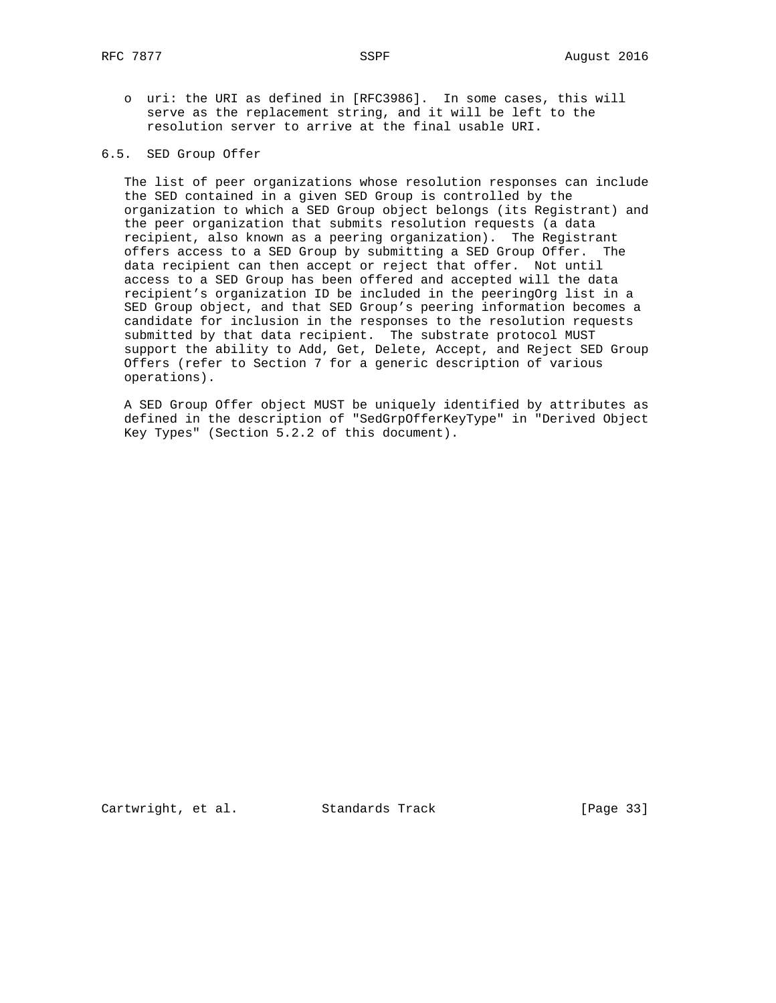o uri: the URI as defined in [RFC3986]. In some cases, this will serve as the replacement string, and it will be left to the resolution server to arrive at the final usable URI.

# 6.5. SED Group Offer

 The list of peer organizations whose resolution responses can include the SED contained in a given SED Group is controlled by the organization to which a SED Group object belongs (its Registrant) and the peer organization that submits resolution requests (a data recipient, also known as a peering organization). The Registrant offers access to a SED Group by submitting a SED Group Offer. The data recipient can then accept or reject that offer. Not until access to a SED Group has been offered and accepted will the data recipient's organization ID be included in the peeringOrg list in a SED Group object, and that SED Group's peering information becomes a candidate for inclusion in the responses to the resolution requests submitted by that data recipient. The substrate protocol MUST support the ability to Add, Get, Delete, Accept, and Reject SED Group Offers (refer to Section 7 for a generic description of various operations).

 A SED Group Offer object MUST be uniquely identified by attributes as defined in the description of "SedGrpOfferKeyType" in "Derived Object Key Types" (Section 5.2.2 of this document).

Cartwright, et al. Standards Track [Page 33]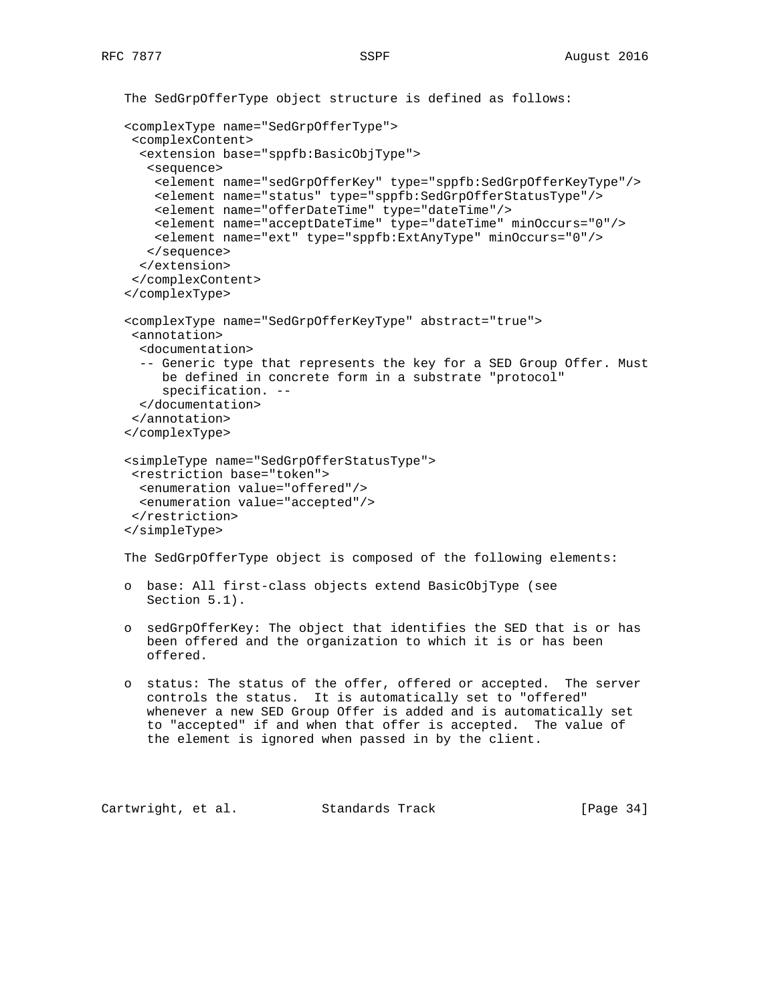```
 The SedGrpOfferType object structure is defined as follows:
 <complexType name="SedGrpOfferType">
  <complexContent>
   <extension base="sppfb:BasicObjType">
    <sequence>
     <element name="sedGrpOfferKey" type="sppfb:SedGrpOfferKeyType"/>
     <element name="status" type="sppfb:SedGrpOfferStatusType"/>
     <element name="offerDateTime" type="dateTime"/>
     <element name="acceptDateTime" type="dateTime" minOccurs="0"/>
     <element name="ext" type="sppfb:ExtAnyType" minOccurs="0"/>
    </sequence>
   </extension>
  </complexContent>
 </complexType>
 <complexType name="SedGrpOfferKeyType" abstract="true">
  <annotation>
   <documentation>
   -- Generic type that represents the key for a SED Group Offer. Must
      be defined in concrete form in a substrate "protocol"
      specification. --
   </documentation>
  </annotation>
 </complexType>
 <simpleType name="SedGrpOfferStatusType">
  <restriction base="token">
   <enumeration value="offered"/>
   <enumeration value="accepted"/>
  </restriction>
 </simpleType>
 The SedGrpOfferType object is composed of the following elements:
```

```
 o base: All first-class objects extend BasicObjType (see
   Section 5.1).
```
- o sedGrpOfferKey: The object that identifies the SED that is or has been offered and the organization to which it is or has been offered.
- o status: The status of the offer, offered or accepted. The server controls the status. It is automatically set to "offered" whenever a new SED Group Offer is added and is automatically set to "accepted" if and when that offer is accepted. The value of the element is ignored when passed in by the client.

```
Cartwright, et al. Standards Track [Page 34]
```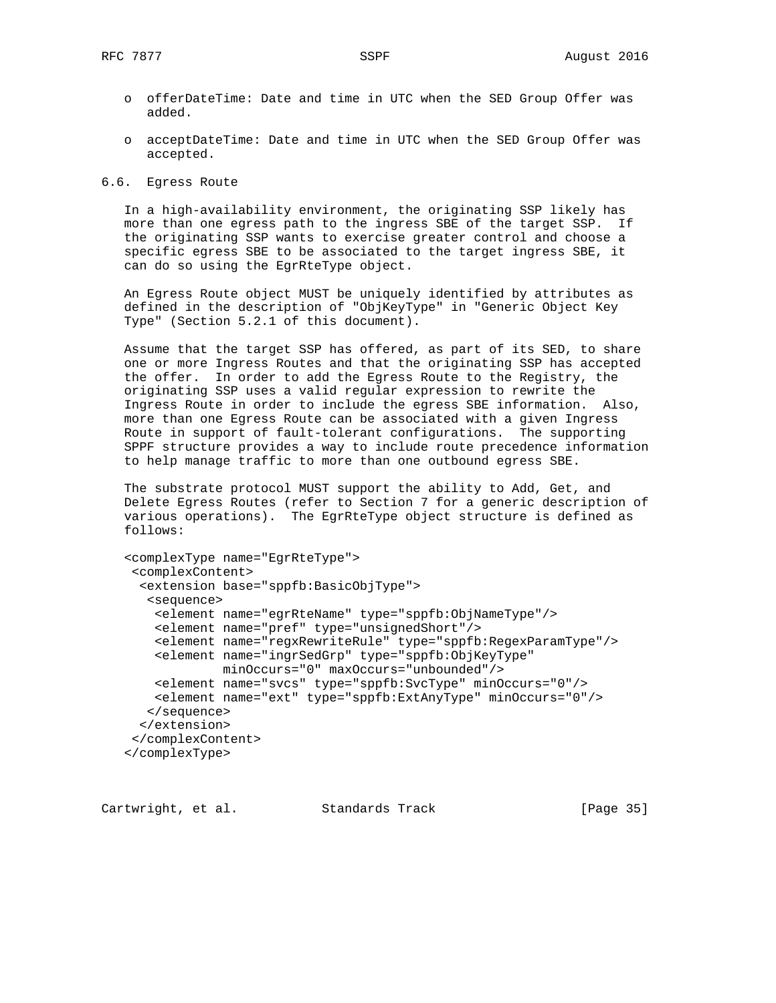- o offerDateTime: Date and time in UTC when the SED Group Offer was added.
- o acceptDateTime: Date and time in UTC when the SED Group Offer was accepted.

6.6. Egress Route

 In a high-availability environment, the originating SSP likely has more than one egress path to the ingress SBE of the target SSP. If the originating SSP wants to exercise greater control and choose a specific egress SBE to be associated to the target ingress SBE, it can do so using the EgrRteType object.

 An Egress Route object MUST be uniquely identified by attributes as defined in the description of "ObjKeyType" in "Generic Object Key Type" (Section 5.2.1 of this document).

 Assume that the target SSP has offered, as part of its SED, to share one or more Ingress Routes and that the originating SSP has accepted the offer. In order to add the Egress Route to the Registry, the originating SSP uses a valid regular expression to rewrite the Ingress Route in order to include the egress SBE information. Also, more than one Egress Route can be associated with a given Ingress Route in support of fault-tolerant configurations. The supporting SPPF structure provides a way to include route precedence information to help manage traffic to more than one outbound egress SBE.

 The substrate protocol MUST support the ability to Add, Get, and Delete Egress Routes (refer to Section 7 for a generic description of various operations). The EgrRteType object structure is defined as follows:

```
 <complexType name="EgrRteType">
  <complexContent>
   <extension base="sppfb:BasicObjType">
    <sequence>
     <element name="egrRteName" type="sppfb:ObjNameType"/>
     <element name="pref" type="unsignedShort"/>
     <element name="regxRewriteRule" type="sppfb:RegexParamType"/>
     <element name="ingrSedGrp" type="sppfb:ObjKeyType"
             minOccurs="0" maxOccurs="unbounded"/>
    <element name="svcs" type="sppfb:SvcType" minOccurs="0"/>
     <element name="ext" type="sppfb:ExtAnyType" minOccurs="0"/>
    </sequence>
   </extension>
  </complexContent>
 </complexType>
```
Cartwright, et al. Standards Track [Page 35]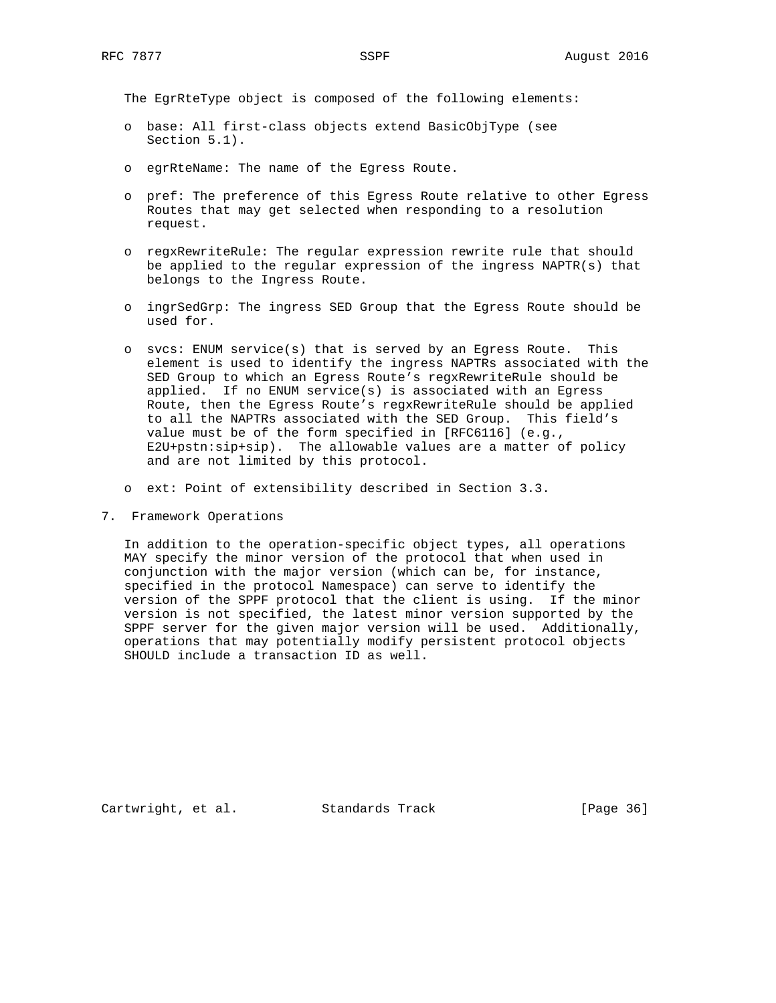The EgrRteType object is composed of the following elements:

- o base: All first-class objects extend BasicObjType (see Section 5.1).
- o egrRteName: The name of the Egress Route.
- o pref: The preference of this Egress Route relative to other Egress Routes that may get selected when responding to a resolution request.
- o regxRewriteRule: The regular expression rewrite rule that should be applied to the regular expression of the ingress NAPTR(s) that belongs to the Ingress Route.
- o ingrSedGrp: The ingress SED Group that the Egress Route should be used for.
- o svcs: ENUM service(s) that is served by an Egress Route. This element is used to identify the ingress NAPTRs associated with the SED Group to which an Egress Route's regxRewriteRule should be applied. If no ENUM service(s) is associated with an Egress Route, then the Egress Route's regxRewriteRule should be applied to all the NAPTRs associated with the SED Group. This field's value must be of the form specified in [RFC6116] (e.g., E2U+pstn:sip+sip). The allowable values are a matter of policy and are not limited by this protocol.
- o ext: Point of extensibility described in Section 3.3.
- 7. Framework Operations

 In addition to the operation-specific object types, all operations MAY specify the minor version of the protocol that when used in conjunction with the major version (which can be, for instance, specified in the protocol Namespace) can serve to identify the version of the SPPF protocol that the client is using. If the minor version is not specified, the latest minor version supported by the SPPF server for the given major version will be used. Additionally, operations that may potentially modify persistent protocol objects SHOULD include a transaction ID as well.

Cartwright, et al. Standards Track [Page 36]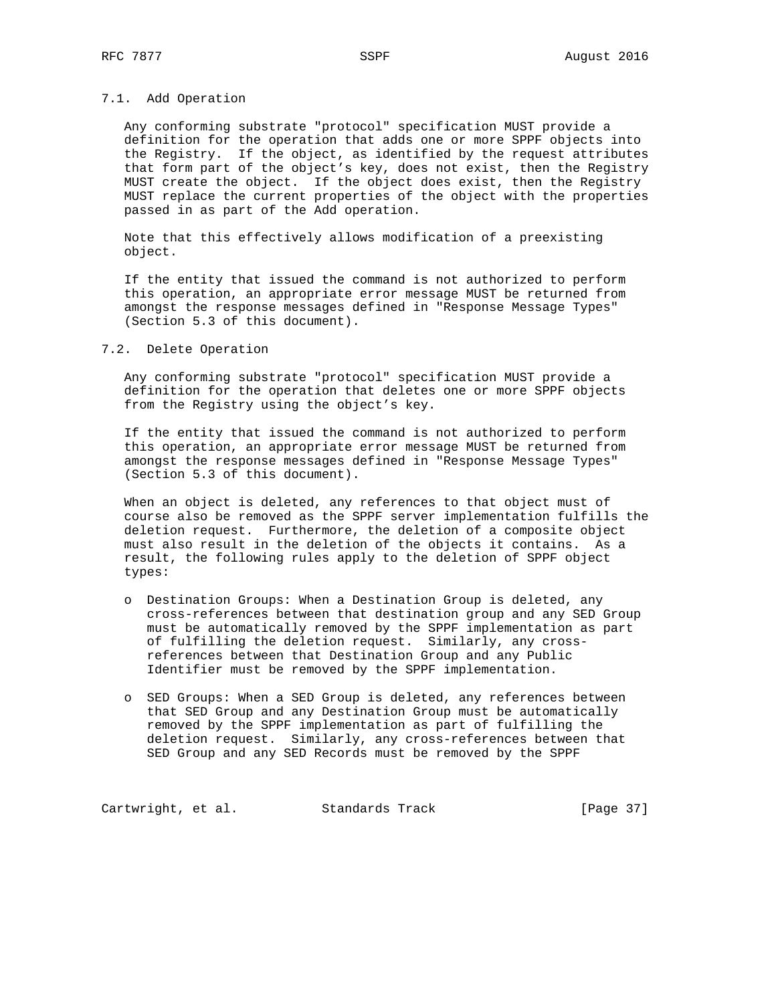## 7.1. Add Operation

 Any conforming substrate "protocol" specification MUST provide a definition for the operation that adds one or more SPPF objects into the Registry. If the object, as identified by the request attributes that form part of the object's key, does not exist, then the Registry MUST create the object. If the object does exist, then the Registry MUST replace the current properties of the object with the properties passed in as part of the Add operation.

 Note that this effectively allows modification of a preexisting object.

 If the entity that issued the command is not authorized to perform this operation, an appropriate error message MUST be returned from amongst the response messages defined in "Response Message Types" (Section 5.3 of this document).

## 7.2. Delete Operation

 Any conforming substrate "protocol" specification MUST provide a definition for the operation that deletes one or more SPPF objects from the Registry using the object's key.

 If the entity that issued the command is not authorized to perform this operation, an appropriate error message MUST be returned from amongst the response messages defined in "Response Message Types" (Section 5.3 of this document).

 When an object is deleted, any references to that object must of course also be removed as the SPPF server implementation fulfills the deletion request. Furthermore, the deletion of a composite object must also result in the deletion of the objects it contains. As a result, the following rules apply to the deletion of SPPF object types:

- o Destination Groups: When a Destination Group is deleted, any cross-references between that destination group and any SED Group must be automatically removed by the SPPF implementation as part of fulfilling the deletion request. Similarly, any cross references between that Destination Group and any Public Identifier must be removed by the SPPF implementation.
- o SED Groups: When a SED Group is deleted, any references between that SED Group and any Destination Group must be automatically removed by the SPPF implementation as part of fulfilling the deletion request. Similarly, any cross-references between that SED Group and any SED Records must be removed by the SPPF

Cartwright, et al. Standards Track [Page 37]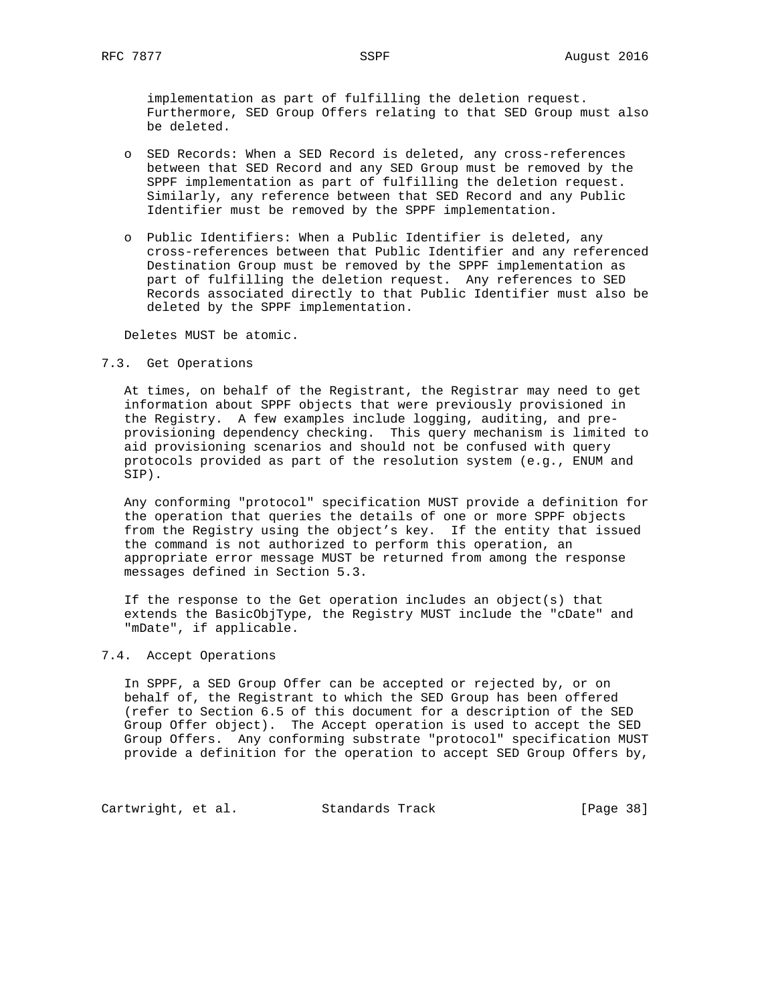implementation as part of fulfilling the deletion request. Furthermore, SED Group Offers relating to that SED Group must also be deleted.

- o SED Records: When a SED Record is deleted, any cross-references between that SED Record and any SED Group must be removed by the SPPF implementation as part of fulfilling the deletion request. Similarly, any reference between that SED Record and any Public Identifier must be removed by the SPPF implementation.
- o Public Identifiers: When a Public Identifier is deleted, any cross-references between that Public Identifier and any referenced Destination Group must be removed by the SPPF implementation as part of fulfilling the deletion request. Any references to SED Records associated directly to that Public Identifier must also be deleted by the SPPF implementation.

Deletes MUST be atomic.

7.3. Get Operations

 At times, on behalf of the Registrant, the Registrar may need to get information about SPPF objects that were previously provisioned in the Registry. A few examples include logging, auditing, and pre provisioning dependency checking. This query mechanism is limited to aid provisioning scenarios and should not be confused with query protocols provided as part of the resolution system (e.g., ENUM and SIP).

 Any conforming "protocol" specification MUST provide a definition for the operation that queries the details of one or more SPPF objects from the Registry using the object's key. If the entity that issued the command is not authorized to perform this operation, an appropriate error message MUST be returned from among the response messages defined in Section 5.3.

 If the response to the Get operation includes an object(s) that extends the BasicObjType, the Registry MUST include the "cDate" and "mDate", if applicable.

## 7.4. Accept Operations

 In SPPF, a SED Group Offer can be accepted or rejected by, or on behalf of, the Registrant to which the SED Group has been offered (refer to Section 6.5 of this document for a description of the SED Group Offer object). The Accept operation is used to accept the SED Group Offers. Any conforming substrate "protocol" specification MUST provide a definition for the operation to accept SED Group Offers by,

Cartwright, et al. Standards Track [Page 38]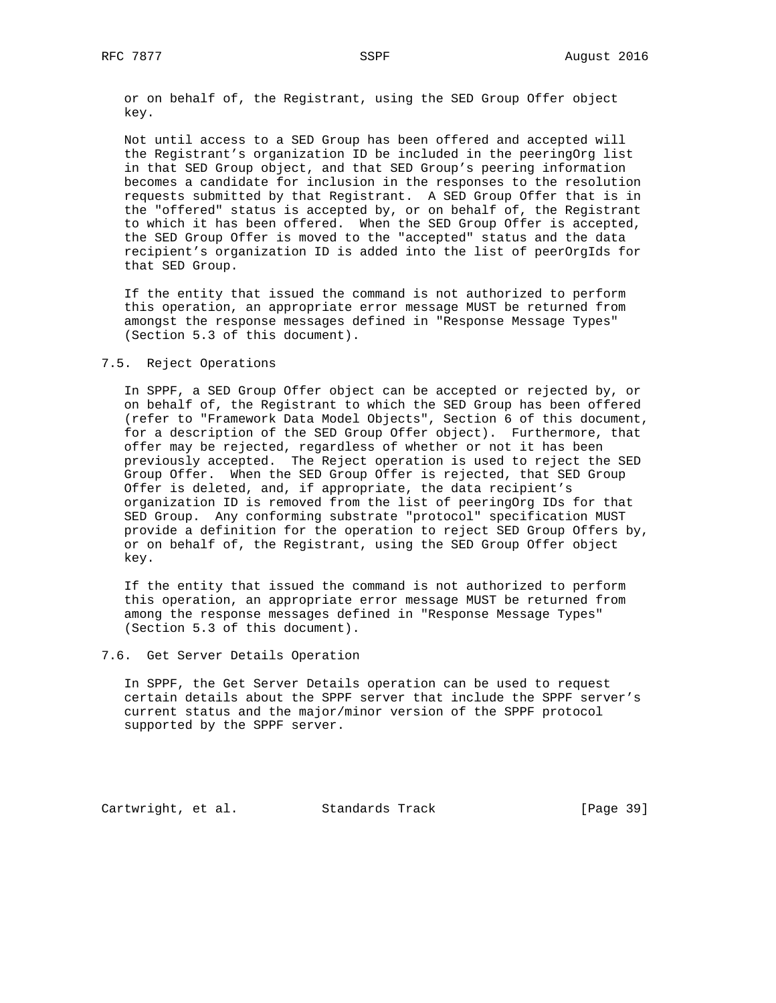or on behalf of, the Registrant, using the SED Group Offer object key.

 Not until access to a SED Group has been offered and accepted will the Registrant's organization ID be included in the peeringOrg list in that SED Group object, and that SED Group's peering information becomes a candidate for inclusion in the responses to the resolution requests submitted by that Registrant. A SED Group Offer that is in the "offered" status is accepted by, or on behalf of, the Registrant to which it has been offered. When the SED Group Offer is accepted, the SED Group Offer is moved to the "accepted" status and the data recipient's organization ID is added into the list of peerOrgIds for that SED Group.

 If the entity that issued the command is not authorized to perform this operation, an appropriate error message MUST be returned from amongst the response messages defined in "Response Message Types" (Section 5.3 of this document).

#### 7.5. Reject Operations

 In SPPF, a SED Group Offer object can be accepted or rejected by, or on behalf of, the Registrant to which the SED Group has been offered (refer to "Framework Data Model Objects", Section 6 of this document, for a description of the SED Group Offer object). Furthermore, that offer may be rejected, regardless of whether or not it has been previously accepted. The Reject operation is used to reject the SED Group Offer. When the SED Group Offer is rejected, that SED Group Offer is deleted, and, if appropriate, the data recipient's organization ID is removed from the list of peeringOrg IDs for that SED Group. Any conforming substrate "protocol" specification MUST provide a definition for the operation to reject SED Group Offers by, or on behalf of, the Registrant, using the SED Group Offer object key.

 If the entity that issued the command is not authorized to perform this operation, an appropriate error message MUST be returned from among the response messages defined in "Response Message Types" (Section 5.3 of this document).

## 7.6. Get Server Details Operation

 In SPPF, the Get Server Details operation can be used to request certain details about the SPPF server that include the SPPF server's current status and the major/minor version of the SPPF protocol supported by the SPPF server.

Cartwright, et al. Standards Track [Page 39]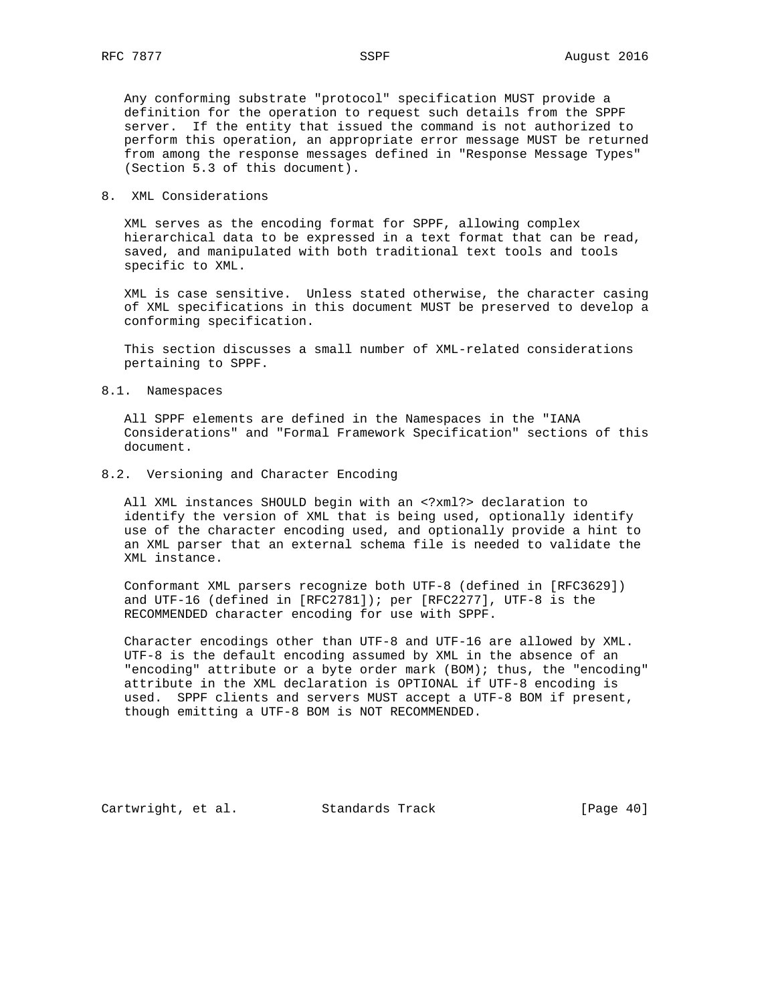Any conforming substrate "protocol" specification MUST provide a definition for the operation to request such details from the SPPF server. If the entity that issued the command is not authorized to perform this operation, an appropriate error message MUST be returned from among the response messages defined in "Response Message Types" (Section 5.3 of this document).

8. XML Considerations

 XML serves as the encoding format for SPPF, allowing complex hierarchical data to be expressed in a text format that can be read, saved, and manipulated with both traditional text tools and tools specific to XML.

 XML is case sensitive. Unless stated otherwise, the character casing of XML specifications in this document MUST be preserved to develop a conforming specification.

 This section discusses a small number of XML-related considerations pertaining to SPPF.

8.1. Namespaces

 All SPPF elements are defined in the Namespaces in the "IANA Considerations" and "Formal Framework Specification" sections of this document.

8.2. Versioning and Character Encoding

 All XML instances SHOULD begin with an <?xml?> declaration to identify the version of XML that is being used, optionally identify use of the character encoding used, and optionally provide a hint to an XML parser that an external schema file is needed to validate the XML instance.

 Conformant XML parsers recognize both UTF-8 (defined in [RFC3629]) and UTF-16 (defined in [RFC2781]); per [RFC2277], UTF-8 is the RECOMMENDED character encoding for use with SPPF.

 Character encodings other than UTF-8 and UTF-16 are allowed by XML. UTF-8 is the default encoding assumed by XML in the absence of an "encoding" attribute or a byte order mark (BOM); thus, the "encoding" attribute in the XML declaration is OPTIONAL if UTF-8 encoding is used. SPPF clients and servers MUST accept a UTF-8 BOM if present, though emitting a UTF-8 BOM is NOT RECOMMENDED.

Cartwright, et al. Standards Track [Page 40]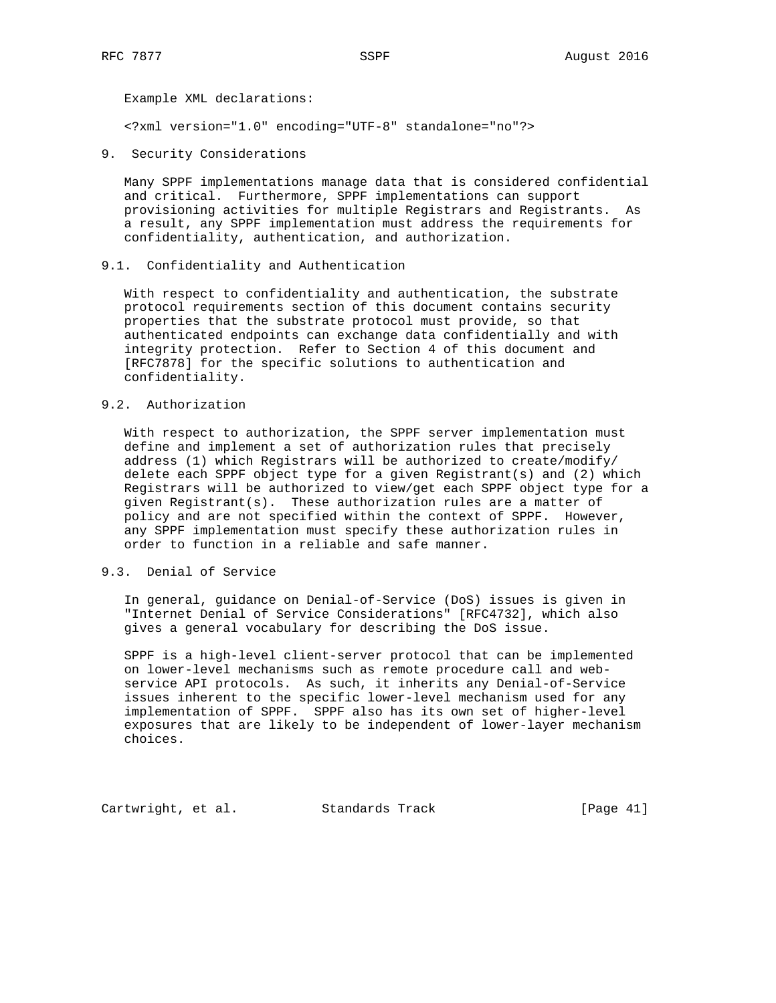Example XML declarations:

<?xml version="1.0" encoding="UTF-8" standalone="no"?>

9. Security Considerations

 Many SPPF implementations manage data that is considered confidential and critical. Furthermore, SPPF implementations can support provisioning activities for multiple Registrars and Registrants. As a result, any SPPF implementation must address the requirements for confidentiality, authentication, and authorization.

9.1. Confidentiality and Authentication

 With respect to confidentiality and authentication, the substrate protocol requirements section of this document contains security properties that the substrate protocol must provide, so that authenticated endpoints can exchange data confidentially and with integrity protection. Refer to Section 4 of this document and [RFC7878] for the specific solutions to authentication and confidentiality.

## 9.2. Authorization

 With respect to authorization, the SPPF server implementation must define and implement a set of authorization rules that precisely address (1) which Registrars will be authorized to create/modify/ delete each SPPF object type for a given Registrant(s) and (2) which Registrars will be authorized to view/get each SPPF object type for a given Registrant(s). These authorization rules are a matter of policy and are not specified within the context of SPPF. However, any SPPF implementation must specify these authorization rules in order to function in a reliable and safe manner.

# 9.3. Denial of Service

 In general, guidance on Denial-of-Service (DoS) issues is given in "Internet Denial of Service Considerations" [RFC4732], which also gives a general vocabulary for describing the DoS issue.

 SPPF is a high-level client-server protocol that can be implemented on lower-level mechanisms such as remote procedure call and web service API protocols. As such, it inherits any Denial-of-Service issues inherent to the specific lower-level mechanism used for any implementation of SPPF. SPPF also has its own set of higher-level exposures that are likely to be independent of lower-layer mechanism choices.

Cartwright, et al. Standards Track [Page 41]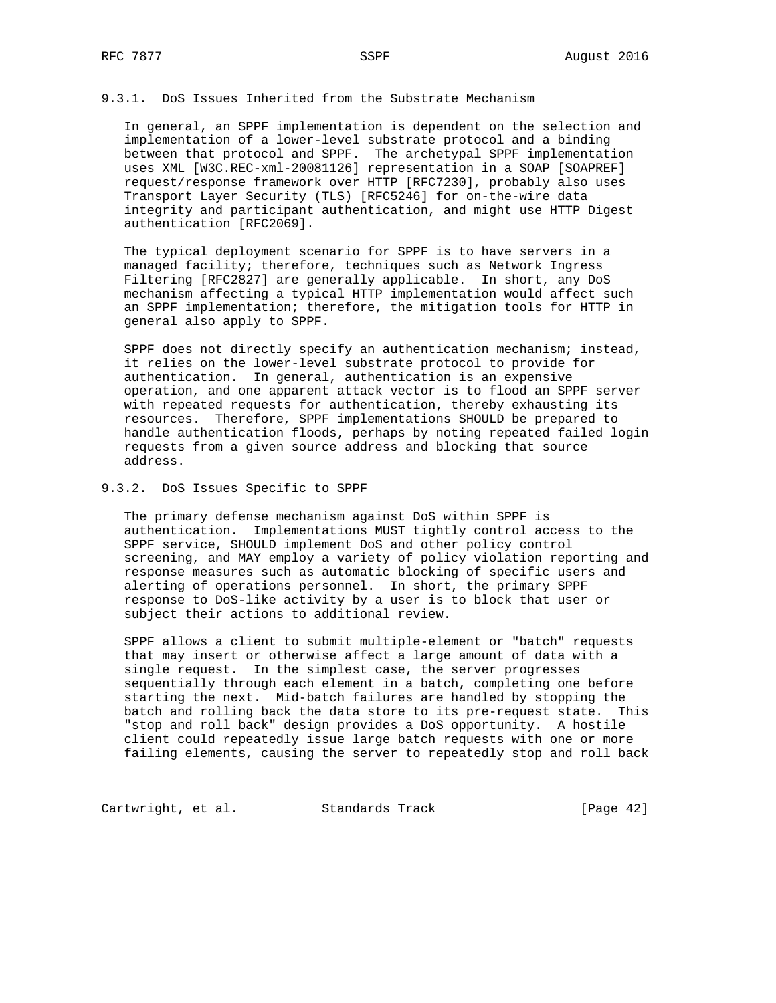## 9.3.1. DoS Issues Inherited from the Substrate Mechanism

 In general, an SPPF implementation is dependent on the selection and implementation of a lower-level substrate protocol and a binding between that protocol and SPPF. The archetypal SPPF implementation uses XML [W3C.REC-xml-20081126] representation in a SOAP [SOAPREF] request/response framework over HTTP [RFC7230], probably also uses Transport Layer Security (TLS) [RFC5246] for on-the-wire data integrity and participant authentication, and might use HTTP Digest authentication [RFC2069].

 The typical deployment scenario for SPPF is to have servers in a managed facility; therefore, techniques such as Network Ingress Filtering [RFC2827] are generally applicable. In short, any DoS mechanism affecting a typical HTTP implementation would affect such an SPPF implementation; therefore, the mitigation tools for HTTP in general also apply to SPPF.

 SPPF does not directly specify an authentication mechanism; instead, it relies on the lower-level substrate protocol to provide for authentication. In general, authentication is an expensive operation, and one apparent attack vector is to flood an SPPF server with repeated requests for authentication, thereby exhausting its resources. Therefore, SPPF implementations SHOULD be prepared to handle authentication floods, perhaps by noting repeated failed login requests from a given source address and blocking that source address.

## 9.3.2. DoS Issues Specific to SPPF

 The primary defense mechanism against DoS within SPPF is authentication. Implementations MUST tightly control access to the SPPF service, SHOULD implement DoS and other policy control screening, and MAY employ a variety of policy violation reporting and response measures such as automatic blocking of specific users and alerting of operations personnel. In short, the primary SPPF response to DoS-like activity by a user is to block that user or subject their actions to additional review.

 SPPF allows a client to submit multiple-element or "batch" requests that may insert or otherwise affect a large amount of data with a single request. In the simplest case, the server progresses sequentially through each element in a batch, completing one before starting the next. Mid-batch failures are handled by stopping the batch and rolling back the data store to its pre-request state. This "stop and roll back" design provides a DoS opportunity. A hostile client could repeatedly issue large batch requests with one or more failing elements, causing the server to repeatedly stop and roll back

Cartwright, et al. Standards Track [Page 42]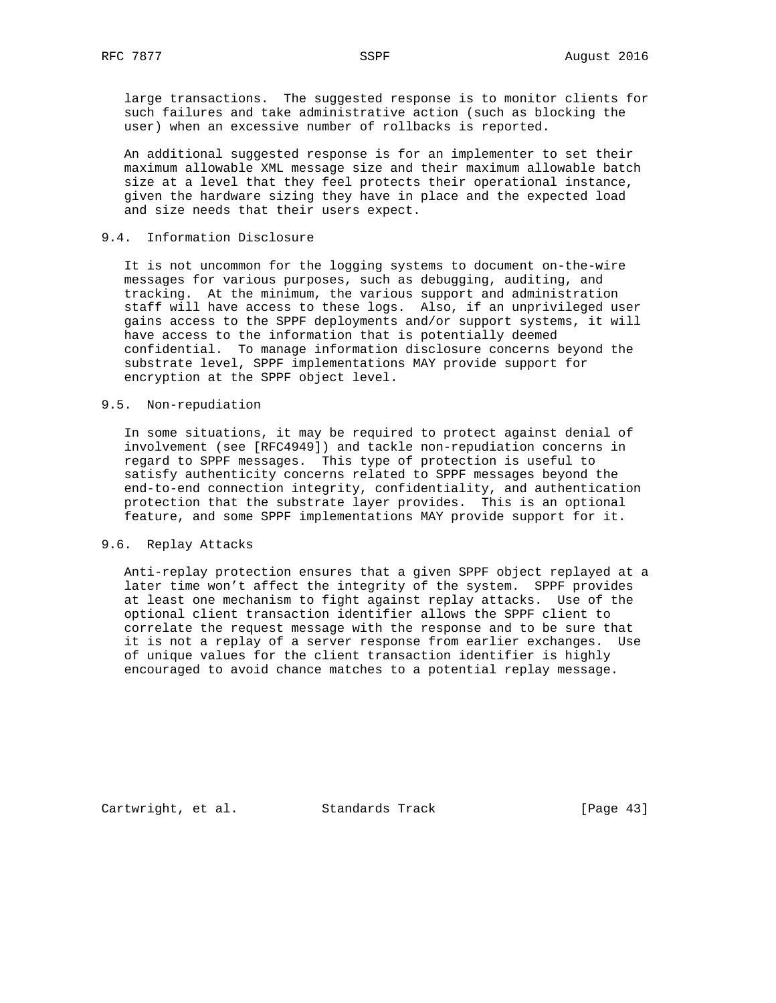large transactions. The suggested response is to monitor clients for such failures and take administrative action (such as blocking the user) when an excessive number of rollbacks is reported.

 An additional suggested response is for an implementer to set their maximum allowable XML message size and their maximum allowable batch size at a level that they feel protects their operational instance, given the hardware sizing they have in place and the expected load and size needs that their users expect.

## 9.4. Information Disclosure

 It is not uncommon for the logging systems to document on-the-wire messages for various purposes, such as debugging, auditing, and tracking. At the minimum, the various support and administration staff will have access to these logs. Also, if an unprivileged user gains access to the SPPF deployments and/or support systems, it will have access to the information that is potentially deemed confidential. To manage information disclosure concerns beyond the substrate level, SPPF implementations MAY provide support for encryption at the SPPF object level.

## 9.5. Non-repudiation

 In some situations, it may be required to protect against denial of involvement (see [RFC4949]) and tackle non-repudiation concerns in regard to SPPF messages. This type of protection is useful to satisfy authenticity concerns related to SPPF messages beyond the end-to-end connection integrity, confidentiality, and authentication protection that the substrate layer provides. This is an optional feature, and some SPPF implementations MAY provide support for it.

## 9.6. Replay Attacks

 Anti-replay protection ensures that a given SPPF object replayed at a later time won't affect the integrity of the system. SPPF provides at least one mechanism to fight against replay attacks. Use of the optional client transaction identifier allows the SPPF client to correlate the request message with the response and to be sure that it is not a replay of a server response from earlier exchanges. Use of unique values for the client transaction identifier is highly encouraged to avoid chance matches to a potential replay message.

Cartwright, et al. Standards Track [Page 43]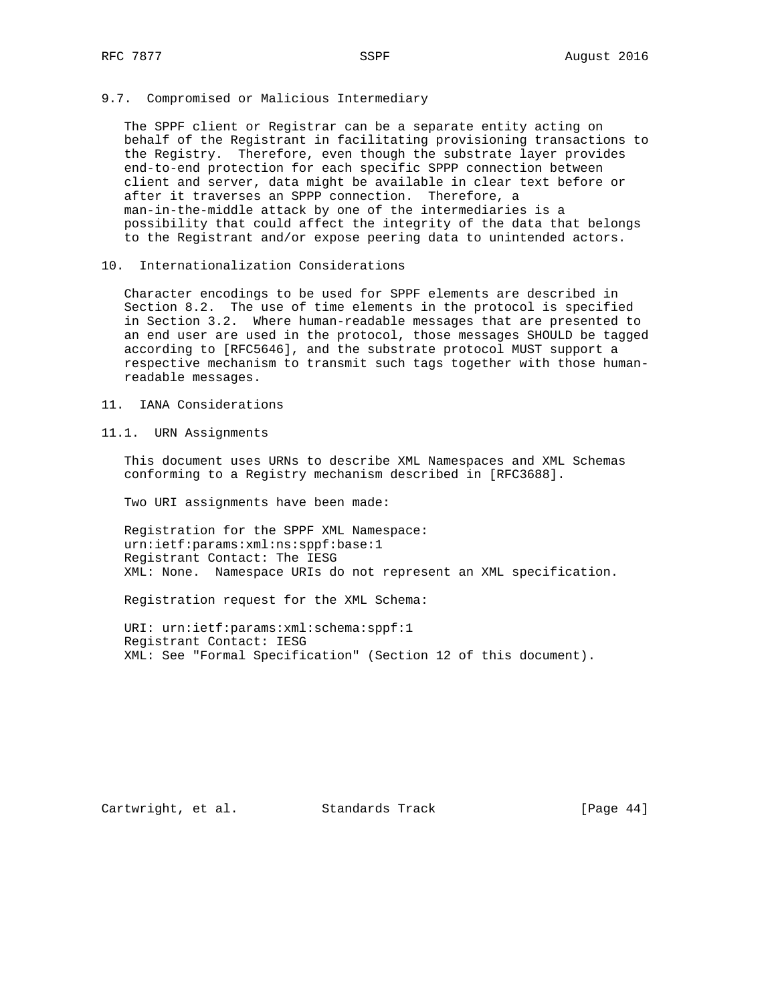## 9.7. Compromised or Malicious Intermediary

 The SPPF client or Registrar can be a separate entity acting on behalf of the Registrant in facilitating provisioning transactions to the Registry. Therefore, even though the substrate layer provides end-to-end protection for each specific SPPP connection between client and server, data might be available in clear text before or after it traverses an SPPP connection. Therefore, a man-in-the-middle attack by one of the intermediaries is a possibility that could affect the integrity of the data that belongs to the Registrant and/or expose peering data to unintended actors.

## 10. Internationalization Considerations

 Character encodings to be used for SPPF elements are described in Section 8.2. The use of time elements in the protocol is specified in Section 3.2. Where human-readable messages that are presented to an end user are used in the protocol, those messages SHOULD be tagged according to [RFC5646], and the substrate protocol MUST support a respective mechanism to transmit such tags together with those human readable messages.

- 11. IANA Considerations
- 11.1. URN Assignments

 This document uses URNs to describe XML Namespaces and XML Schemas conforming to a Registry mechanism described in [RFC3688].

Two URI assignments have been made:

 Registration for the SPPF XML Namespace: urn:ietf:params:xml:ns:sppf:base:1 Registrant Contact: The IESG XML: None. Namespace URIs do not represent an XML specification.

Registration request for the XML Schema:

 URI: urn:ietf:params:xml:schema:sppf:1 Registrant Contact: IESG XML: See "Formal Specification" (Section 12 of this document).

Cartwright, et al. Standards Track [Page 44]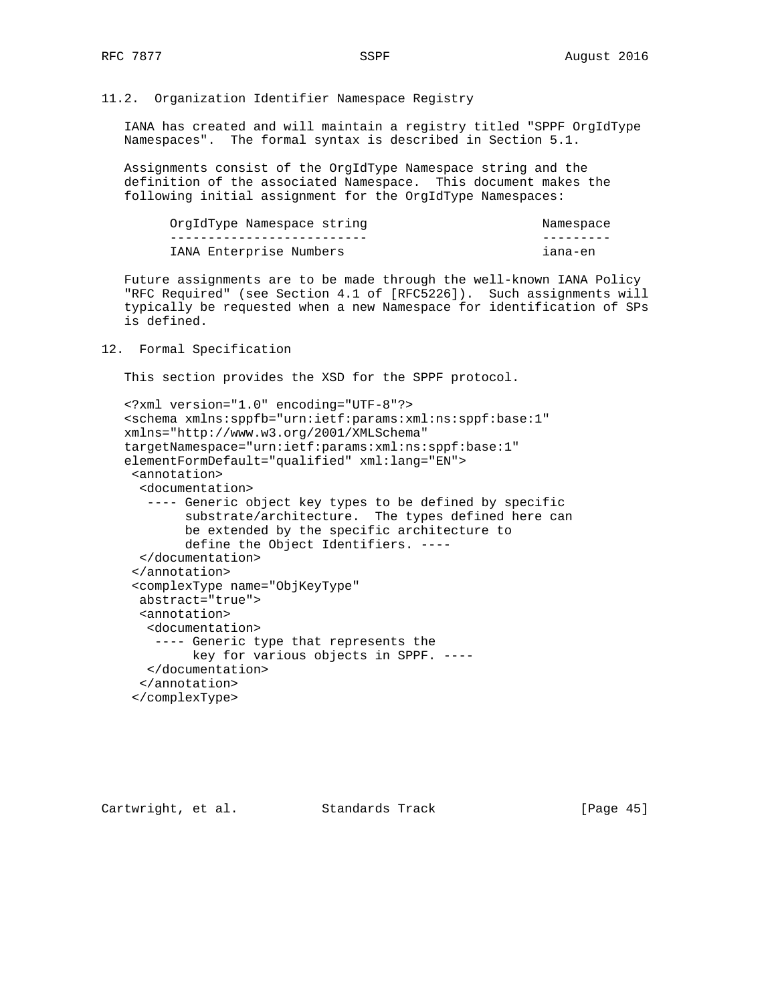## 11.2. Organization Identifier Namespace Registry

 IANA has created and will maintain a registry titled "SPPF OrgIdType Namespaces". The formal syntax is described in Section 5.1.

 Assignments consist of the OrgIdType Namespace string and the definition of the associated Namespace. This document makes the following initial assignment for the OrgIdType Namespaces:

| OrgIdType Namespace string | Namespace |
|----------------------------|-----------|
|                            |           |
| IANA Enterprise Numbers    | iana-en   |

 Future assignments are to be made through the well-known IANA Policy "RFC Required" (see Section 4.1 of [RFC5226]). Such assignments will typically be requested when a new Namespace for identification of SPs is defined.

#### 12. Formal Specification

This section provides the XSD for the SPPF protocol.

```
 <?xml version="1.0" encoding="UTF-8"?>
 <schema xmlns:sppfb="urn:ietf:params:xml:ns:sppf:base:1"
 xmlns="http://www.w3.org/2001/XMLSchema"
 targetNamespace="urn:ietf:params:xml:ns:sppf:base:1"
 elementFormDefault="qualified" xml:lang="EN">
 <annotation>
   <documentation>
    ---- Generic object key types to be defined by specific
         substrate/architecture. The types defined here can
         be extended by the specific architecture to
         define the Object Identifiers. ----
   </documentation>
  </annotation>
  <complexType name="ObjKeyType"
  abstract="true">
   <annotation>
    <documentation>
     ---- Generic type that represents the
          key for various objects in SPPF. ----
    </documentation>
   </annotation>
  </complexType>
```
Cartwright, et al. Standards Track [Page 45]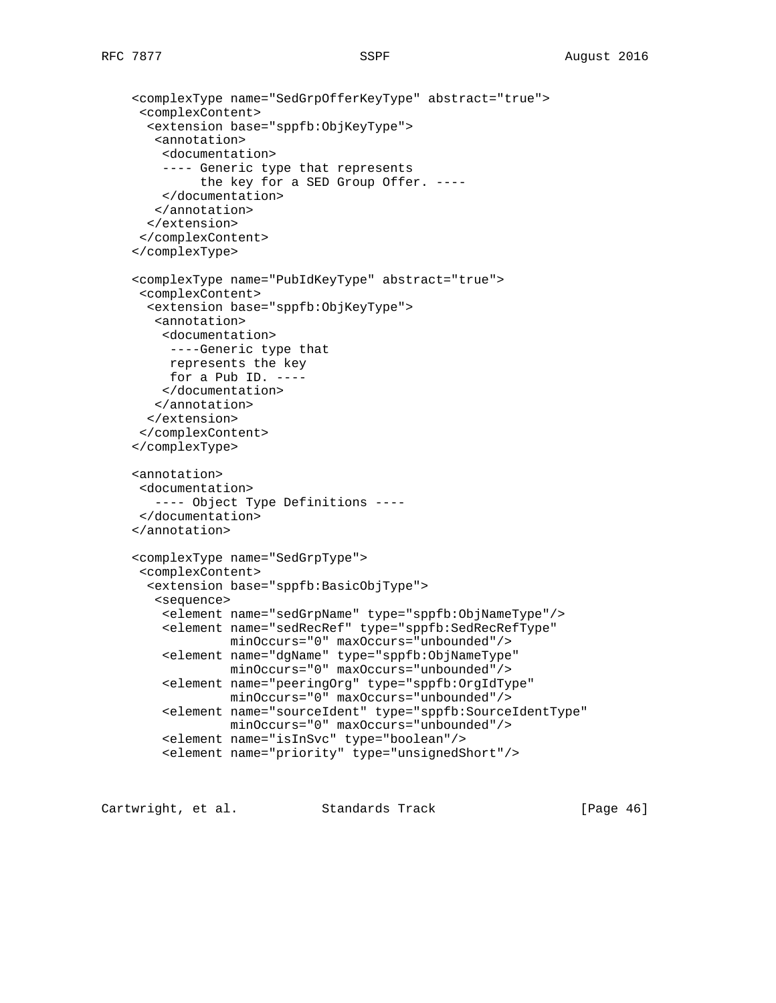```
 <complexType name="SedGrpOfferKeyType" abstract="true">
  <complexContent>
  <extension base="sppfb:ObjKeyType">
    <annotation>
     <documentation>
     ---- Generic type that represents
          the key for a SED Group Offer. ----
     </documentation>
    </annotation>
  </extension>
 </complexContent>
 </complexType>
 <complexType name="PubIdKeyType" abstract="true">
  <complexContent>
  <extension base="sppfb:ObjKeyType">
   <annotation>
    <documentation>
     ----Generic type that
     represents the key
    for a Pub ID. --- </documentation>
    </annotation>
  </extension>
  </complexContent>
 </complexType>
 <annotation>
 <documentation>
    ---- Object Type Definitions ----
 </documentation>
 </annotation>
 <complexType name="SedGrpType">
 <complexContent>
  <extension base="sppfb:BasicObjType">
    <sequence>
     <element name="sedGrpName" type="sppfb:ObjNameType"/>
     <element name="sedRecRef" type="sppfb:SedRecRefType"
              minOccurs="0" maxOccurs="unbounded"/>
     <element name="dgName" type="sppfb:ObjNameType"
              minOccurs="0" maxOccurs="unbounded"/>
     <element name="peeringOrg" type="sppfb:OrgIdType"
             minOccurs="0" maxOccurs="unbounded"/>
     <element name="sourceIdent" type="sppfb:SourceIdentType"
             minOccurs="0" maxOccurs="unbounded"/>
     <element name="isInSvc" type="boolean"/>
     <element name="priority" type="unsignedShort"/>
```
Cartwright, et al. Standards Track [Page 46]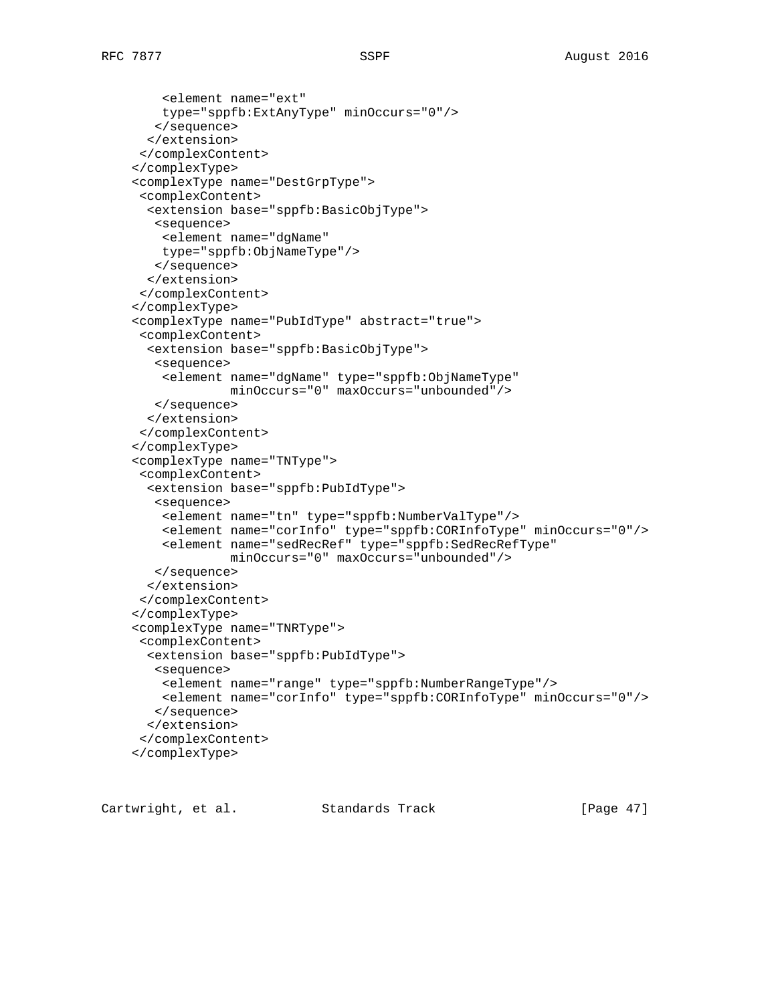<element name="ext" type="sppfb:ExtAnyType" minOccurs="0"/> </sequence> </extension> </complexContent> </complexType> <complexType name="DestGrpType"> <complexContent> <extension base="sppfb:BasicObjType"> <sequence> <element name="dgName" type="sppfb:ObjNameType"/> </sequence> </extension> </complexContent> </complexType> <complexType name="PubIdType" abstract="true"> <complexContent> <extension base="sppfb:BasicObjType"> <sequence> <element name="dgName" type="sppfb:ObjNameType" minOccurs="0" maxOccurs="unbounded"/> </sequence> </extension> </complexContent> </complexType> <complexType name="TNType"> <complexContent> <extension base="sppfb:PubIdType"> <sequence> <element name="tn" type="sppfb:NumberValType"/> <element name="corInfo" type="sppfb:CORInfoType" minOccurs="0"/> <element name="sedRecRef" type="sppfb:SedRecRefType" minOccurs="0" maxOccurs="unbounded"/> </sequence> </extension> </complexContent> </complexType> <complexType name="TNRType"> <complexContent> <extension base="sppfb:PubIdType"> <sequence> <element name="range" type="sppfb:NumberRangeType"/> <element name="corInfo" type="sppfb:CORInfoType" minOccurs="0"/> </sequence> </extension> </complexContent> </complexType>

Cartwright, et al. Standards Track [Page 47]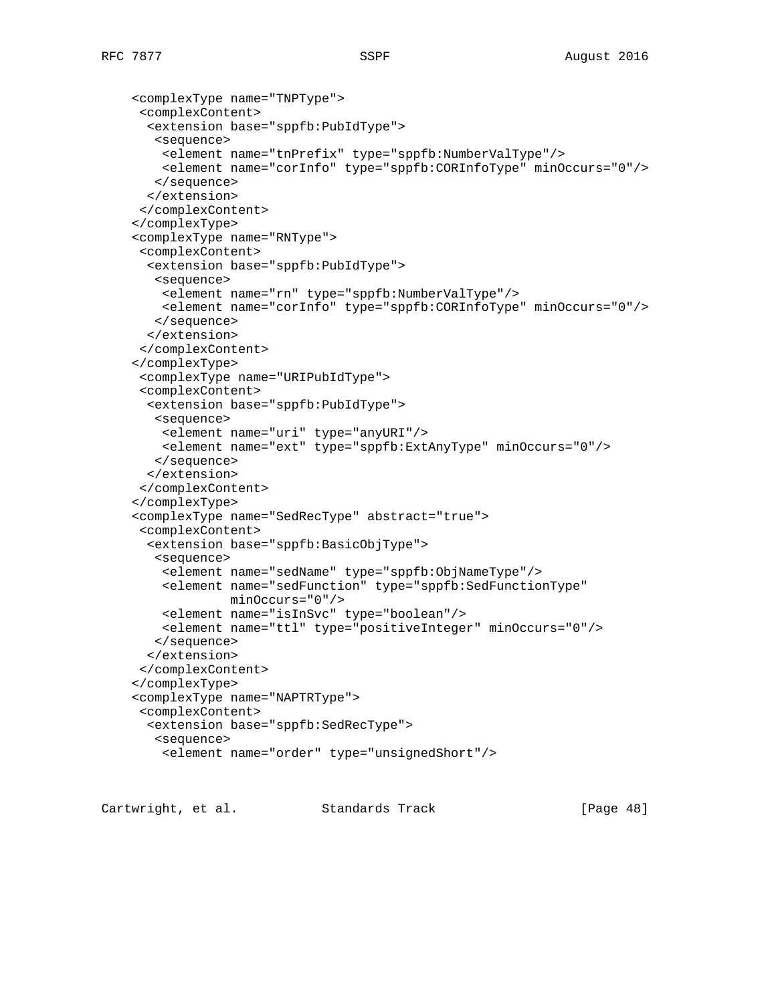```
 <complexType name="TNPType">
  <complexContent>
   <extension base="sppfb:PubIdType">
   <sequence>
    <element name="tnPrefix" type="sppfb:NumberValType"/>
     <element name="corInfo" type="sppfb:CORInfoType" minOccurs="0"/>
    </sequence>
   </extension>
  </complexContent>
 </complexType>
 <complexType name="RNType">
  <complexContent>
   <extension base="sppfb:PubIdType">
    <sequence>
     <element name="rn" type="sppfb:NumberValType"/>
     <element name="corInfo" type="sppfb:CORInfoType" minOccurs="0"/>
    </sequence>
   </extension>
  </complexContent>
 </complexType>
  <complexType name="URIPubIdType">
  <complexContent>
   <extension base="sppfb:PubIdType">
    <sequence>
     <element name="uri" type="anyURI"/>
     <element name="ext" type="sppfb:ExtAnyType" minOccurs="0"/>
    </sequence>
   </extension>
  </complexContent>
 </complexType>
 <complexType name="SedRecType" abstract="true">
  <complexContent>
   <extension base="sppfb:BasicObjType">
    <sequence>
     <element name="sedName" type="sppfb:ObjNameType"/>
     <element name="sedFunction" type="sppfb:SedFunctionType"
              minOccurs="0"/>
     <element name="isInSvc" type="boolean"/>
     <element name="ttl" type="positiveInteger" minOccurs="0"/>
    </sequence>
   </extension>
  </complexContent>
 </complexType>
 <complexType name="NAPTRType">
  <complexContent>
   <extension base="sppfb:SedRecType">
    <sequence>
     <element name="order" type="unsignedShort"/>
```
Cartwright, et al. Standards Track [Page 48]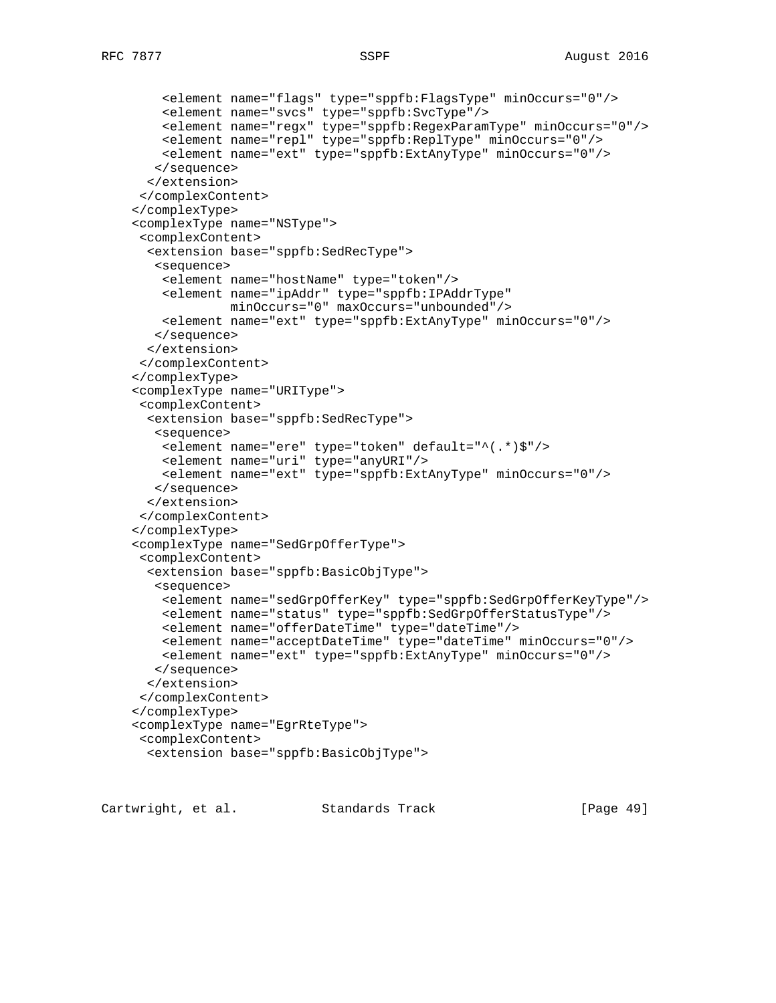```
 <element name="flags" type="sppfb:FlagsType" minOccurs="0"/>
     <element name="svcs" type="sppfb:SvcType"/>
     <element name="regx" type="sppfb:RegexParamType" minOccurs="0"/>
     <element name="repl" type="sppfb:ReplType" minOccurs="0"/>
     <element name="ext" type="sppfb:ExtAnyType" minOccurs="0"/>
    </sequence>
   </extension>
  </complexContent>
 </complexType>
 <complexType name="NSType">
  <complexContent>
   <extension base="sppfb:SedRecType">
    <sequence>
     <element name="hostName" type="token"/>
     <element name="ipAddr" type="sppfb:IPAddrType"
              minOccurs="0" maxOccurs="unbounded"/>
     <element name="ext" type="sppfb:ExtAnyType" minOccurs="0"/>
    </sequence>
   </extension>
  </complexContent>
 </complexType>
 <complexType name="URIType">
  <complexContent>
   <extension base="sppfb:SedRecType">
    <sequence>
     <element name="ere" type="token" default="^(.*)$"/>
     <element name="uri" type="anyURI"/>
    <element name="ext" type="sppfb:ExtAnyType" minOccurs="0"/>
    </sequence>
   </extension>
  </complexContent>
 </complexType>
 <complexType name="SedGrpOfferType">
  <complexContent>
   <extension base="sppfb:BasicObjType">
    <sequence>
     <element name="sedGrpOfferKey" type="sppfb:SedGrpOfferKeyType"/>
     <element name="status" type="sppfb:SedGrpOfferStatusType"/>
     <element name="offerDateTime" type="dateTime"/>
     <element name="acceptDateTime" type="dateTime" minOccurs="0"/>
     <element name="ext" type="sppfb:ExtAnyType" minOccurs="0"/>
    </sequence>
   </extension>
  </complexContent>
 </complexType>
 <complexType name="EgrRteType">
  <complexContent>
   <extension base="sppfb:BasicObjType">
```
Cartwright, et al. Standards Track [Page 49]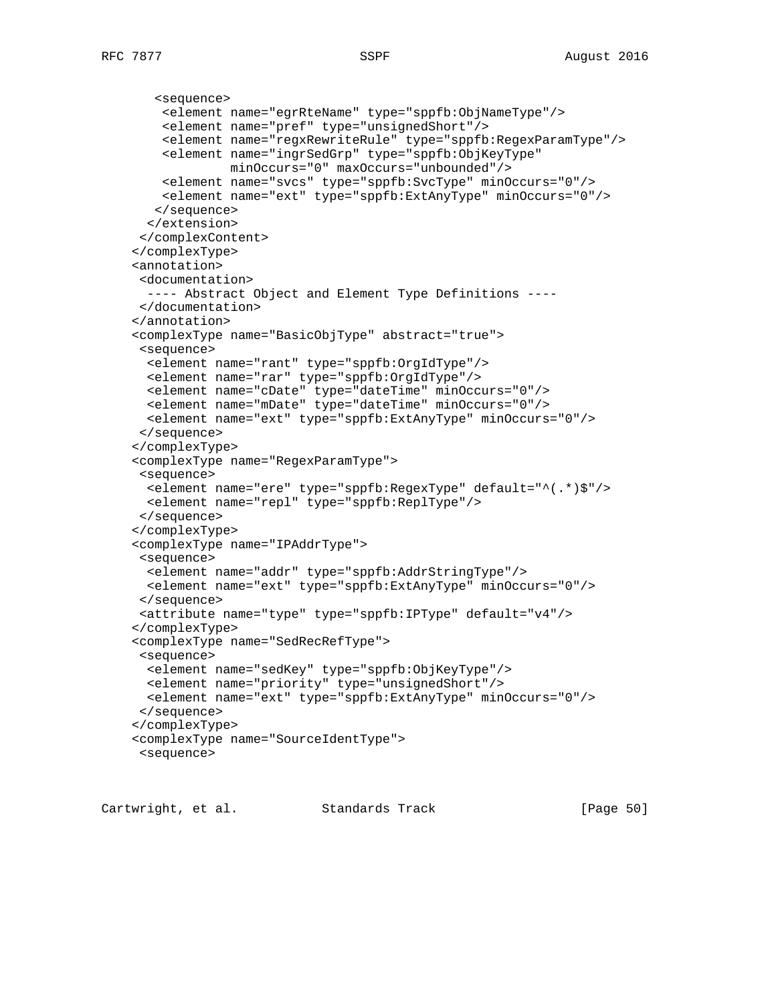```
 <sequence>
     <element name="egrRteName" type="sppfb:ObjNameType"/>
     <element name="pref" type="unsignedShort"/>
     <element name="regxRewriteRule" type="sppfb:RegexParamType"/>
     <element name="ingrSedGrp" type="sppfb:ObjKeyType"
              minOccurs="0" maxOccurs="unbounded"/>
    <element name="svcs" type="sppfb:SvcType" minOccurs="0"/>
     <element name="ext" type="sppfb:ExtAnyType" minOccurs="0"/>
    </sequence>
  </extension>
 </complexContent>
 </complexType>
 <annotation>
  <documentation>
  ---- Abstract Object and Element Type Definitions ----
 </documentation>
 </annotation>
 <complexType name="BasicObjType" abstract="true">
 <sequence>
  <element name="rant" type="sppfb:OrgIdType"/>
  <element name="rar" type="sppfb:OrgIdType"/>
  <element name="cDate" type="dateTime" minOccurs="0"/>
  <element name="mDate" type="dateTime" minOccurs="0"/>
  <element name="ext" type="sppfb:ExtAnyType" minOccurs="0"/>
  </sequence>
 </complexType>
 <complexType name="RegexParamType">
 <sequence>
  <element name="ere" type="sppfb:RegexType" default="^(.*)$"/>
  <element name="repl" type="sppfb:ReplType"/>
 </sequence>
 </complexType>
 <complexType name="IPAddrType">
 <sequence>
  <element name="addr" type="sppfb:AddrStringType"/>
  <element name="ext" type="sppfb:ExtAnyType" minOccurs="0"/>
 </sequence>
 <attribute name="type" type="sppfb:IPType" default="v4"/>
 </complexType>
 <complexType name="SedRecRefType">
 <sequence>
  <element name="sedKey" type="sppfb:ObjKeyType"/>
  <element name="priority" type="unsignedShort"/>
  <element name="ext" type="sppfb:ExtAnyType" minOccurs="0"/>
 </sequence>
 </complexType>
 <complexType name="SourceIdentType">
 <sequence>
```
Cartwright, et al. Standards Track [Page 50]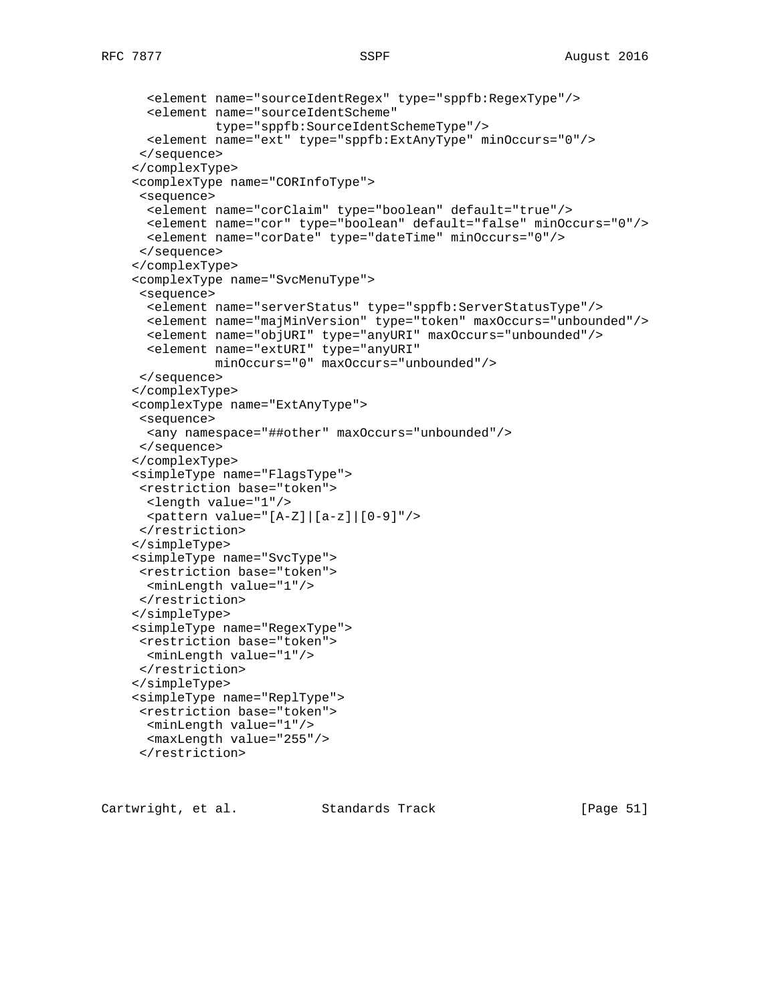```
 <element name="sourceIdentRegex" type="sppfb:RegexType"/>
   <element name="sourceIdentScheme"
            type="sppfb:SourceIdentSchemeType"/>
  <element name="ext" type="sppfb:ExtAnyType" minOccurs="0"/>
 </sequence>
 </complexType>
 <complexType name="CORInfoType">
  <sequence>
  <element name="corClaim" type="boolean" default="true"/>
  <element name="cor" type="boolean" default="false" minOccurs="0"/>
  <element name="corDate" type="dateTime" minOccurs="0"/>
 </sequence>
 </complexType>
 <complexType name="SvcMenuType">
  <sequence>
  <element name="serverStatus" type="sppfb:ServerStatusType"/>
  <element name="majMinVersion" type="token" maxOccurs="unbounded"/>
  <element name="objURI" type="anyURI" maxOccurs="unbounded"/>
  <element name="extURI" type="anyURI"
           minOccurs="0" maxOccurs="unbounded"/>
  </sequence>
 </complexType>
 <complexType name="ExtAnyType">
 <sequence>
  <any namespace="##other" maxOccurs="unbounded"/>
  </sequence>
 </complexType>
 <simpleType name="FlagsType">
 <restriction base="token">
  <length value="1"/>
  <pattern value="[A-Z]|[a-z]|[0-9]"/>
 </restriction>
 </simpleType>
 <simpleType name="SvcType">
 <restriction base="token">
  <minLength value="1"/>
 </restriction>
 </simpleType>
 <simpleType name="RegexType">
 <restriction base="token">
  <minLength value="1"/>
 </restriction>
 </simpleType>
 <simpleType name="ReplType">
 <restriction base="token">
  <minLength value="1"/>
  <maxLength value="255"/>
  </restriction>
```

| Cartwright, et al. | Standards Track | [Page 51] |  |
|--------------------|-----------------|-----------|--|
|--------------------|-----------------|-----------|--|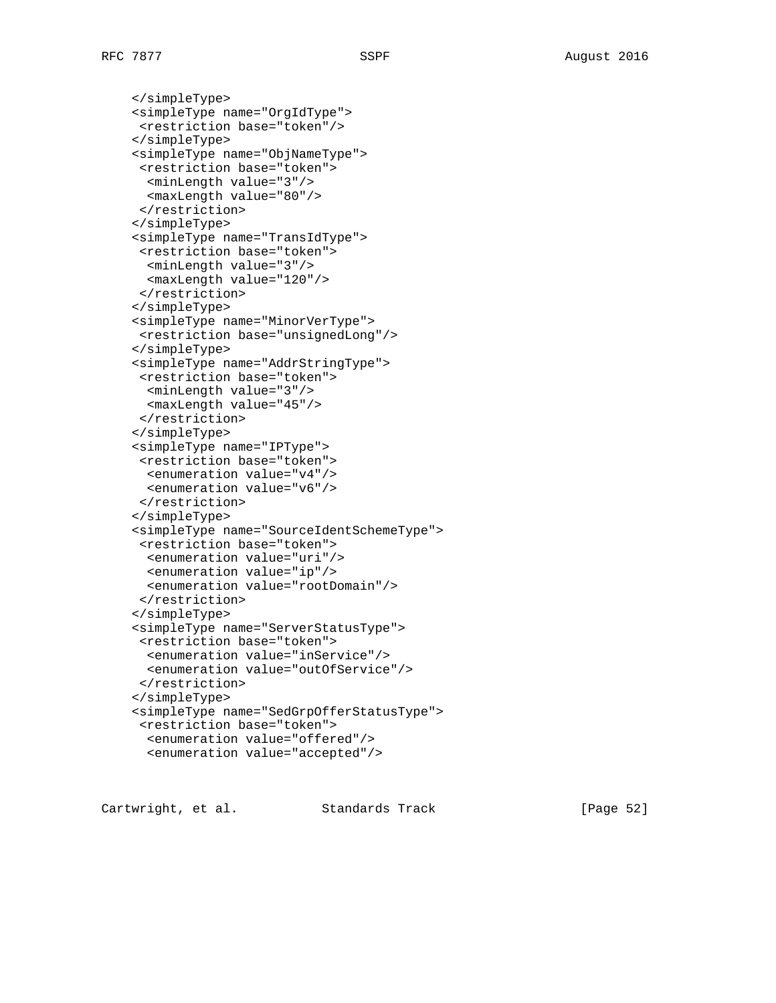</simpleType> <simpleType name="OrgIdType"> <restriction base="token"/> </simpleType> <simpleType name="ObjNameType"> <restriction base="token"> <minLength value="3"/> <maxLength value="80"/> </restriction> </simpleType> <simpleType name="TransIdType"> <restriction base="token"> <minLength value="3"/> <maxLength value="120"/> </restriction> </simpleType> <simpleType name="MinorVerType"> <restriction base="unsignedLong"/> </simpleType> <simpleType name="AddrStringType"> <restriction base="token"> <minLength value="3"/> <maxLength value="45"/> </restriction> </simpleType> <simpleType name="IPType"> <restriction base="token"> <enumeration value="v4"/> <enumeration value="v6"/> </restriction> </simpleType> <simpleType name="SourceIdentSchemeType"> <restriction base="token"> <enumeration value="uri"/> <enumeration value="ip"/> <enumeration value="rootDomain"/> </restriction> </simpleType> <simpleType name="ServerStatusType"> <restriction base="token"> <enumeration value="inService"/> <enumeration value="outOfService"/> </restriction> </simpleType> <simpleType name="SedGrpOfferStatusType"> <restriction base="token"> <enumeration value="offered"/> <enumeration value="accepted"/>

Cartwright, et al. Standards Track [Page 52]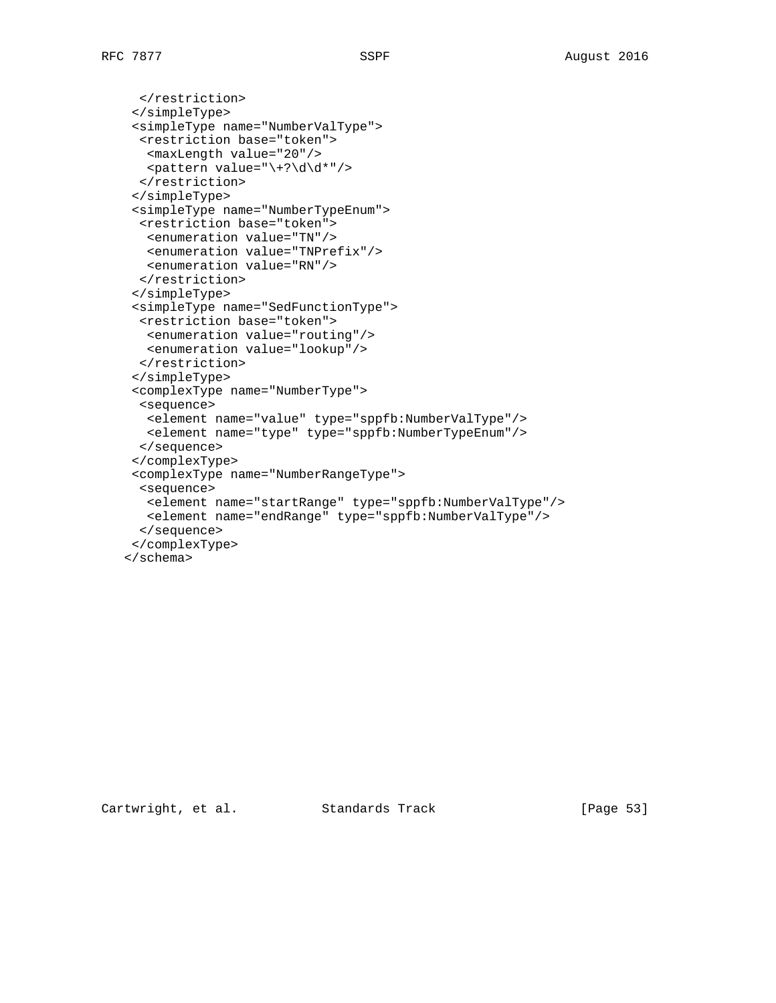```
 </restriction>
  </simpleType>
  <simpleType name="NumberValType">
  <restriction base="token">
   <maxLength value="20"/>
  \epsilon <pattern value="\+?\d\d*"/>
   </restriction>
  </simpleType>
  <simpleType name="NumberTypeEnum">
   <restriction base="token">
    <enumeration value="TN"/>
   <enumeration value="TNPrefix"/>
   <enumeration value="RN"/>
   </restriction>
  </simpleType>
  <simpleType name="SedFunctionType">
   <restriction base="token">
   <enumeration value="routing"/>
   <enumeration value="lookup"/>
   </restriction>
  </simpleType>
  <complexType name="NumberType">
   <sequence>
   <element name="value" type="sppfb:NumberValType"/>
   <element name="type" type="sppfb:NumberTypeEnum"/>
   </sequence>
  </complexType>
  <complexType name="NumberRangeType">
   <sequence>
   <element name="startRange" type="sppfb:NumberValType"/>
   <element name="endRange" type="sppfb:NumberValType"/>
   </sequence>
  </complexType>
 </schema>
```
Cartwright, et al. Standards Track [Page 53]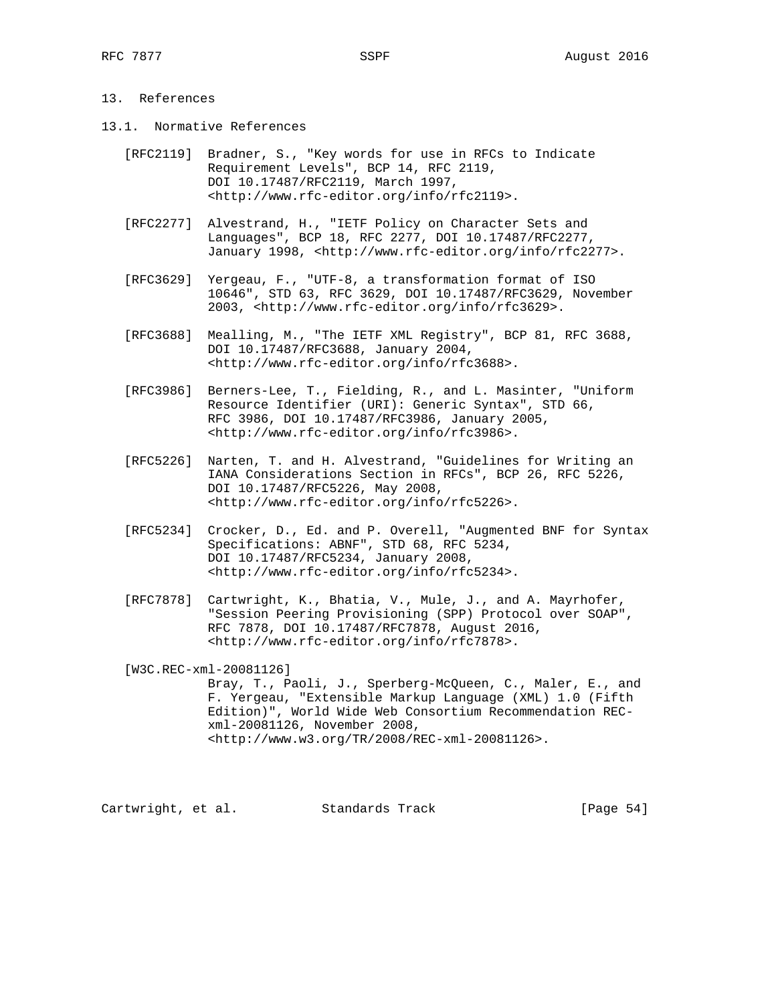# 13. References

- 13.1. Normative References
	- [RFC2119] Bradner, S., "Key words for use in RFCs to Indicate Requirement Levels", BCP 14, RFC 2119, DOI 10.17487/RFC2119, March 1997, <http://www.rfc-editor.org/info/rfc2119>.
	- [RFC2277] Alvestrand, H., "IETF Policy on Character Sets and Languages", BCP 18, RFC 2277, DOI 10.17487/RFC2277, January 1998, <http://www.rfc-editor.org/info/rfc2277>.
	- [RFC3629] Yergeau, F., "UTF-8, a transformation format of ISO 10646", STD 63, RFC 3629, DOI 10.17487/RFC3629, November 2003, <http://www.rfc-editor.org/info/rfc3629>.
	- [RFC3688] Mealling, M., "The IETF XML Registry", BCP 81, RFC 3688, DOI 10.17487/RFC3688, January 2004, <http://www.rfc-editor.org/info/rfc3688>.
	- [RFC3986] Berners-Lee, T., Fielding, R., and L. Masinter, "Uniform Resource Identifier (URI): Generic Syntax", STD 66, RFC 3986, DOI 10.17487/RFC3986, January 2005, <http://www.rfc-editor.org/info/rfc3986>.
	- [RFC5226] Narten, T. and H. Alvestrand, "Guidelines for Writing an IANA Considerations Section in RFCs", BCP 26, RFC 5226, DOI 10.17487/RFC5226, May 2008, <http://www.rfc-editor.org/info/rfc5226>.
	- [RFC5234] Crocker, D., Ed. and P. Overell, "Augmented BNF for Syntax Specifications: ABNF", STD 68, RFC 5234, DOI 10.17487/RFC5234, January 2008, <http://www.rfc-editor.org/info/rfc5234>.
	- [RFC7878] Cartwright, K., Bhatia, V., Mule, J., and A. Mayrhofer, "Session Peering Provisioning (SPP) Protocol over SOAP", RFC 7878, DOI 10.17487/RFC7878, August 2016, <http://www.rfc-editor.org/info/rfc7878>.

 [W3C.REC-xml-20081126] Bray, T., Paoli, J., Sperberg-McQueen, C., Maler, E., and F. Yergeau, "Extensible Markup Language (XML) 1.0 (Fifth Edition)", World Wide Web Consortium Recommendation REC xml-20081126, November 2008, <http://www.w3.org/TR/2008/REC-xml-20081126>.

Cartwright, et al. Standards Track [Page 54]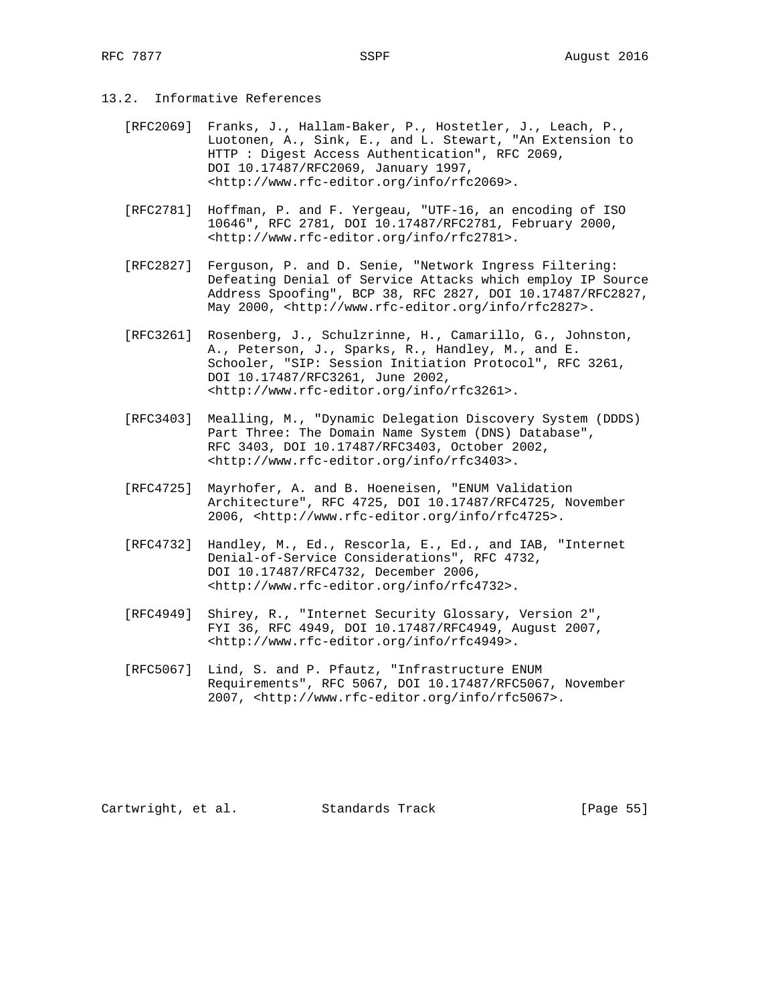- 13.2. Informative References
	- [RFC2069] Franks, J., Hallam-Baker, P., Hostetler, J., Leach, P., Luotonen, A., Sink, E., and L. Stewart, "An Extension to HTTP : Digest Access Authentication", RFC 2069, DOI 10.17487/RFC2069, January 1997, <http://www.rfc-editor.org/info/rfc2069>.
	- [RFC2781] Hoffman, P. and F. Yergeau, "UTF-16, an encoding of ISO 10646", RFC 2781, DOI 10.17487/RFC2781, February 2000, <http://www.rfc-editor.org/info/rfc2781>.
	- [RFC2827] Ferguson, P. and D. Senie, "Network Ingress Filtering: Defeating Denial of Service Attacks which employ IP Source Address Spoofing", BCP 38, RFC 2827, DOI 10.17487/RFC2827, May 2000, <http://www.rfc-editor.org/info/rfc2827>.
	- [RFC3261] Rosenberg, J., Schulzrinne, H., Camarillo, G., Johnston, A., Peterson, J., Sparks, R., Handley, M., and E. Schooler, "SIP: Session Initiation Protocol", RFC 3261, DOI 10.17487/RFC3261, June 2002, <http://www.rfc-editor.org/info/rfc3261>.
	- [RFC3403] Mealling, M., "Dynamic Delegation Discovery System (DDDS) Part Three: The Domain Name System (DNS) Database", RFC 3403, DOI 10.17487/RFC3403, October 2002, <http://www.rfc-editor.org/info/rfc3403>.
	- [RFC4725] Mayrhofer, A. and B. Hoeneisen, "ENUM Validation Architecture", RFC 4725, DOI 10.17487/RFC4725, November 2006, <http://www.rfc-editor.org/info/rfc4725>.
	- [RFC4732] Handley, M., Ed., Rescorla, E., Ed., and IAB, "Internet Denial-of-Service Considerations", RFC 4732, DOI 10.17487/RFC4732, December 2006, <http://www.rfc-editor.org/info/rfc4732>.
	- [RFC4949] Shirey, R., "Internet Security Glossary, Version 2", FYI 36, RFC 4949, DOI 10.17487/RFC4949, August 2007, <http://www.rfc-editor.org/info/rfc4949>.
	- [RFC5067] Lind, S. and P. Pfautz, "Infrastructure ENUM Requirements", RFC 5067, DOI 10.17487/RFC5067, November 2007, <http://www.rfc-editor.org/info/rfc5067>.

Cartwright, et al. Standards Track [Page 55]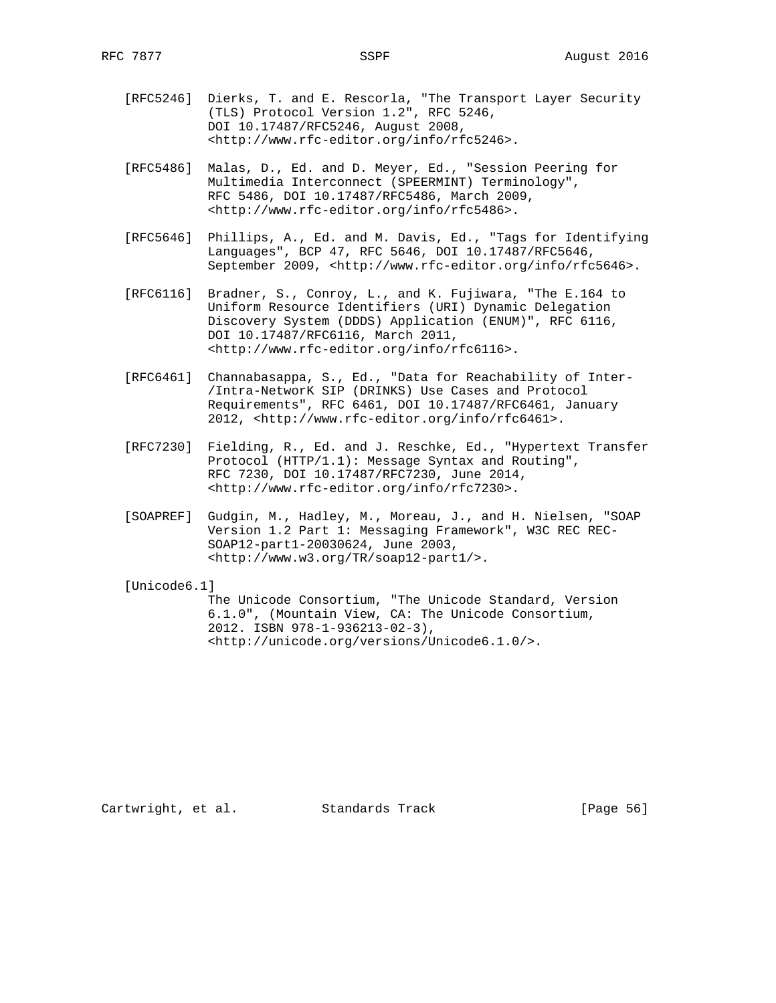- [RFC5246] Dierks, T. and E. Rescorla, "The Transport Layer Security (TLS) Protocol Version 1.2", RFC 5246, DOI 10.17487/RFC5246, August 2008, <http://www.rfc-editor.org/info/rfc5246>.
- [RFC5486] Malas, D., Ed. and D. Meyer, Ed., "Session Peering for Multimedia Interconnect (SPEERMINT) Terminology", RFC 5486, DOI 10.17487/RFC5486, March 2009, <http://www.rfc-editor.org/info/rfc5486>.
- [RFC5646] Phillips, A., Ed. and M. Davis, Ed., "Tags for Identifying Languages", BCP 47, RFC 5646, DOI 10.17487/RFC5646, September 2009, <http://www.rfc-editor.org/info/rfc5646>.
- [RFC6116] Bradner, S., Conroy, L., and K. Fujiwara, "The E.164 to Uniform Resource Identifiers (URI) Dynamic Delegation Discovery System (DDDS) Application (ENUM)", RFC 6116, DOI 10.17487/RFC6116, March 2011, <http://www.rfc-editor.org/info/rfc6116>.
- [RFC6461] Channabasappa, S., Ed., "Data for Reachability of Inter- /Intra-NetworK SIP (DRINKS) Use Cases and Protocol Requirements", RFC 6461, DOI 10.17487/RFC6461, January 2012, <http://www.rfc-editor.org/info/rfc6461>.
- [RFC7230] Fielding, R., Ed. and J. Reschke, Ed., "Hypertext Transfer Protocol (HTTP/1.1): Message Syntax and Routing", RFC 7230, DOI 10.17487/RFC7230, June 2014, <http://www.rfc-editor.org/info/rfc7230>.
- [SOAPREF] Gudgin, M., Hadley, M., Moreau, J., and H. Nielsen, "SOAP Version 1.2 Part 1: Messaging Framework", W3C REC REC- SOAP12-part1-20030624, June 2003, <http://www.w3.org/TR/soap12-part1/>.

[Unicode6.1]

 The Unicode Consortium, "The Unicode Standard, Version 6.1.0", (Mountain View, CA: The Unicode Consortium, 2012. ISBN 978-1-936213-02-3), <http://unicode.org/versions/Unicode6.1.0/>.

Cartwright, et al. Standards Track [Page 56]